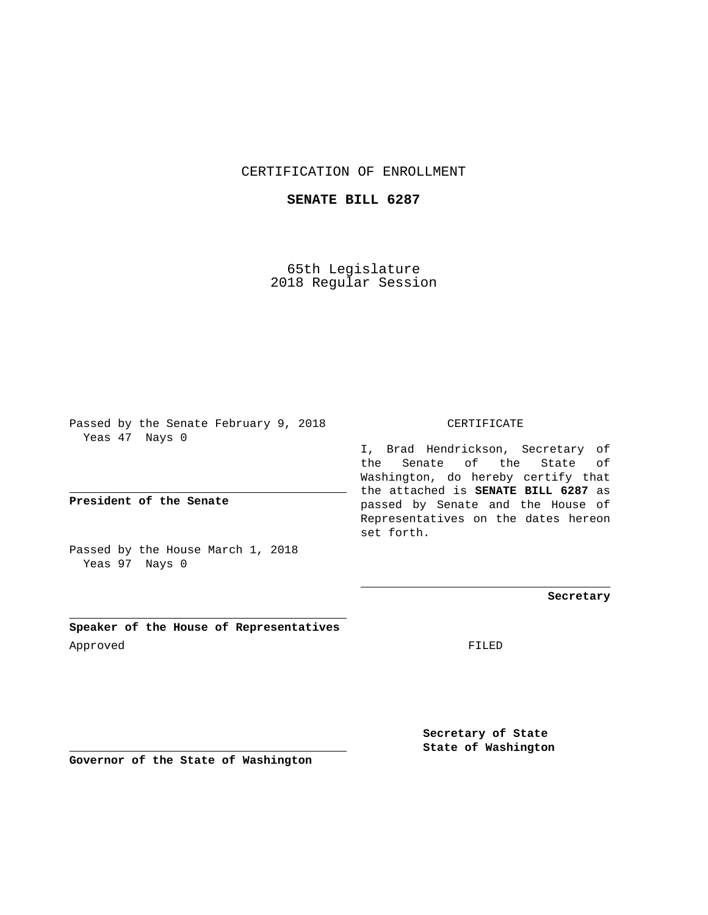## CERTIFICATION OF ENROLLMENT

## **SENATE BILL 6287**

65th Legislature 2018 Regular Session

Passed by the Senate February 9, 2018 Yeas 47 Nays 0

**President of the Senate**

Passed by the House March 1, 2018 Yeas 97 Nays 0

**Speaker of the House of Representatives** Approved FILED

CERTIFICATE

I, Brad Hendrickson, Secretary of the Senate of the State of Washington, do hereby certify that the attached is **SENATE BILL 6287** as passed by Senate and the House of Representatives on the dates hereon set forth.

**Secretary**

**Secretary of State State of Washington**

**Governor of the State of Washington**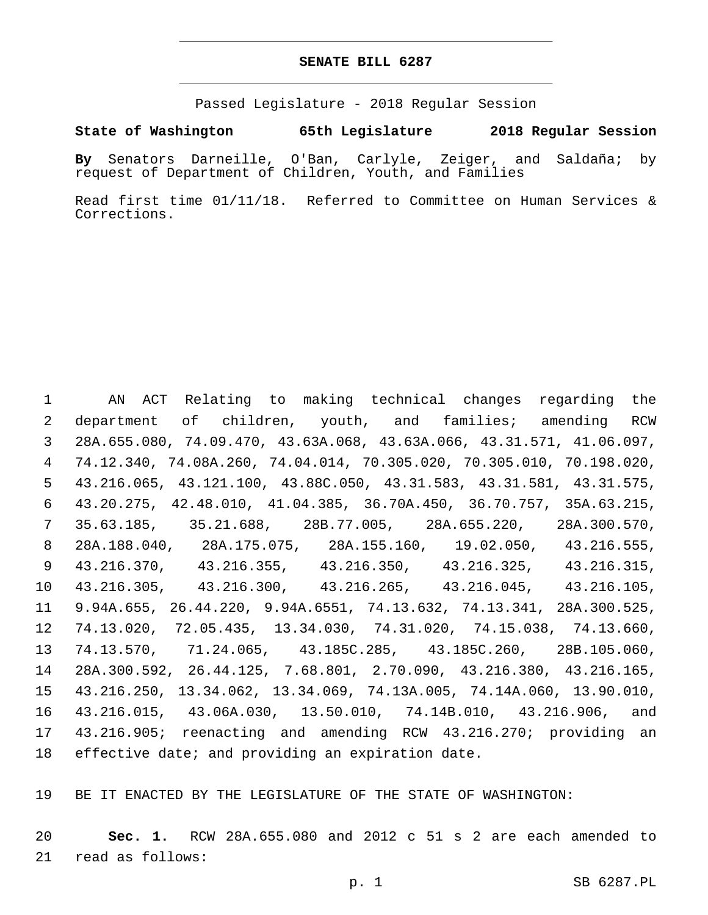## **SENATE BILL 6287**

Passed Legislature - 2018 Regular Session

## **State of Washington 65th Legislature 2018 Regular Session**

**By** Senators Darneille, O'Ban, Carlyle, Zeiger, and Saldaña; by request of Department of Children, Youth, and Families

Read first time 01/11/18. Referred to Committee on Human Services & Corrections.

 AN ACT Relating to making technical changes regarding the department of children, youth, and families; amending RCW 28A.655.080, 74.09.470, 43.63A.068, 43.63A.066, 43.31.571, 41.06.097, 74.12.340, 74.08A.260, 74.04.014, 70.305.020, 70.305.010, 70.198.020, 43.216.065, 43.121.100, 43.88C.050, 43.31.583, 43.31.581, 43.31.575, 43.20.275, 42.48.010, 41.04.385, 36.70A.450, 36.70.757, 35A.63.215, 35.63.185, 35.21.688, 28B.77.005, 28A.655.220, 28A.300.570, 28A.188.040, 28A.175.075, 28A.155.160, 19.02.050, 43.216.555, 43.216.370, 43.216.355, 43.216.350, 43.216.325, 43.216.315, 43.216.305, 43.216.300, 43.216.265, 43.216.045, 43.216.105, 9.94A.655, 26.44.220, 9.94A.6551, 74.13.632, 74.13.341, 28A.300.525, 74.13.020, 72.05.435, 13.34.030, 74.31.020, 74.15.038, 74.13.660, 74.13.570, 71.24.065, 43.185C.285, 43.185C.260, 28B.105.060, 28A.300.592, 26.44.125, 7.68.801, 2.70.090, 43.216.380, 43.216.165, 43.216.250, 13.34.062, 13.34.069, 74.13A.005, 74.14A.060, 13.90.010, 43.216.015, 43.06A.030, 13.50.010, 74.14B.010, 43.216.906, and 43.216.905; reenacting and amending RCW 43.216.270; providing an effective date; and providing an expiration date.

BE IT ENACTED BY THE LEGISLATURE OF THE STATE OF WASHINGTON:

 **Sec. 1.** RCW 28A.655.080 and 2012 c 51 s 2 are each amended to 21 read as follows: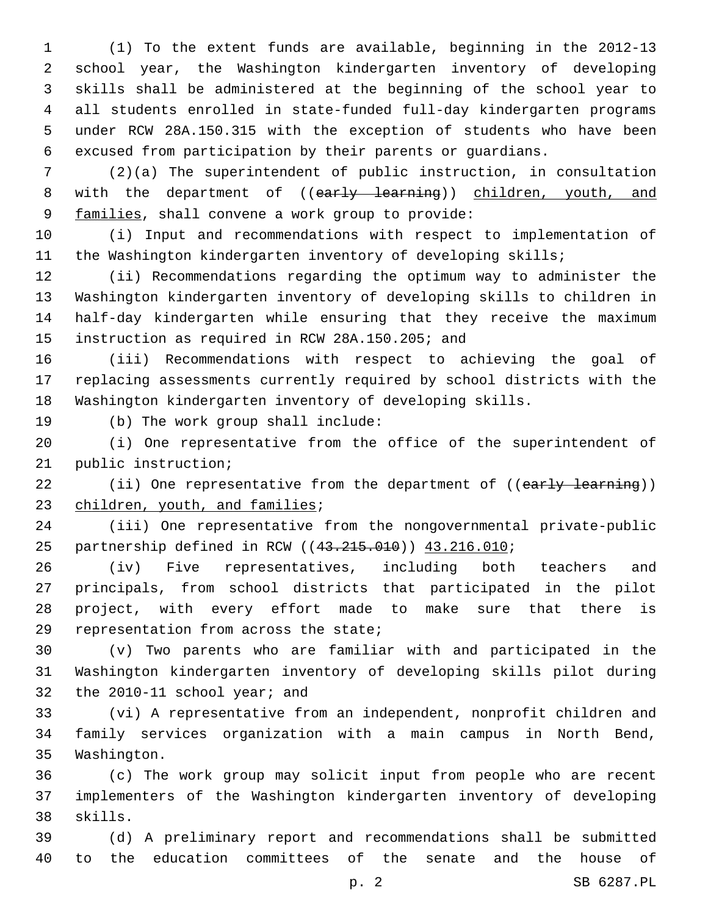(1) To the extent funds are available, beginning in the 2012-13 school year, the Washington kindergarten inventory of developing skills shall be administered at the beginning of the school year to all students enrolled in state-funded full-day kindergarten programs under RCW 28A.150.315 with the exception of students who have been excused from participation by their parents or guardians.

 (2)(a) The superintendent of public instruction, in consultation 8 with the department of ((early learning)) children, youth, and 9 families, shall convene a work group to provide:

 (i) Input and recommendations with respect to implementation of the Washington kindergarten inventory of developing skills;

 (ii) Recommendations regarding the optimum way to administer the Washington kindergarten inventory of developing skills to children in half-day kindergarten while ensuring that they receive the maximum 15 instruction as required in RCW 28A.150.205; and

 (iii) Recommendations with respect to achieving the goal of replacing assessments currently required by school districts with the Washington kindergarten inventory of developing skills.

19 (b) The work group shall include:

 (i) One representative from the office of the superintendent of 21 public instruction;

22 (ii) One representative from the department of ((early learning)) 23 children, youth, and families;

 (iii) One representative from the nongovernmental private-public 25 partnership defined in RCW ((43.215.010)) 43.216.010;

 (iv) Five representatives, including both teachers and principals, from school districts that participated in the pilot project, with every effort made to make sure that there is 29 representation from across the state;

 (v) Two parents who are familiar with and participated in the Washington kindergarten inventory of developing skills pilot during 32 the 2010-11 school year; and

 (vi) A representative from an independent, nonprofit children and family services organization with a main campus in North Bend, 35 Washington.

 (c) The work group may solicit input from people who are recent implementers of the Washington kindergarten inventory of developing 38 skills.

 (d) A preliminary report and recommendations shall be submitted to the education committees of the senate and the house of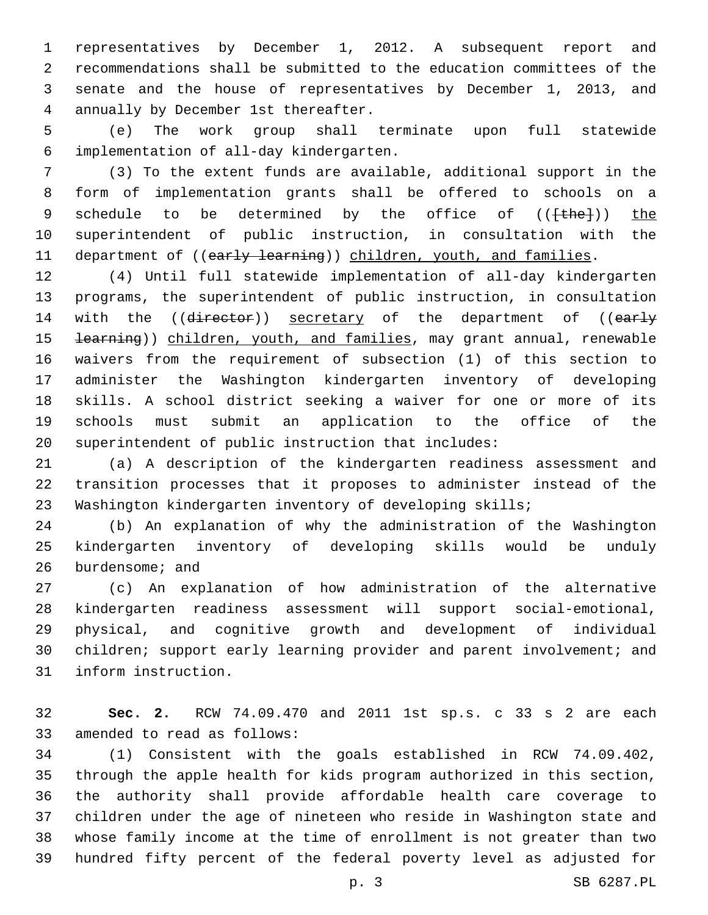representatives by December 1, 2012. A subsequent report and recommendations shall be submitted to the education committees of the senate and the house of representatives by December 1, 2013, and annually by December 1st thereafter.4

 (e) The work group shall terminate upon full statewide implementation of all-day kindergarten.6

 (3) To the extent funds are available, additional support in the form of implementation grants shall be offered to schools on a 9 schedule to be determined by the office of (({the})) the superintendent of public instruction, in consultation with the 11 department of ((early learning)) children, youth, and families.

 (4) Until full statewide implementation of all-day kindergarten programs, the superintendent of public instruction, in consultation 14 with the ((director)) secretary of the department of ((early 15 <del>learning</del>)) children, youth, and families, may grant annual, renewable waivers from the requirement of subsection (1) of this section to administer the Washington kindergarten inventory of developing skills. A school district seeking a waiver for one or more of its schools must submit an application to the office of the superintendent of public instruction that includes:

 (a) A description of the kindergarten readiness assessment and transition processes that it proposes to administer instead of the Washington kindergarten inventory of developing skills;

 (b) An explanation of why the administration of the Washington kindergarten inventory of developing skills would be unduly 26 burdensome; and

 (c) An explanation of how administration of the alternative kindergarten readiness assessment will support social-emotional, physical, and cognitive growth and development of individual 30 children; support early learning provider and parent involvement; and 31 inform instruction.

 **Sec. 2.** RCW 74.09.470 and 2011 1st sp.s. c 33 s 2 are each 33 amended to read as follows:

 (1) Consistent with the goals established in RCW 74.09.402, through the apple health for kids program authorized in this section, the authority shall provide affordable health care coverage to children under the age of nineteen who reside in Washington state and whose family income at the time of enrollment is not greater than two hundred fifty percent of the federal poverty level as adjusted for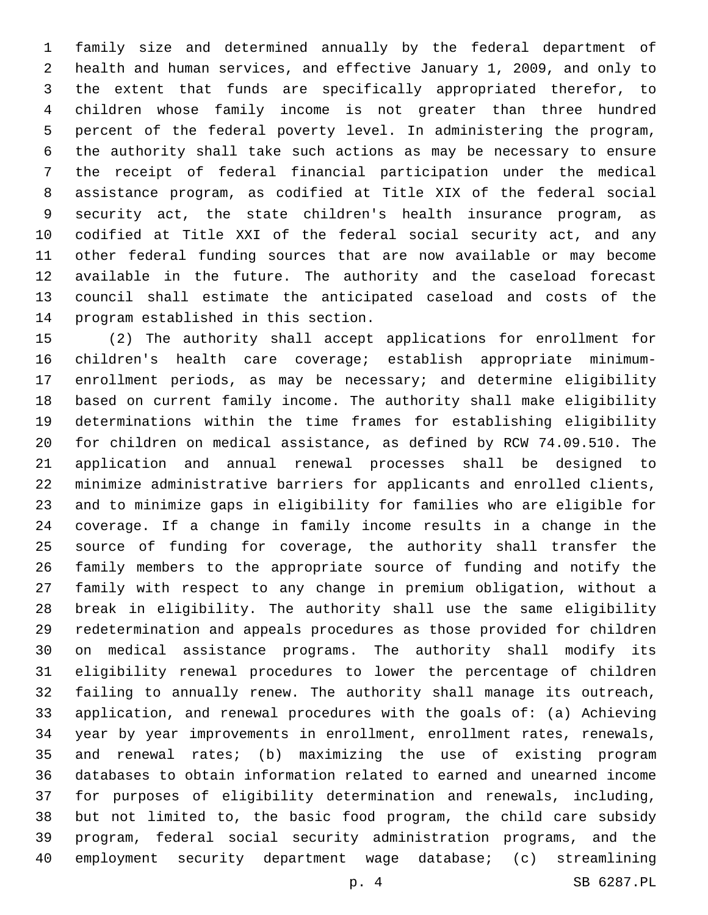family size and determined annually by the federal department of health and human services, and effective January 1, 2009, and only to the extent that funds are specifically appropriated therefor, to children whose family income is not greater than three hundred percent of the federal poverty level. In administering the program, the authority shall take such actions as may be necessary to ensure the receipt of federal financial participation under the medical assistance program, as codified at Title XIX of the federal social security act, the state children's health insurance program, as codified at Title XXI of the federal social security act, and any other federal funding sources that are now available or may become available in the future. The authority and the caseload forecast council shall estimate the anticipated caseload and costs of the 14 program established in this section.

 (2) The authority shall accept applications for enrollment for children's health care coverage; establish appropriate minimum- enrollment periods, as may be necessary; and determine eligibility based on current family income. The authority shall make eligibility determinations within the time frames for establishing eligibility for children on medical assistance, as defined by RCW 74.09.510. The application and annual renewal processes shall be designed to minimize administrative barriers for applicants and enrolled clients, and to minimize gaps in eligibility for families who are eligible for coverage. If a change in family income results in a change in the source of funding for coverage, the authority shall transfer the family members to the appropriate source of funding and notify the family with respect to any change in premium obligation, without a break in eligibility. The authority shall use the same eligibility redetermination and appeals procedures as those provided for children on medical assistance programs. The authority shall modify its eligibility renewal procedures to lower the percentage of children failing to annually renew. The authority shall manage its outreach, application, and renewal procedures with the goals of: (a) Achieving year by year improvements in enrollment, enrollment rates, renewals, and renewal rates; (b) maximizing the use of existing program databases to obtain information related to earned and unearned income for purposes of eligibility determination and renewals, including, but not limited to, the basic food program, the child care subsidy program, federal social security administration programs, and the employment security department wage database; (c) streamlining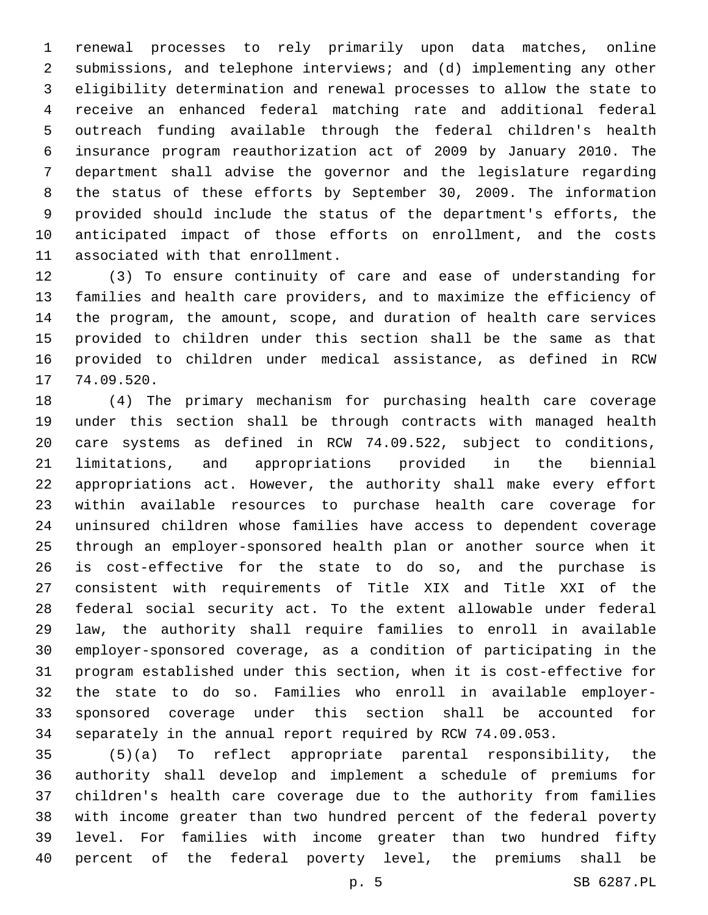renewal processes to rely primarily upon data matches, online submissions, and telephone interviews; and (d) implementing any other eligibility determination and renewal processes to allow the state to receive an enhanced federal matching rate and additional federal outreach funding available through the federal children's health insurance program reauthorization act of 2009 by January 2010. The department shall advise the governor and the legislature regarding the status of these efforts by September 30, 2009. The information provided should include the status of the department's efforts, the anticipated impact of those efforts on enrollment, and the costs 11 associated with that enrollment.

 (3) To ensure continuity of care and ease of understanding for families and health care providers, and to maximize the efficiency of the program, the amount, scope, and duration of health care services provided to children under this section shall be the same as that provided to children under medical assistance, as defined in RCW 17 74.09.520.

 (4) The primary mechanism for purchasing health care coverage under this section shall be through contracts with managed health care systems as defined in RCW 74.09.522, subject to conditions, limitations, and appropriations provided in the biennial appropriations act. However, the authority shall make every effort within available resources to purchase health care coverage for uninsured children whose families have access to dependent coverage through an employer-sponsored health plan or another source when it is cost-effective for the state to do so, and the purchase is consistent with requirements of Title XIX and Title XXI of the federal social security act. To the extent allowable under federal law, the authority shall require families to enroll in available employer-sponsored coverage, as a condition of participating in the program established under this section, when it is cost-effective for the state to do so. Families who enroll in available employer- sponsored coverage under this section shall be accounted for separately in the annual report required by RCW 74.09.053.

 (5)(a) To reflect appropriate parental responsibility, the authority shall develop and implement a schedule of premiums for children's health care coverage due to the authority from families with income greater than two hundred percent of the federal poverty level. For families with income greater than two hundred fifty percent of the federal poverty level, the premiums shall be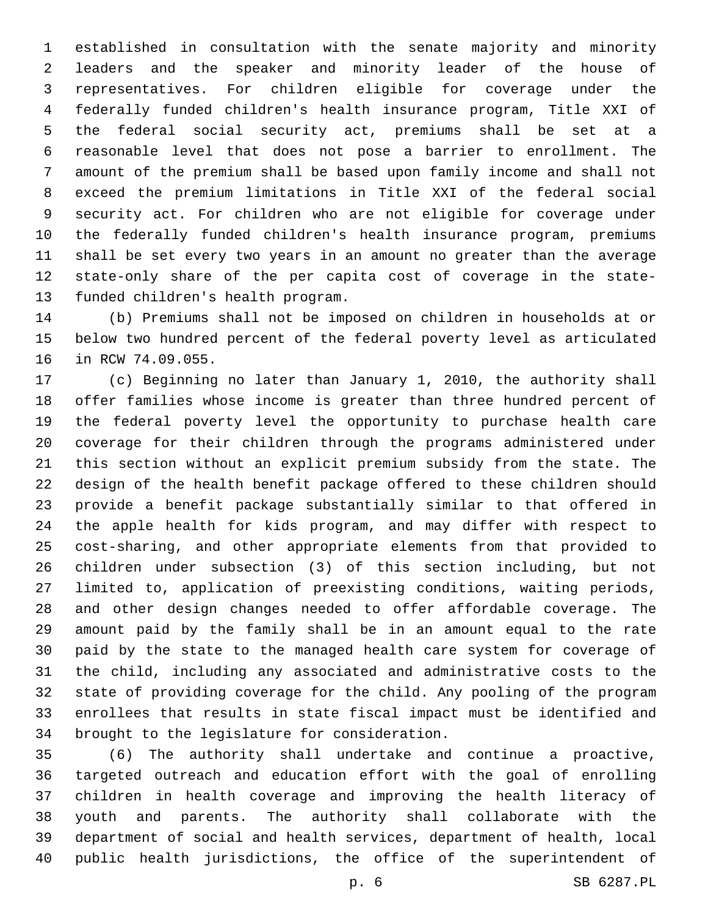established in consultation with the senate majority and minority leaders and the speaker and minority leader of the house of representatives. For children eligible for coverage under the federally funded children's health insurance program, Title XXI of the federal social security act, premiums shall be set at a reasonable level that does not pose a barrier to enrollment. The amount of the premium shall be based upon family income and shall not exceed the premium limitations in Title XXI of the federal social security act. For children who are not eligible for coverage under the federally funded children's health insurance program, premiums shall be set every two years in an amount no greater than the average state-only share of the per capita cost of coverage in the state-13 funded children's health program.

 (b) Premiums shall not be imposed on children in households at or below two hundred percent of the federal poverty level as articulated 16 in RCW 74.09.055.

 (c) Beginning no later than January 1, 2010, the authority shall offer families whose income is greater than three hundred percent of the federal poverty level the opportunity to purchase health care coverage for their children through the programs administered under this section without an explicit premium subsidy from the state. The design of the health benefit package offered to these children should provide a benefit package substantially similar to that offered in the apple health for kids program, and may differ with respect to cost-sharing, and other appropriate elements from that provided to children under subsection (3) of this section including, but not limited to, application of preexisting conditions, waiting periods, and other design changes needed to offer affordable coverage. The amount paid by the family shall be in an amount equal to the rate paid by the state to the managed health care system for coverage of the child, including any associated and administrative costs to the state of providing coverage for the child. Any pooling of the program enrollees that results in state fiscal impact must be identified and 34 brought to the legislature for consideration.

 (6) The authority shall undertake and continue a proactive, targeted outreach and education effort with the goal of enrolling children in health coverage and improving the health literacy of youth and parents. The authority shall collaborate with the department of social and health services, department of health, local public health jurisdictions, the office of the superintendent of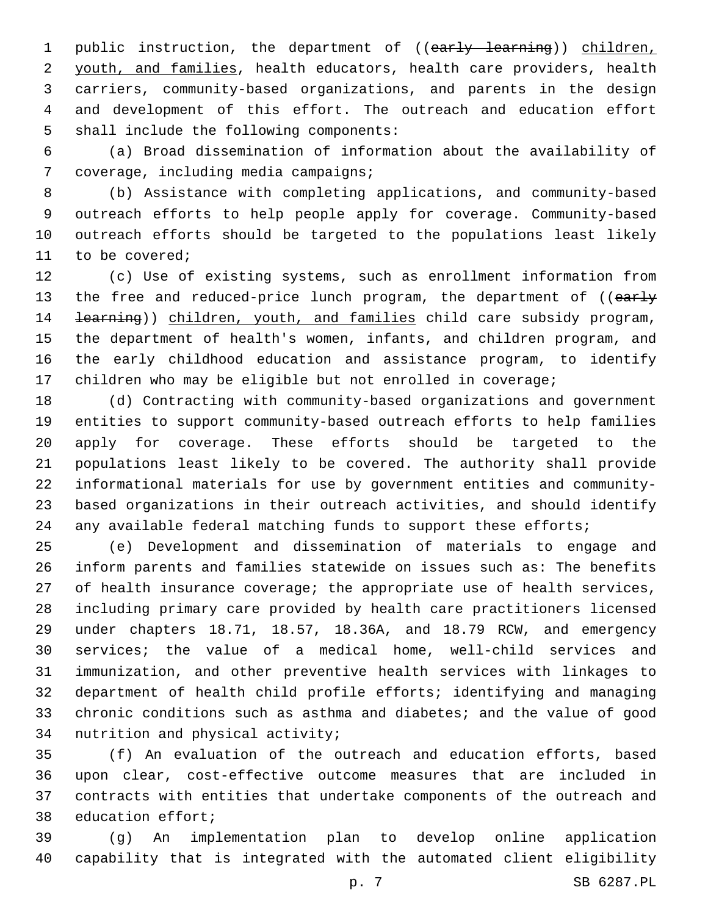1 public instruction, the department of ((early learning)) children, youth, and families, health educators, health care providers, health carriers, community-based organizations, and parents in the design and development of this effort. The outreach and education effort 5 shall include the following components:

 (a) Broad dissemination of information about the availability of 7 coverage, including media campaigns;

 (b) Assistance with completing applications, and community-based outreach efforts to help people apply for coverage. Community-based outreach efforts should be targeted to the populations least likely 11 to be covered;

 (c) Use of existing systems, such as enrollment information from 13 the free and reduced-price lunch program, the department of ((early 14 <del>learning</del>)) children, youth, and families child care subsidy program, the department of health's women, infants, and children program, and the early childhood education and assistance program, to identify children who may be eligible but not enrolled in coverage;

 (d) Contracting with community-based organizations and government entities to support community-based outreach efforts to help families apply for coverage. These efforts should be targeted to the populations least likely to be covered. The authority shall provide informational materials for use by government entities and community- based organizations in their outreach activities, and should identify 24 any available federal matching funds to support these efforts;

 (e) Development and dissemination of materials to engage and inform parents and families statewide on issues such as: The benefits of health insurance coverage; the appropriate use of health services, including primary care provided by health care practitioners licensed under chapters 18.71, 18.57, 18.36A, and 18.79 RCW, and emergency services; the value of a medical home, well-child services and immunization, and other preventive health services with linkages to department of health child profile efforts; identifying and managing chronic conditions such as asthma and diabetes; and the value of good 34 nutrition and physical activity;

 (f) An evaluation of the outreach and education efforts, based upon clear, cost-effective outcome measures that are included in contracts with entities that undertake components of the outreach and 38 education effort;

 (g) An implementation plan to develop online application capability that is integrated with the automated client eligibility

p. 7 SB 6287.PL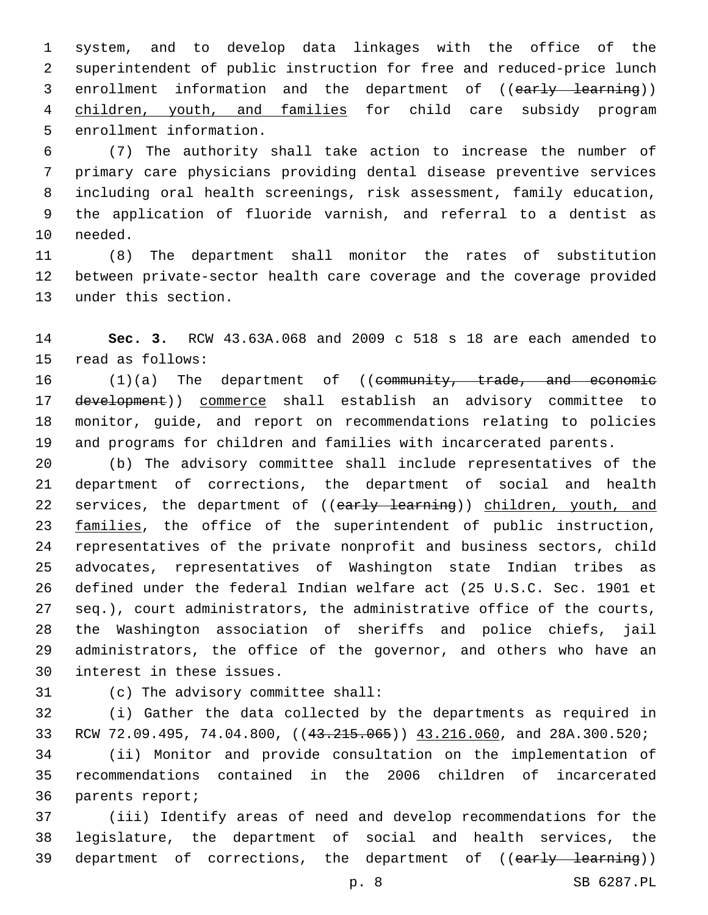system, and to develop data linkages with the office of the superintendent of public instruction for free and reduced-price lunch 3 enrollment information and the department of ((early learning)) children, youth, and families for child care subsidy program 5 enrollment information.

 (7) The authority shall take action to increase the number of primary care physicians providing dental disease preventive services including oral health screenings, risk assessment, family education, the application of fluoride varnish, and referral to a dentist as 10 needed.

 (8) The department shall monitor the rates of substitution between private-sector health care coverage and the coverage provided 13 under this section.

 **Sec. 3.** RCW 43.63A.068 and 2009 c 518 s 18 are each amended to 15 read as follows:

16 (1)(a) The department of ((community, trade, and economic 17 development)) commerce shall establish an advisory committee to monitor, guide, and report on recommendations relating to policies and programs for children and families with incarcerated parents.

 (b) The advisory committee shall include representatives of the department of corrections, the department of social and health 22 services, the department of ((early learning)) children, youth, and 23 families, the office of the superintendent of public instruction, representatives of the private nonprofit and business sectors, child advocates, representatives of Washington state Indian tribes as defined under the federal Indian welfare act (25 U.S.C. Sec. 1901 et seq.), court administrators, the administrative office of the courts, the Washington association of sheriffs and police chiefs, jail administrators, the office of the governor, and others who have an 30 interest in these issues.

31 (c) The advisory committee shall:

 (i) Gather the data collected by the departments as required in 33 RCW 72.09.495, 74.04.800, ((43.215.065)) 43.216.060, and 28A.300.520;

 (ii) Monitor and provide consultation on the implementation of recommendations contained in the 2006 children of incarcerated 36 parents report;

 (iii) Identify areas of need and develop recommendations for the legislature, the department of social and health services, the 39 department of corrections, the department of ((early learning))

p. 8 SB 6287.PL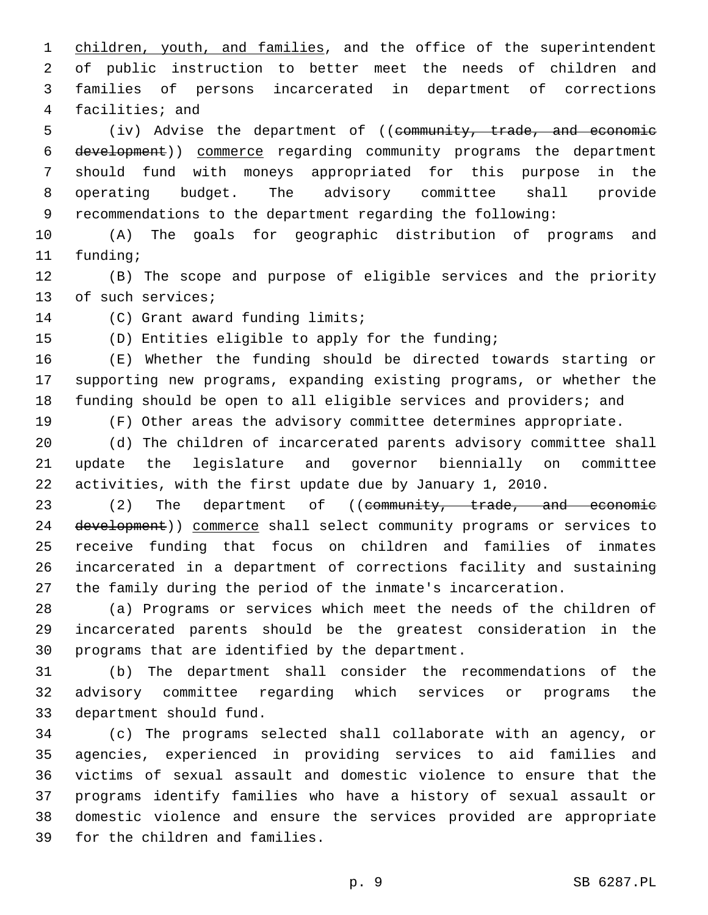1 children, youth, and families, and the office of the superintendent of public instruction to better meet the needs of children and families of persons incarcerated in department of corrections 4 facilities; and

5 (iv) Advise the department of ((community, trade, and economic development)) commerce regarding community programs the department should fund with moneys appropriated for this purpose in the operating budget. The advisory committee shall provide recommendations to the department regarding the following:

 (A) The goals for geographic distribution of programs and 11 funding;

 (B) The scope and purpose of eligible services and the priority 13 of such services;

14 (C) Grant award funding limits;

(D) Entities eligible to apply for the funding;

 (E) Whether the funding should be directed towards starting or supporting new programs, expanding existing programs, or whether the funding should be open to all eligible services and providers; and

(F) Other areas the advisory committee determines appropriate.

 (d) The children of incarcerated parents advisory committee shall update the legislature and governor biennially on committee activities, with the first update due by January 1, 2010.

23 (2) The department of ((community, trade, and economic 24 development)) commerce shall select community programs or services to receive funding that focus on children and families of inmates incarcerated in a department of corrections facility and sustaining the family during the period of the inmate's incarceration.

 (a) Programs or services which meet the needs of the children of incarcerated parents should be the greatest consideration in the 30 programs that are identified by the department.

 (b) The department shall consider the recommendations of the advisory committee regarding which services or programs the 33 department should fund.

 (c) The programs selected shall collaborate with an agency, or agencies, experienced in providing services to aid families and victims of sexual assault and domestic violence to ensure that the programs identify families who have a history of sexual assault or domestic violence and ensure the services provided are appropriate 39 for the children and families.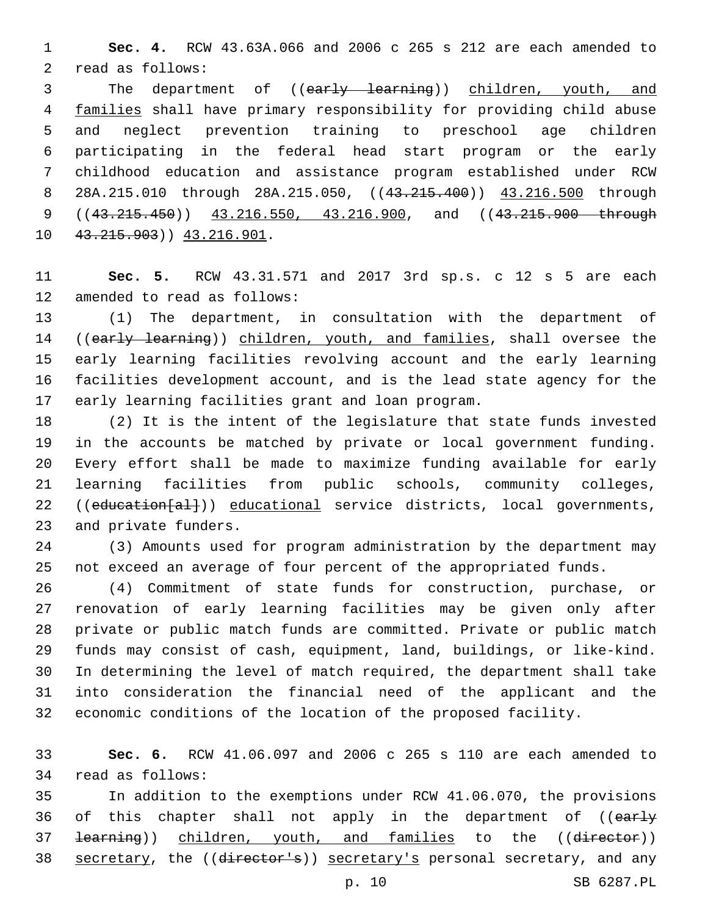**Sec. 4.** RCW 43.63A.066 and 2006 c 265 s 212 are each amended to 2 read as follows:

3 The department of ((early learning)) children, youth, and families shall have primary responsibility for providing child abuse and neglect prevention training to preschool age children participating in the federal head start program or the early childhood education and assistance program established under RCW 8 28A.215.010 through 28A.215.050, ((43.215.400)) 43.216.500 through 9 ((43.215.450)) 43.216.550, 43.216.900, and ((43.215.900 through 10 43.215.903) 43.216.901.

 **Sec. 5.** RCW 43.31.571 and 2017 3rd sp.s. c 12 s 5 are each 12 amended to read as follows:

 (1) The department, in consultation with the department of 14 ((early learning)) children, youth, and families, shall oversee the early learning facilities revolving account and the early learning facilities development account, and is the lead state agency for the 17 early learning facilities grant and loan program.

 (2) It is the intent of the legislature that state funds invested in the accounts be matched by private or local government funding. Every effort shall be made to maximize funding available for early learning facilities from public schools, community colleges, 22 ((education[al])) educational service districts, local governments, 23 and private funders.

 (3) Amounts used for program administration by the department may not exceed an average of four percent of the appropriated funds.

 (4) Commitment of state funds for construction, purchase, or renovation of early learning facilities may be given only after private or public match funds are committed. Private or public match funds may consist of cash, equipment, land, buildings, or like-kind. In determining the level of match required, the department shall take into consideration the financial need of the applicant and the economic conditions of the location of the proposed facility.

 **Sec. 6.** RCW 41.06.097 and 2006 c 265 s 110 are each amended to 34 read as follows:

 In addition to the exemptions under RCW 41.06.070, the provisions 36 of this chapter shall not apply in the department of ((early 37 <del>learning</del>)) children, youth, and families to the ((director)) 38 secretary, the ((director's)) secretary's personal secretary, and any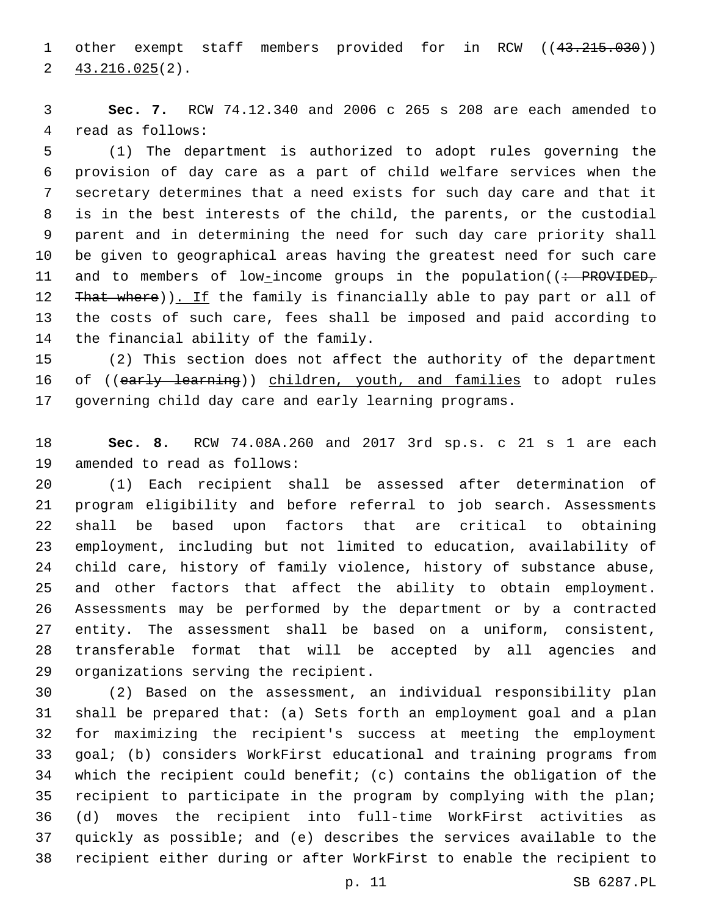1 other exempt staff members provided for in RCW ((43.215.030))  $2\frac{43.216.025(2)}{2}$ 

 **Sec. 7.** RCW 74.12.340 and 2006 c 265 s 208 are each amended to 4 read as follows:

 (1) The department is authorized to adopt rules governing the provision of day care as a part of child welfare services when the secretary determines that a need exists for such day care and that it is in the best interests of the child, the parents, or the custodial parent and in determining the need for such day care priority shall be given to geographical areas having the greatest need for such care 11 and to members of low-income groups in the population((: PROVIDED, 12 That where)). If the family is financially able to pay part or all of the costs of such care, fees shall be imposed and paid according to 14 the financial ability of the family.

 (2) This section does not affect the authority of the department 16 of ((early learning)) children, youth, and families to adopt rules governing child day care and early learning programs.

 **Sec. 8.** RCW 74.08A.260 and 2017 3rd sp.s. c 21 s 1 are each 19 amended to read as follows:

 (1) Each recipient shall be assessed after determination of program eligibility and before referral to job search. Assessments shall be based upon factors that are critical to obtaining employment, including but not limited to education, availability of child care, history of family violence, history of substance abuse, and other factors that affect the ability to obtain employment. Assessments may be performed by the department or by a contracted entity. The assessment shall be based on a uniform, consistent, transferable format that will be accepted by all agencies and 29 organizations serving the recipient.

 (2) Based on the assessment, an individual responsibility plan shall be prepared that: (a) Sets forth an employment goal and a plan for maximizing the recipient's success at meeting the employment goal; (b) considers WorkFirst educational and training programs from which the recipient could benefit; (c) contains the obligation of the recipient to participate in the program by complying with the plan; (d) moves the recipient into full-time WorkFirst activities as quickly as possible; and (e) describes the services available to the recipient either during or after WorkFirst to enable the recipient to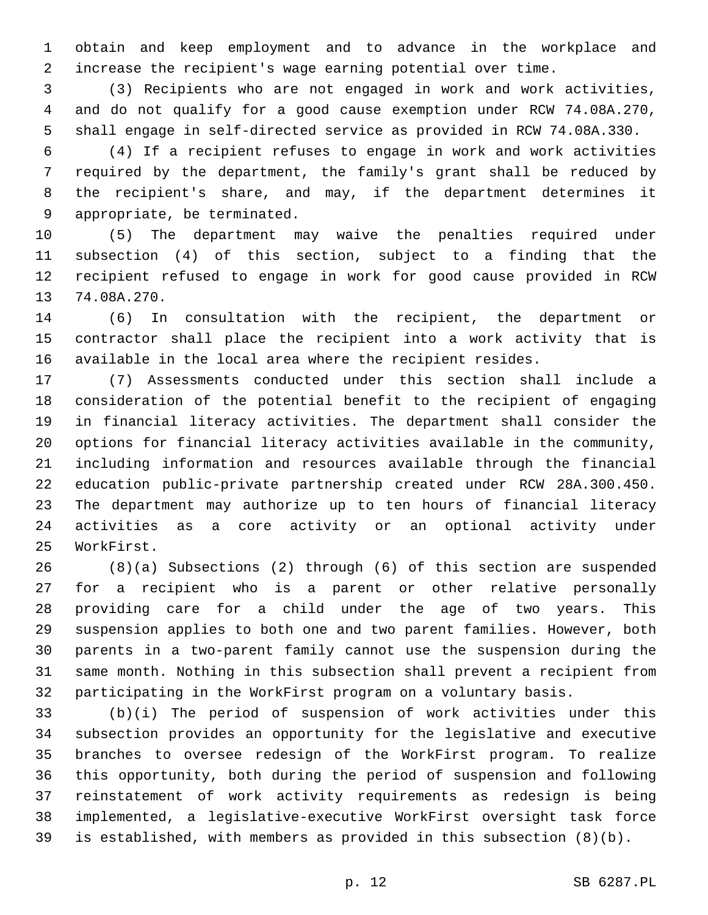obtain and keep employment and to advance in the workplace and increase the recipient's wage earning potential over time.

 (3) Recipients who are not engaged in work and work activities, and do not qualify for a good cause exemption under RCW 74.08A.270, shall engage in self-directed service as provided in RCW 74.08A.330.

 (4) If a recipient refuses to engage in work and work activities required by the department, the family's grant shall be reduced by the recipient's share, and may, if the department determines it 9 appropriate, be terminated.

 (5) The department may waive the penalties required under subsection (4) of this section, subject to a finding that the recipient refused to engage in work for good cause provided in RCW 13 74.08A.270.

 (6) In consultation with the recipient, the department or contractor shall place the recipient into a work activity that is available in the local area where the recipient resides.

 (7) Assessments conducted under this section shall include a consideration of the potential benefit to the recipient of engaging in financial literacy activities. The department shall consider the options for financial literacy activities available in the community, including information and resources available through the financial education public-private partnership created under RCW 28A.300.450. The department may authorize up to ten hours of financial literacy activities as a core activity or an optional activity under 25 WorkFirst.

 (8)(a) Subsections (2) through (6) of this section are suspended for a recipient who is a parent or other relative personally providing care for a child under the age of two years. This suspension applies to both one and two parent families. However, both parents in a two-parent family cannot use the suspension during the same month. Nothing in this subsection shall prevent a recipient from participating in the WorkFirst program on a voluntary basis.

 (b)(i) The period of suspension of work activities under this subsection provides an opportunity for the legislative and executive branches to oversee redesign of the WorkFirst program. To realize this opportunity, both during the period of suspension and following reinstatement of work activity requirements as redesign is being implemented, a legislative-executive WorkFirst oversight task force is established, with members as provided in this subsection (8)(b).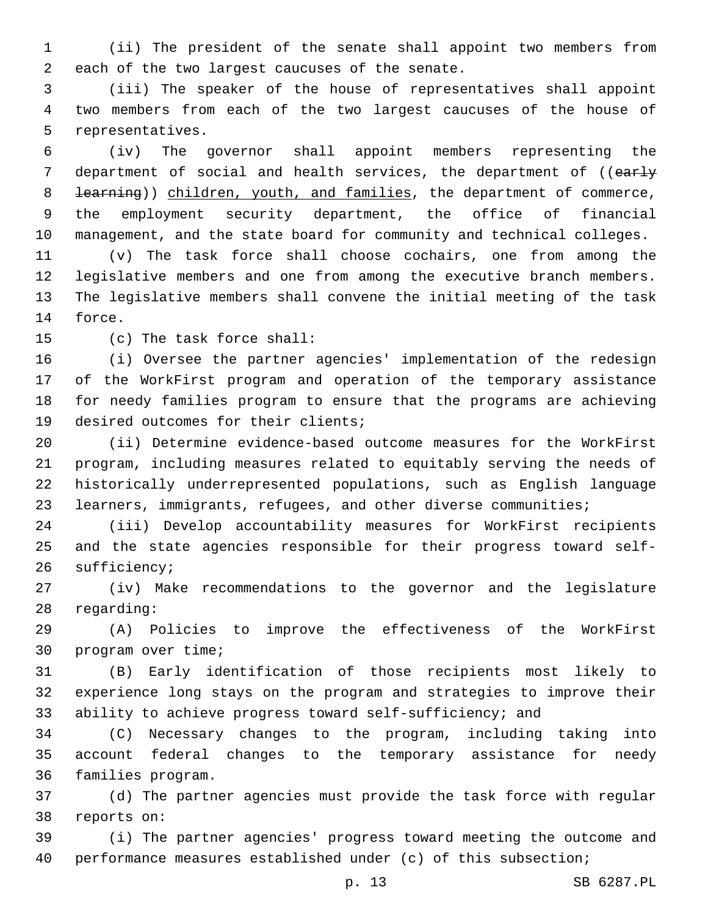(ii) The president of the senate shall appoint two members from 2 each of the two largest caucuses of the senate.

 (iii) The speaker of the house of representatives shall appoint two members from each of the two largest caucuses of the house of 5 representatives.

 (iv) The governor shall appoint members representing the 7 department of social and health services, the department of ((early 8 <del>learning</del>)) children, youth, and families, the department of commerce, the employment security department, the office of financial management, and the state board for community and technical colleges.

 (v) The task force shall choose cochairs, one from among the legislative members and one from among the executive branch members. The legislative members shall convene the initial meeting of the task 14 force.

15 (c) The task force shall:

 (i) Oversee the partner agencies' implementation of the redesign of the WorkFirst program and operation of the temporary assistance for needy families program to ensure that the programs are achieving 19 desired outcomes for their clients;

 (ii) Determine evidence-based outcome measures for the WorkFirst program, including measures related to equitably serving the needs of historically underrepresented populations, such as English language learners, immigrants, refugees, and other diverse communities;

 (iii) Develop accountability measures for WorkFirst recipients and the state agencies responsible for their progress toward self-26 sufficiency;

 (iv) Make recommendations to the governor and the legislature 28 regarding:

 (A) Policies to improve the effectiveness of the WorkFirst 30 program over time;

 (B) Early identification of those recipients most likely to experience long stays on the program and strategies to improve their ability to achieve progress toward self-sufficiency; and

 (C) Necessary changes to the program, including taking into account federal changes to the temporary assistance for needy 36 families program.

 (d) The partner agencies must provide the task force with regular 38 reports on:

 (i) The partner agencies' progress toward meeting the outcome and performance measures established under (c) of this subsection;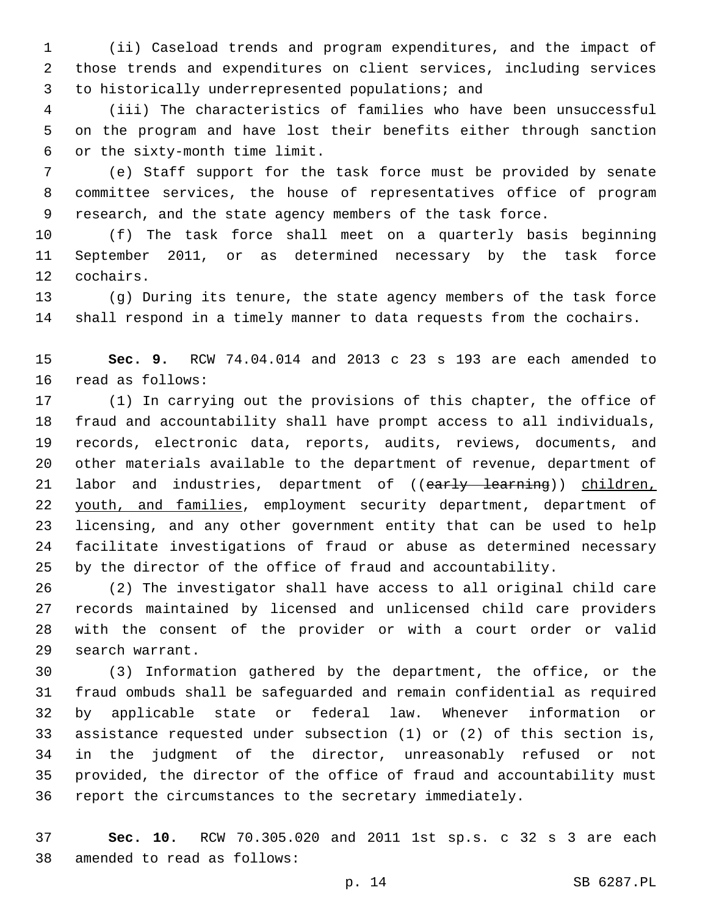(ii) Caseload trends and program expenditures, and the impact of those trends and expenditures on client services, including services 3 to historically underrepresented populations; and

 (iii) The characteristics of families who have been unsuccessful on the program and have lost their benefits either through sanction or the sixty-month time limit.6

 (e) Staff support for the task force must be provided by senate committee services, the house of representatives office of program research, and the state agency members of the task force.

 (f) The task force shall meet on a quarterly basis beginning September 2011, or as determined necessary by the task force 12 cochairs.

 (g) During its tenure, the state agency members of the task force shall respond in a timely manner to data requests from the cochairs.

 **Sec. 9.** RCW 74.04.014 and 2013 c 23 s 193 are each amended to 16 read as follows:

 (1) In carrying out the provisions of this chapter, the office of fraud and accountability shall have prompt access to all individuals, records, electronic data, reports, audits, reviews, documents, and other materials available to the department of revenue, department of 21 labor and industries, department of ((early learning)) children, 22 youth, and families, employment security department, department of licensing, and any other government entity that can be used to help facilitate investigations of fraud or abuse as determined necessary by the director of the office of fraud and accountability.

 (2) The investigator shall have access to all original child care records maintained by licensed and unlicensed child care providers with the consent of the provider or with a court order or valid 29 search warrant.

 (3) Information gathered by the department, the office, or the fraud ombuds shall be safeguarded and remain confidential as required by applicable state or federal law. Whenever information or assistance requested under subsection (1) or (2) of this section is, in the judgment of the director, unreasonably refused or not provided, the director of the office of fraud and accountability must report the circumstances to the secretary immediately.

 **Sec. 10.** RCW 70.305.020 and 2011 1st sp.s. c 32 s 3 are each 38 amended to read as follows: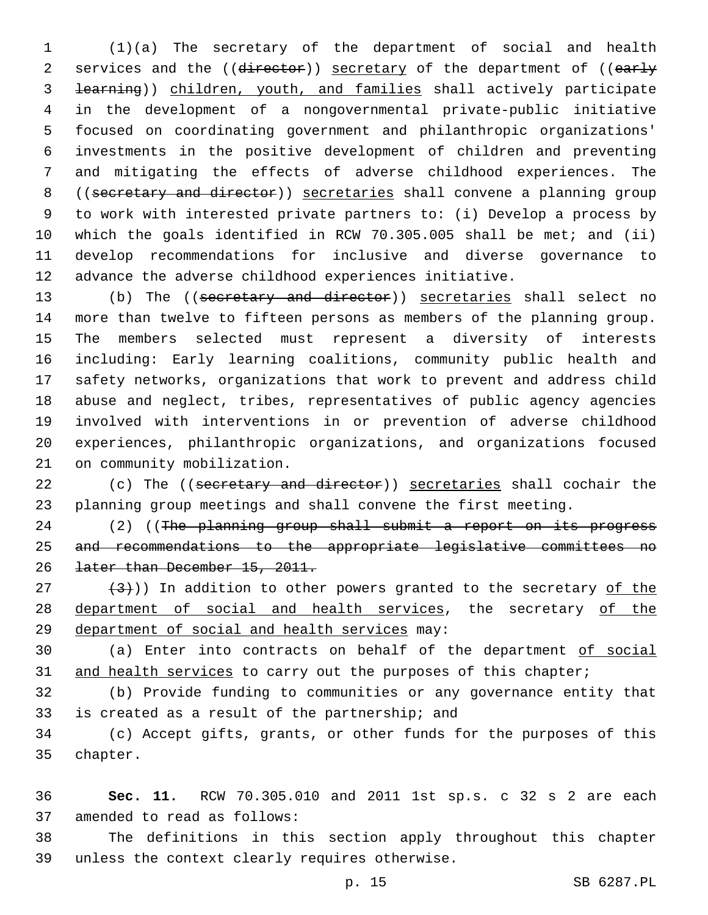(1)(a) The secretary of the department of social and health 2 services and the ((director)) secretary of the department of ((early learning)) children, youth, and families shall actively participate in the development of a nongovernmental private-public initiative focused on coordinating government and philanthropic organizations' investments in the positive development of children and preventing and mitigating the effects of adverse childhood experiences. The ((secretary and director)) secretaries shall convene a planning group to work with interested private partners to: (i) Develop a process by which the goals identified in RCW 70.305.005 shall be met; and (ii) develop recommendations for inclusive and diverse governance to advance the adverse childhood experiences initiative.

 (b) The ((secretary and director)) secretaries shall select no more than twelve to fifteen persons as members of the planning group. The members selected must represent a diversity of interests including: Early learning coalitions, community public health and safety networks, organizations that work to prevent and address child abuse and neglect, tribes, representatives of public agency agencies involved with interventions in or prevention of adverse childhood experiences, philanthropic organizations, and organizations focused 21 on community mobilization.

22 (c) The ((secretary and director)) secretaries shall cochair the planning group meetings and shall convene the first meeting.

24 (2) ((The planning group shall submit a report on its progress and recommendations to the appropriate legislative committees no later than December 15, 2011.

 $(3)$  (3)) In addition to other powers granted to the secretary of the 28 department of social and health services, the secretary of the 29 department of social and health services may:

 (a) Enter into contracts on behalf of the department of social 31 and health services to carry out the purposes of this chapter;

 (b) Provide funding to communities or any governance entity that 33 is created as a result of the partnership; and

 (c) Accept gifts, grants, or other funds for the purposes of this 35 chapter.

 **Sec. 11.** RCW 70.305.010 and 2011 1st sp.s. c 32 s 2 are each 37 amended to read as follows:

 The definitions in this section apply throughout this chapter 39 unless the context clearly requires otherwise.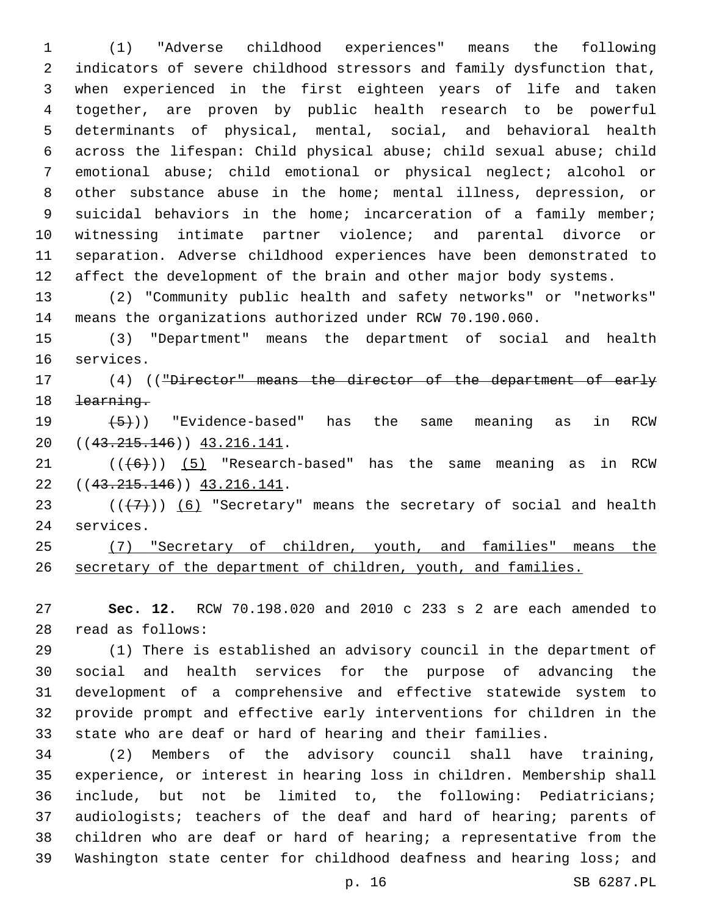(1) "Adverse childhood experiences" means the following indicators of severe childhood stressors and family dysfunction that, when experienced in the first eighteen years of life and taken together, are proven by public health research to be powerful determinants of physical, mental, social, and behavioral health across the lifespan: Child physical abuse; child sexual abuse; child emotional abuse; child emotional or physical neglect; alcohol or other substance abuse in the home; mental illness, depression, or 9 suicidal behaviors in the home; incarceration of a family member; witnessing intimate partner violence; and parental divorce or separation. Adverse childhood experiences have been demonstrated to 12 affect the development of the brain and other major body systems.

 (2) "Community public health and safety networks" or "networks" means the organizations authorized under RCW 70.190.060.

 (3) "Department" means the department of social and health 16 services.

17 (4) (("Director" means the director of the department of early learning.

 $(5)$ ) "Evidence-based" has the same meaning as in RCW 20 ((43.215.146)) 43.216.141.

 ( $(\overline{6})$ ) (5) "Research-based" has the same meaning as in RCW 22 ((43.215.146)) 43.216.141.

23  $((+7))$   $(6)$  "Secretary" means the secretary of social and health 24 services.

 (7) "Secretary of children, youth, and families" means the secretary of the department of children, youth, and families.

 **Sec. 12.** RCW 70.198.020 and 2010 c 233 s 2 are each amended to read as follows:28

 (1) There is established an advisory council in the department of social and health services for the purpose of advancing the development of a comprehensive and effective statewide system to provide prompt and effective early interventions for children in the state who are deaf or hard of hearing and their families.

 (2) Members of the advisory council shall have training, experience, or interest in hearing loss in children. Membership shall include, but not be limited to, the following: Pediatricians; audiologists; teachers of the deaf and hard of hearing; parents of children who are deaf or hard of hearing; a representative from the Washington state center for childhood deafness and hearing loss; and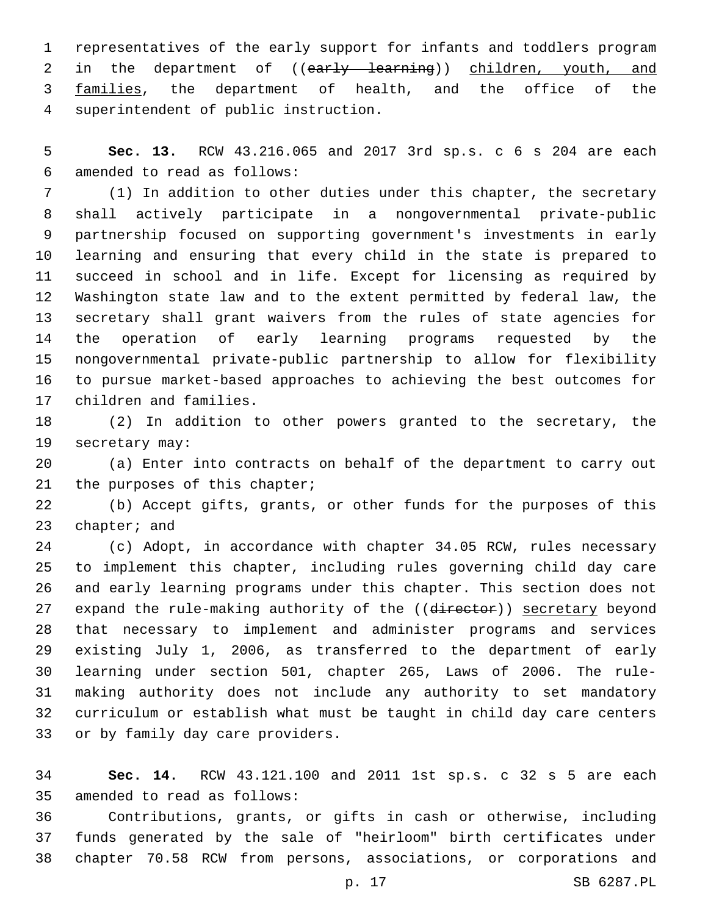representatives of the early support for infants and toddlers program 2 in the department of ((early learning)) children, youth, and 3 families, the department of health, and the office of the superintendent of public instruction.4

 **Sec. 13.** RCW 43.216.065 and 2017 3rd sp.s. c 6 s 204 are each amended to read as follows:6

 (1) In addition to other duties under this chapter, the secretary shall actively participate in a nongovernmental private-public partnership focused on supporting government's investments in early learning and ensuring that every child in the state is prepared to succeed in school and in life. Except for licensing as required by Washington state law and to the extent permitted by federal law, the secretary shall grant waivers from the rules of state agencies for the operation of early learning programs requested by the nongovernmental private-public partnership to allow for flexibility to pursue market-based approaches to achieving the best outcomes for 17 children and families.

 (2) In addition to other powers granted to the secretary, the 19 secretary may:

 (a) Enter into contracts on behalf of the department to carry out 21 the purposes of this chapter;

 (b) Accept gifts, grants, or other funds for the purposes of this 23 chapter; and

 (c) Adopt, in accordance with chapter 34.05 RCW, rules necessary to implement this chapter, including rules governing child day care and early learning programs under this chapter. This section does not 27 expand the rule-making authority of the ((director)) secretary beyond that necessary to implement and administer programs and services existing July 1, 2006, as transferred to the department of early learning under section 501, chapter 265, Laws of 2006. The rule- making authority does not include any authority to set mandatory curriculum or establish what must be taught in child day care centers 33 or by family day care providers.

 **Sec. 14.** RCW 43.121.100 and 2011 1st sp.s. c 32 s 5 are each 35 amended to read as follows:

 Contributions, grants, or gifts in cash or otherwise, including funds generated by the sale of "heirloom" birth certificates under chapter 70.58 RCW from persons, associations, or corporations and

p. 17 SB 6287.PL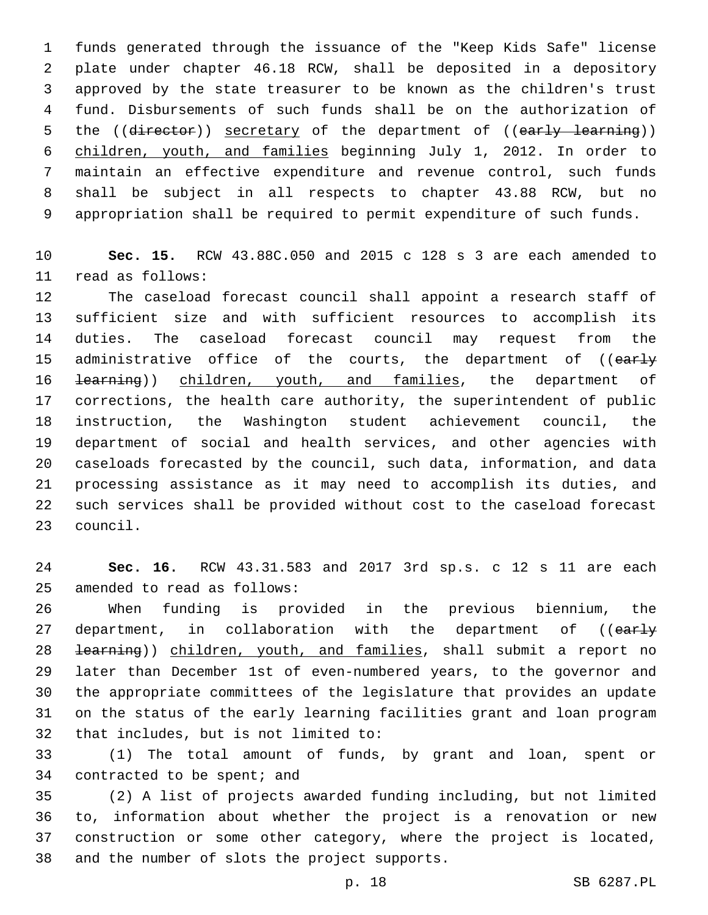funds generated through the issuance of the "Keep Kids Safe" license plate under chapter 46.18 RCW, shall be deposited in a depository approved by the state treasurer to be known as the children's trust fund. Disbursements of such funds shall be on the authorization of 5 the ((director)) secretary of the department of ((early learning)) children, youth, and families beginning July 1, 2012. In order to maintain an effective expenditure and revenue control, such funds shall be subject in all respects to chapter 43.88 RCW, but no appropriation shall be required to permit expenditure of such funds.

 **Sec. 15.** RCW 43.88C.050 and 2015 c 128 s 3 are each amended to read as follows:11

 The caseload forecast council shall appoint a research staff of sufficient size and with sufficient resources to accomplish its duties. The caseload forecast council may request from the 15 administrative office of the courts, the department of ((early 16 <del>learning</del>)) children, youth, and families, the department of corrections, the health care authority, the superintendent of public instruction, the Washington student achievement council, the department of social and health services, and other agencies with caseloads forecasted by the council, such data, information, and data processing assistance as it may need to accomplish its duties, and such services shall be provided without cost to the caseload forecast 23 council.

 **Sec. 16.** RCW 43.31.583 and 2017 3rd sp.s. c 12 s 11 are each 25 amended to read as follows:

 When funding is provided in the previous biennium, the 27 department, in collaboration with the department of ((early 28 <del>learning</del>)) children, youth, and families, shall submit a report no later than December 1st of even-numbered years, to the governor and the appropriate committees of the legislature that provides an update on the status of the early learning facilities grant and loan program 32 that includes, but is not limited to:

 (1) The total amount of funds, by grant and loan, spent or 34 contracted to be spent; and

 (2) A list of projects awarded funding including, but not limited to, information about whether the project is a renovation or new construction or some other category, where the project is located, 38 and the number of slots the project supports.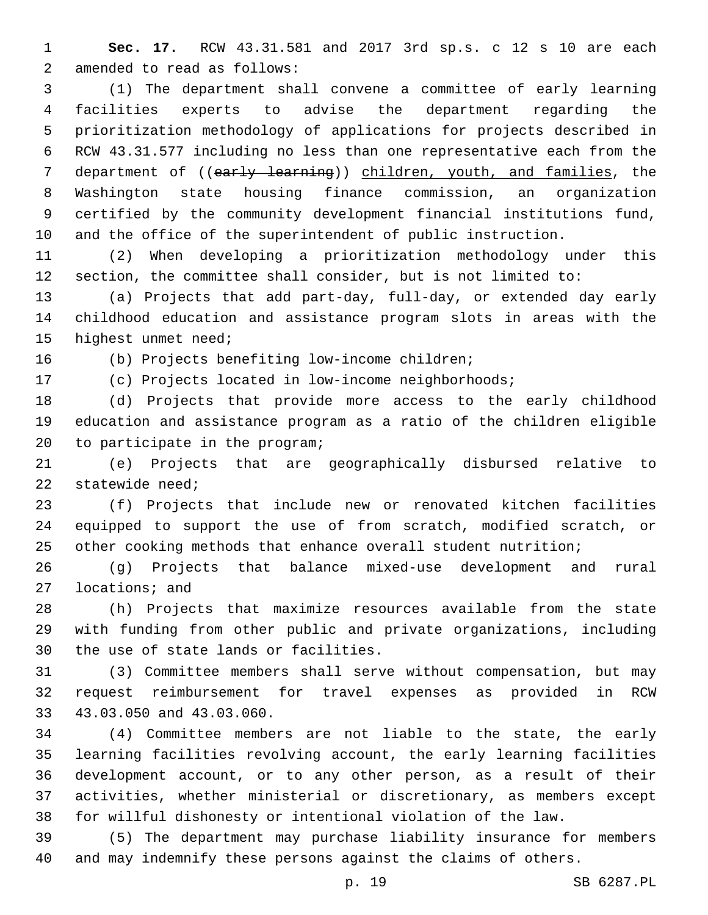**Sec. 17.** RCW 43.31.581 and 2017 3rd sp.s. c 12 s 10 are each 2 amended to read as follows:

 (1) The department shall convene a committee of early learning facilities experts to advise the department regarding the prioritization methodology of applications for projects described in RCW 43.31.577 including no less than one representative each from the 7 department of ((early learning)) children, youth, and families, the Washington state housing finance commission, an organization certified by the community development financial institutions fund, and the office of the superintendent of public instruction.

 (2) When developing a prioritization methodology under this section, the committee shall consider, but is not limited to:

 (a) Projects that add part-day, full-day, or extended day early childhood education and assistance program slots in areas with the 15 highest unmet need;

16 (b) Projects benefiting low-income children;

(c) Projects located in low-income neighborhoods;

 (d) Projects that provide more access to the early childhood education and assistance program as a ratio of the children eligible 20 to participate in the program;

 (e) Projects that are geographically disbursed relative to statewide need;

 (f) Projects that include new or renovated kitchen facilities equipped to support the use of from scratch, modified scratch, or other cooking methods that enhance overall student nutrition;

 (g) Projects that balance mixed-use development and rural 27 locations; and

 (h) Projects that maximize resources available from the state with funding from other public and private organizations, including 30 the use of state lands or facilities.

 (3) Committee members shall serve without compensation, but may request reimbursement for travel expenses as provided in RCW 33 43.03.050 and 43.03.060.

 (4) Committee members are not liable to the state, the early learning facilities revolving account, the early learning facilities development account, or to any other person, as a result of their activities, whether ministerial or discretionary, as members except for willful dishonesty or intentional violation of the law.

 (5) The department may purchase liability insurance for members and may indemnify these persons against the claims of others.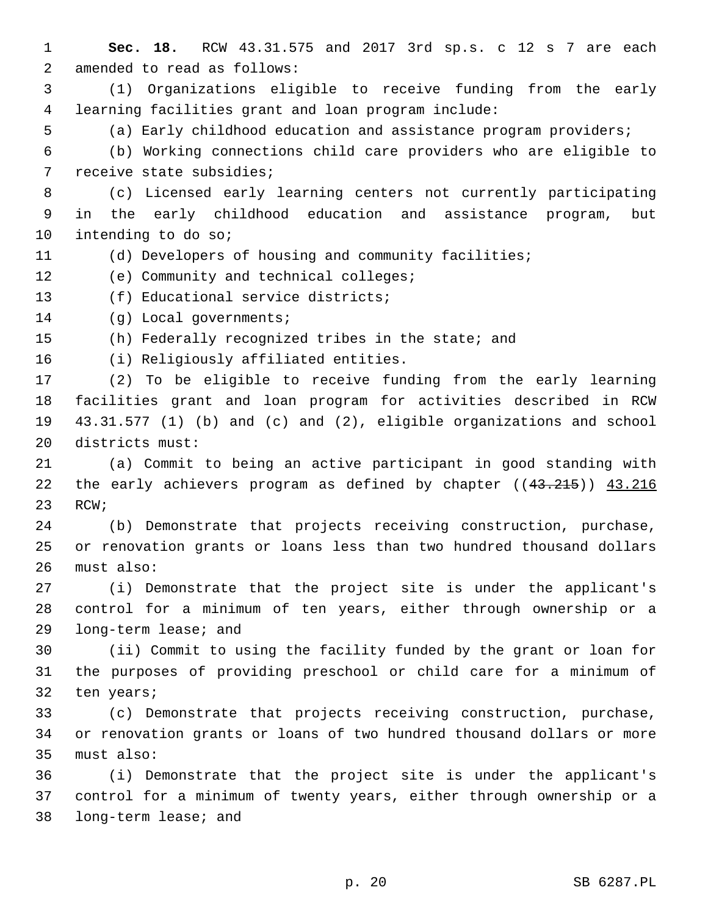**Sec. 18.** RCW 43.31.575 and 2017 3rd sp.s. c 12 s 7 are each 2 amended to read as follows: (1) Organizations eligible to receive funding from the early learning facilities grant and loan program include: (a) Early childhood education and assistance program providers; (b) Working connections child care providers who are eligible to 7 receive state subsidies; (c) Licensed early learning centers not currently participating in the early childhood education and assistance program, but 10 intending to do so; (d) Developers of housing and community facilities; 12 (e) Community and technical colleges; 13 (f) Educational service districts; 14 (g) Local governments; (h) Federally recognized tribes in the state; and 16 (i) Religiously affiliated entities. (2) To be eligible to receive funding from the early learning facilities grant and loan program for activities described in RCW 43.31.577 (1) (b) and (c) and (2), eligible organizations and school 20 districts must: (a) Commit to being an active participant in good standing with 22 the early achievers program as defined by chapter ((43.215)) 43.216 23 RCW; (b) Demonstrate that projects receiving construction, purchase, or renovation grants or loans less than two hundred thousand dollars 26 must also: (i) Demonstrate that the project site is under the applicant's control for a minimum of ten years, either through ownership or a 29 long-term lease; and (ii) Commit to using the facility funded by the grant or loan for the purposes of providing preschool or child care for a minimum of 32 ten years; (c) Demonstrate that projects receiving construction, purchase, or renovation grants or loans of two hundred thousand dollars or more 35 must also: (i) Demonstrate that the project site is under the applicant's control for a minimum of twenty years, either through ownership or a 38 long-term lease; and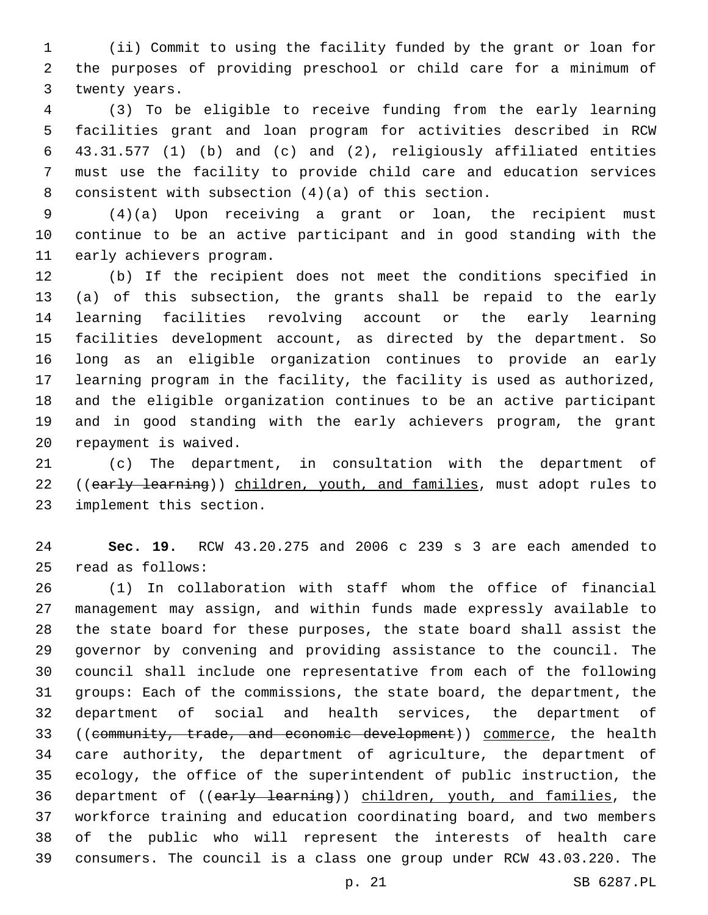(ii) Commit to using the facility funded by the grant or loan for the purposes of providing preschool or child care for a minimum of 3 twenty years.

 (3) To be eligible to receive funding from the early learning facilities grant and loan program for activities described in RCW 43.31.577 (1) (b) and (c) and (2), religiously affiliated entities must use the facility to provide child care and education services 8 consistent with subsection  $(4)(a)$  of this section.

 (4)(a) Upon receiving a grant or loan, the recipient must continue to be an active participant and in good standing with the 11 early achievers program.

 (b) If the recipient does not meet the conditions specified in (a) of this subsection, the grants shall be repaid to the early learning facilities revolving account or the early learning facilities development account, as directed by the department. So long as an eligible organization continues to provide an early learning program in the facility, the facility is used as authorized, and the eligible organization continues to be an active participant and in good standing with the early achievers program, the grant 20 repayment is waived.

 (c) The department, in consultation with the department of 22 ((early learning)) children, youth, and families, must adopt rules to 23 implement this section.

 **Sec. 19.** RCW 43.20.275 and 2006 c 239 s 3 are each amended to read as follows:25

 (1) In collaboration with staff whom the office of financial management may assign, and within funds made expressly available to the state board for these purposes, the state board shall assist the governor by convening and providing assistance to the council. The council shall include one representative from each of the following groups: Each of the commissions, the state board, the department, the department of social and health services, the department of 33 ((community, trade, and economic development)) commerce, the health care authority, the department of agriculture, the department of ecology, the office of the superintendent of public instruction, the 36 department of ((early learning)) children, youth, and families, the workforce training and education coordinating board, and two members of the public who will represent the interests of health care consumers. The council is a class one group under RCW 43.03.220. The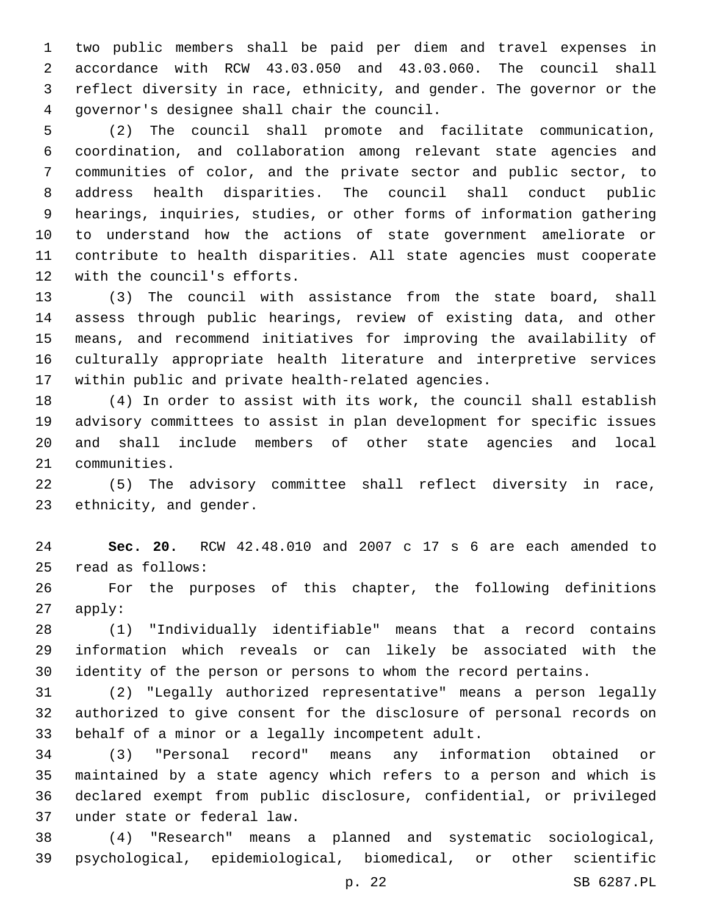two public members shall be paid per diem and travel expenses in accordance with RCW 43.03.050 and 43.03.060. The council shall reflect diversity in race, ethnicity, and gender. The governor or the governor's designee shall chair the council.4

 (2) The council shall promote and facilitate communication, coordination, and collaboration among relevant state agencies and communities of color, and the private sector and public sector, to address health disparities. The council shall conduct public hearings, inquiries, studies, or other forms of information gathering to understand how the actions of state government ameliorate or contribute to health disparities. All state agencies must cooperate 12 with the council's efforts.

 (3) The council with assistance from the state board, shall assess through public hearings, review of existing data, and other means, and recommend initiatives for improving the availability of culturally appropriate health literature and interpretive services within public and private health-related agencies.

 (4) In order to assist with its work, the council shall establish advisory committees to assist in plan development for specific issues and shall include members of other state agencies and local 21 communities.

 (5) The advisory committee shall reflect diversity in race, 23 ethnicity, and gender.

 **Sec. 20.** RCW 42.48.010 and 2007 c 17 s 6 are each amended to read as follows:25

 For the purposes of this chapter, the following definitions apply:

 (1) "Individually identifiable" means that a record contains information which reveals or can likely be associated with the identity of the person or persons to whom the record pertains.

 (2) "Legally authorized representative" means a person legally authorized to give consent for the disclosure of personal records on 33 behalf of a minor or a legally incompetent adult.

 (3) "Personal record" means any information obtained or maintained by a state agency which refers to a person and which is declared exempt from public disclosure, confidential, or privileged under state or federal law.37

 (4) "Research" means a planned and systematic sociological, psychological, epidemiological, biomedical, or other scientific

p. 22 SB 6287.PL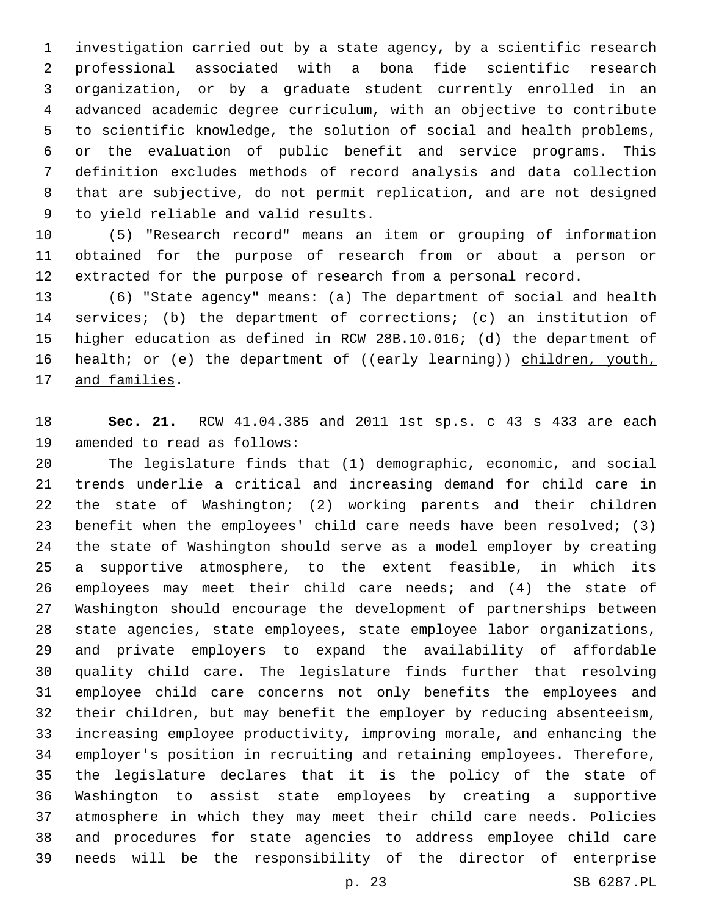investigation carried out by a state agency, by a scientific research professional associated with a bona fide scientific research organization, or by a graduate student currently enrolled in an advanced academic degree curriculum, with an objective to contribute to scientific knowledge, the solution of social and health problems, or the evaluation of public benefit and service programs. This definition excludes methods of record analysis and data collection that are subjective, do not permit replication, and are not designed 9 to yield reliable and valid results.

 (5) "Research record" means an item or grouping of information obtained for the purpose of research from or about a person or extracted for the purpose of research from a personal record.

 (6) "State agency" means: (a) The department of social and health services; (b) the department of corrections; (c) an institution of higher education as defined in RCW 28B.10.016; (d) the department of 16 health; or (e) the department of ((early learning)) children, youth, 17 and families.

 **Sec. 21.** RCW 41.04.385 and 2011 1st sp.s. c 43 s 433 are each 19 amended to read as follows:

 The legislature finds that (1) demographic, economic, and social trends underlie a critical and increasing demand for child care in the state of Washington; (2) working parents and their children benefit when the employees' child care needs have been resolved; (3) the state of Washington should serve as a model employer by creating a supportive atmosphere, to the extent feasible, in which its employees may meet their child care needs; and (4) the state of Washington should encourage the development of partnerships between state agencies, state employees, state employee labor organizations, and private employers to expand the availability of affordable quality child care. The legislature finds further that resolving employee child care concerns not only benefits the employees and their children, but may benefit the employer by reducing absenteeism, increasing employee productivity, improving morale, and enhancing the employer's position in recruiting and retaining employees. Therefore, the legislature declares that it is the policy of the state of Washington to assist state employees by creating a supportive atmosphere in which they may meet their child care needs. Policies and procedures for state agencies to address employee child care needs will be the responsibility of the director of enterprise

p. 23 SB 6287.PL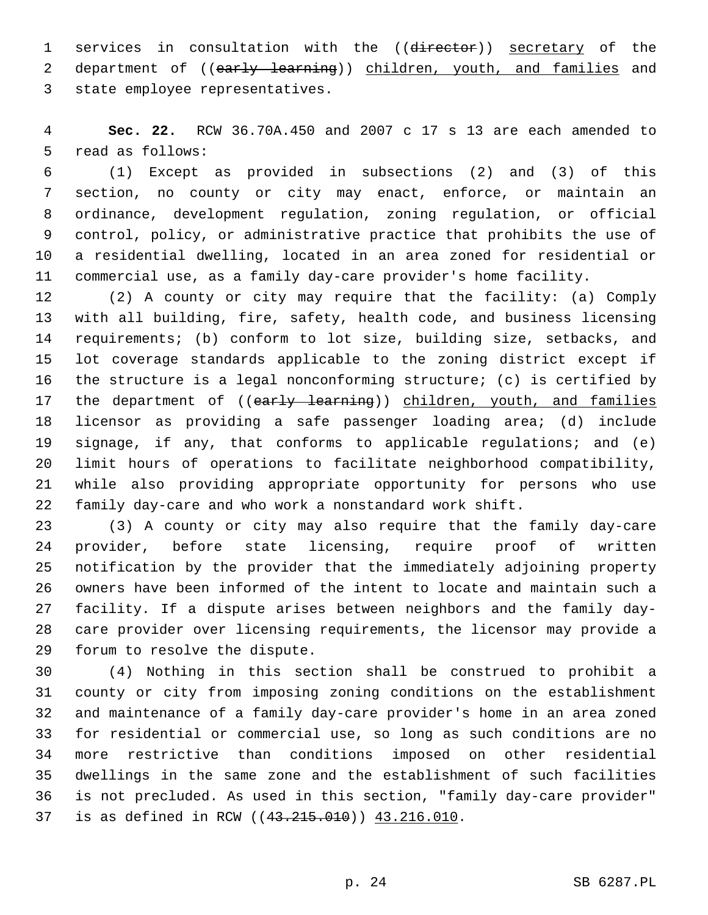1 services in consultation with the ((director)) secretary of the 2 department of ((early learning)) children, youth, and families and 3 state employee representatives.

 **Sec. 22.** RCW 36.70A.450 and 2007 c 17 s 13 are each amended to 5 read as follows:

 (1) Except as provided in subsections (2) and (3) of this section, no county or city may enact, enforce, or maintain an ordinance, development regulation, zoning regulation, or official control, policy, or administrative practice that prohibits the use of a residential dwelling, located in an area zoned for residential or commercial use, as a family day-care provider's home facility.

 (2) A county or city may require that the facility: (a) Comply with all building, fire, safety, health code, and business licensing requirements; (b) conform to lot size, building size, setbacks, and lot coverage standards applicable to the zoning district except if the structure is a legal nonconforming structure; (c) is certified by 17 the department of ((early learning)) children, youth, and families licensor as providing a safe passenger loading area; (d) include signage, if any, that conforms to applicable regulations; and (e) limit hours of operations to facilitate neighborhood compatibility, while also providing appropriate opportunity for persons who use family day-care and who work a nonstandard work shift.

 (3) A county or city may also require that the family day-care provider, before state licensing, require proof of written notification by the provider that the immediately adjoining property owners have been informed of the intent to locate and maintain such a facility. If a dispute arises between neighbors and the family day- care provider over licensing requirements, the licensor may provide a 29 forum to resolve the dispute.

 (4) Nothing in this section shall be construed to prohibit a county or city from imposing zoning conditions on the establishment and maintenance of a family day-care provider's home in an area zoned for residential or commercial use, so long as such conditions are no more restrictive than conditions imposed on other residential dwellings in the same zone and the establishment of such facilities is not precluded. As used in this section, "family day-care provider" 37 is as defined in RCW ((43.215.010)) 43.216.010.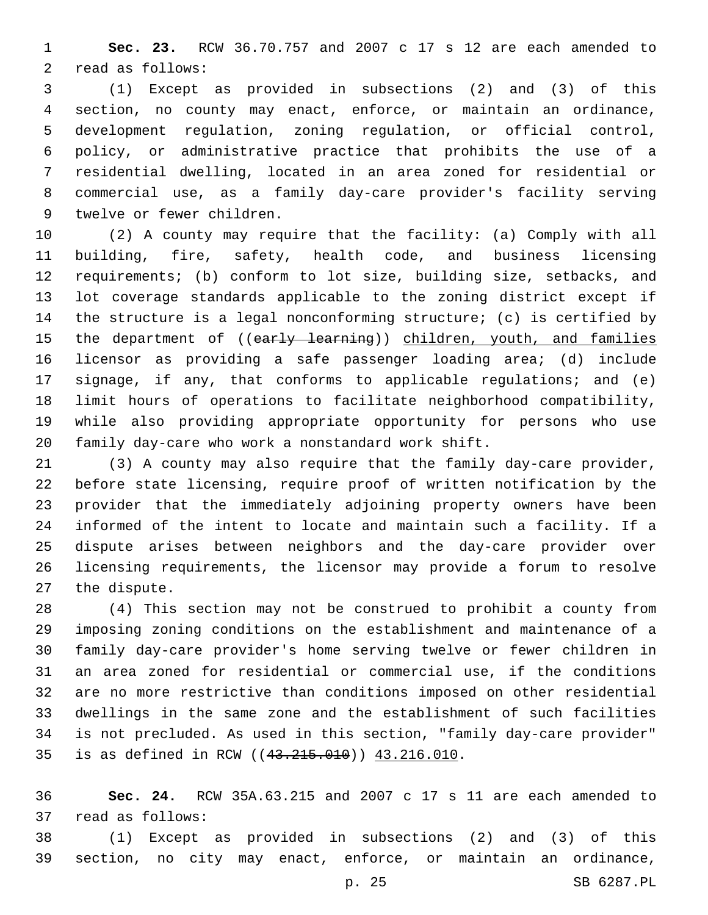**Sec. 23.** RCW 36.70.757 and 2007 c 17 s 12 are each amended to 2 read as follows:

 (1) Except as provided in subsections (2) and (3) of this section, no county may enact, enforce, or maintain an ordinance, development regulation, zoning regulation, or official control, policy, or administrative practice that prohibits the use of a residential dwelling, located in an area zoned for residential or commercial use, as a family day-care provider's facility serving 9 twelve or fewer children.

 (2) A county may require that the facility: (a) Comply with all building, fire, safety, health code, and business licensing requirements; (b) conform to lot size, building size, setbacks, and lot coverage standards applicable to the zoning district except if the structure is a legal nonconforming structure; (c) is certified by 15 the department of ((early learning)) children, youth, and families licensor as providing a safe passenger loading area; (d) include signage, if any, that conforms to applicable regulations; and (e) limit hours of operations to facilitate neighborhood compatibility, while also providing appropriate opportunity for persons who use family day-care who work a nonstandard work shift.

 (3) A county may also require that the family day-care provider, before state licensing, require proof of written notification by the provider that the immediately adjoining property owners have been informed of the intent to locate and maintain such a facility. If a dispute arises between neighbors and the day-care provider over licensing requirements, the licensor may provide a forum to resolve 27 the dispute.

 (4) This section may not be construed to prohibit a county from imposing zoning conditions on the establishment and maintenance of a family day-care provider's home serving twelve or fewer children in an area zoned for residential or commercial use, if the conditions are no more restrictive than conditions imposed on other residential dwellings in the same zone and the establishment of such facilities is not precluded. As used in this section, "family day-care provider" 35 is as defined in RCW ((43.215.010)) 43.216.010.

 **Sec. 24.** RCW 35A.63.215 and 2007 c 17 s 11 are each amended to 37 read as follows:

 (1) Except as provided in subsections (2) and (3) of this section, no city may enact, enforce, or maintain an ordinance,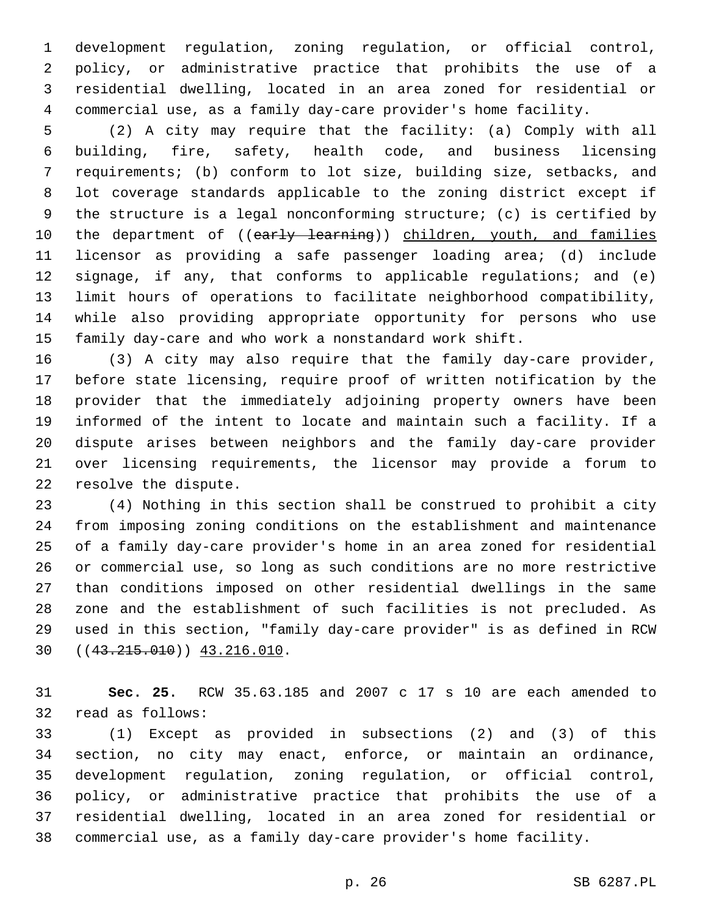development regulation, zoning regulation, or official control, policy, or administrative practice that prohibits the use of a residential dwelling, located in an area zoned for residential or commercial use, as a family day-care provider's home facility.

 (2) A city may require that the facility: (a) Comply with all building, fire, safety, health code, and business licensing requirements; (b) conform to lot size, building size, setbacks, and lot coverage standards applicable to the zoning district except if the structure is a legal nonconforming structure; (c) is certified by 10 the department of ((early learning)) children, youth, and families licensor as providing a safe passenger loading area; (d) include signage, if any, that conforms to applicable regulations; and (e) limit hours of operations to facilitate neighborhood compatibility, while also providing appropriate opportunity for persons who use family day-care and who work a nonstandard work shift.

 (3) A city may also require that the family day-care provider, before state licensing, require proof of written notification by the provider that the immediately adjoining property owners have been informed of the intent to locate and maintain such a facility. If a dispute arises between neighbors and the family day-care provider over licensing requirements, the licensor may provide a forum to 22 resolve the dispute.

 (4) Nothing in this section shall be construed to prohibit a city from imposing zoning conditions on the establishment and maintenance of a family day-care provider's home in an area zoned for residential or commercial use, so long as such conditions are no more restrictive than conditions imposed on other residential dwellings in the same zone and the establishment of such facilities is not precluded. As used in this section, "family day-care provider" is as defined in RCW  $(43.215.010)$   $(43.215.010)$ 

 **Sec. 25.** RCW 35.63.185 and 2007 c 17 s 10 are each amended to 32 read as follows:

 (1) Except as provided in subsections (2) and (3) of this section, no city may enact, enforce, or maintain an ordinance, development regulation, zoning regulation, or official control, policy, or administrative practice that prohibits the use of a residential dwelling, located in an area zoned for residential or commercial use, as a family day-care provider's home facility.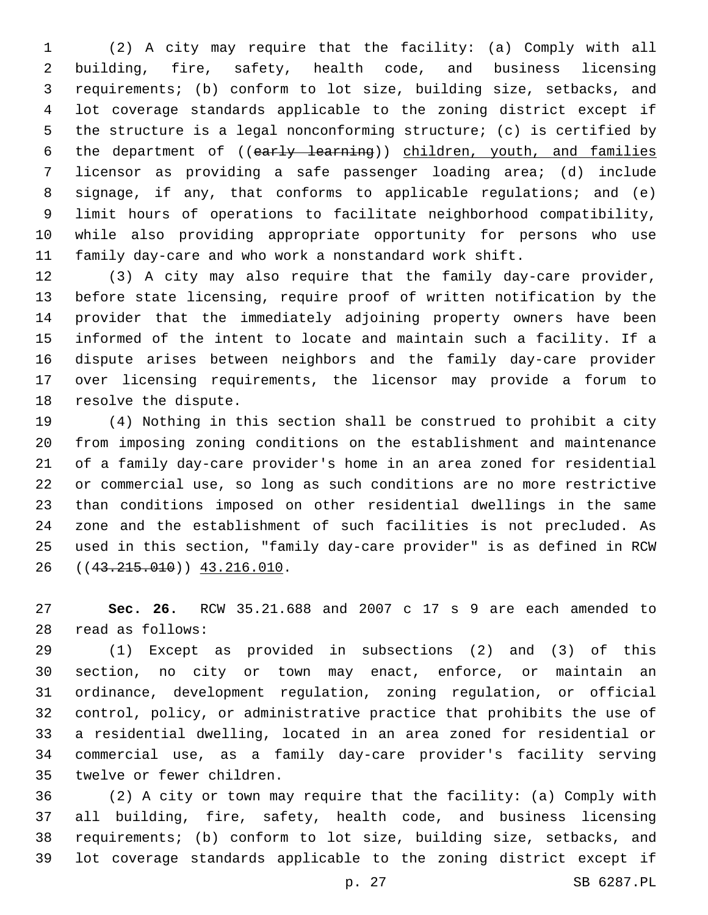(2) A city may require that the facility: (a) Comply with all building, fire, safety, health code, and business licensing requirements; (b) conform to lot size, building size, setbacks, and lot coverage standards applicable to the zoning district except if the structure is a legal nonconforming structure; (c) is certified by 6 the department of ((early learning)) children, youth, and families licensor as providing a safe passenger loading area; (d) include signage, if any, that conforms to applicable regulations; and (e) limit hours of operations to facilitate neighborhood compatibility, while also providing appropriate opportunity for persons who use family day-care and who work a nonstandard work shift.

 (3) A city may also require that the family day-care provider, before state licensing, require proof of written notification by the provider that the immediately adjoining property owners have been informed of the intent to locate and maintain such a facility. If a dispute arises between neighbors and the family day-care provider over licensing requirements, the licensor may provide a forum to 18 resolve the dispute.

 (4) Nothing in this section shall be construed to prohibit a city from imposing zoning conditions on the establishment and maintenance of a family day-care provider's home in an area zoned for residential or commercial use, so long as such conditions are no more restrictive than conditions imposed on other residential dwellings in the same zone and the establishment of such facilities is not precluded. As used in this section, "family day-care provider" is as defined in RCW 26 ((43.215.010)) 43.216.010.

 **Sec. 26.** RCW 35.21.688 and 2007 c 17 s 9 are each amended to read as follows:28

 (1) Except as provided in subsections (2) and (3) of this section, no city or town may enact, enforce, or maintain an ordinance, development regulation, zoning regulation, or official control, policy, or administrative practice that prohibits the use of a residential dwelling, located in an area zoned for residential or commercial use, as a family day-care provider's facility serving 35 twelve or fewer children.

 (2) A city or town may require that the facility: (a) Comply with all building, fire, safety, health code, and business licensing requirements; (b) conform to lot size, building size, setbacks, and lot coverage standards applicable to the zoning district except if

p. 27 SB 6287.PL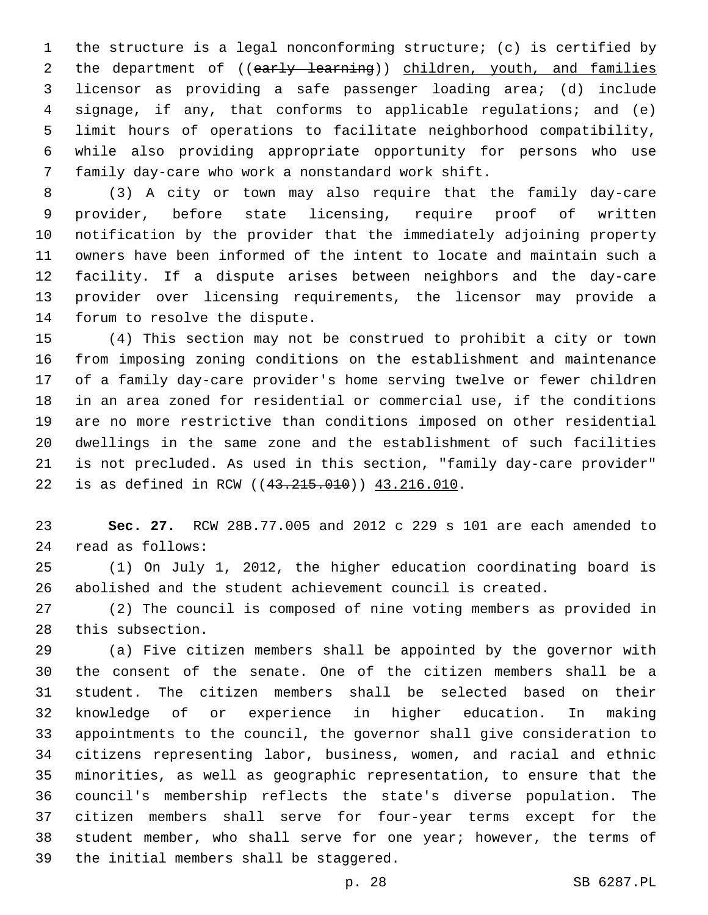the structure is a legal nonconforming structure; (c) is certified by 2 the department of ((early learning)) children, youth, and families licensor as providing a safe passenger loading area; (d) include signage, if any, that conforms to applicable regulations; and (e) limit hours of operations to facilitate neighborhood compatibility, while also providing appropriate opportunity for persons who use 7 family day-care who work a nonstandard work shift.

 (3) A city or town may also require that the family day-care provider, before state licensing, require proof of written notification by the provider that the immediately adjoining property owners have been informed of the intent to locate and maintain such a facility. If a dispute arises between neighbors and the day-care provider over licensing requirements, the licensor may provide a 14 forum to resolve the dispute.

 (4) This section may not be construed to prohibit a city or town from imposing zoning conditions on the establishment and maintenance of a family day-care provider's home serving twelve or fewer children in an area zoned for residential or commercial use, if the conditions are no more restrictive than conditions imposed on other residential dwellings in the same zone and the establishment of such facilities is not precluded. As used in this section, "family day-care provider" 22 is as defined in RCW ((43.215.010)) 43.216.010.

 **Sec. 27.** RCW 28B.77.005 and 2012 c 229 s 101 are each amended to read as follows:24

 (1) On July 1, 2012, the higher education coordinating board is abolished and the student achievement council is created.

 (2) The council is composed of nine voting members as provided in 28 this subsection.

 (a) Five citizen members shall be appointed by the governor with the consent of the senate. One of the citizen members shall be a student. The citizen members shall be selected based on their knowledge of or experience in higher education. In making appointments to the council, the governor shall give consideration to citizens representing labor, business, women, and racial and ethnic minorities, as well as geographic representation, to ensure that the council's membership reflects the state's diverse population. The citizen members shall serve for four-year terms except for the 38 student member, who shall serve for one year; however, the terms of 39 the initial members shall be staggered.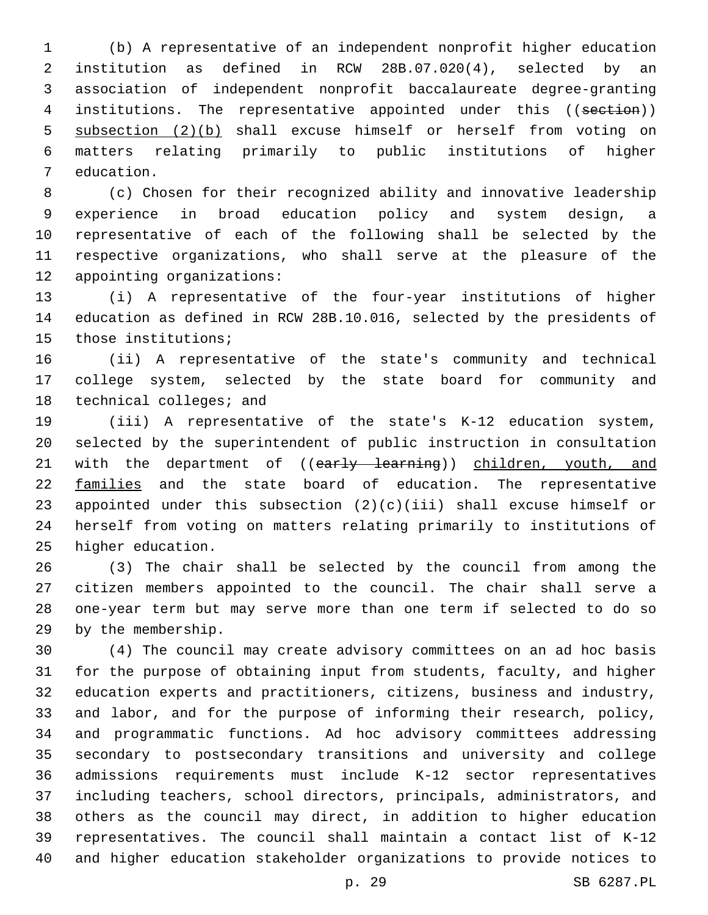(b) A representative of an independent nonprofit higher education institution as defined in RCW 28B.07.020(4), selected by an association of independent nonprofit baccalaureate degree-granting 4 institutions. The representative appointed under this ((section)) subsection (2)(b) shall excuse himself or herself from voting on matters relating primarily to public institutions of higher 7 education.

 (c) Chosen for their recognized ability and innovative leadership experience in broad education policy and system design, a representative of each of the following shall be selected by the respective organizations, who shall serve at the pleasure of the 12 appointing organizations:

 (i) A representative of the four-year institutions of higher education as defined in RCW 28B.10.016, selected by the presidents of 15 those institutions;

 (ii) A representative of the state's community and technical college system, selected by the state board for community and 18 technical colleges; and

 (iii) A representative of the state's K-12 education system, selected by the superintendent of public instruction in consultation 21 with the department of ((early learning)) children, youth, and families and the state board of education. The representative appointed under this subsection (2)(c)(iii) shall excuse himself or herself from voting on matters relating primarily to institutions of 25 higher education.

 (3) The chair shall be selected by the council from among the citizen members appointed to the council. The chair shall serve a one-year term but may serve more than one term if selected to do so 29 by the membership.

 (4) The council may create advisory committees on an ad hoc basis for the purpose of obtaining input from students, faculty, and higher education experts and practitioners, citizens, business and industry, and labor, and for the purpose of informing their research, policy, and programmatic functions. Ad hoc advisory committees addressing secondary to postsecondary transitions and university and college admissions requirements must include K-12 sector representatives including teachers, school directors, principals, administrators, and others as the council may direct, in addition to higher education representatives. The council shall maintain a contact list of K-12 and higher education stakeholder organizations to provide notices to

p. 29 SB 6287.PL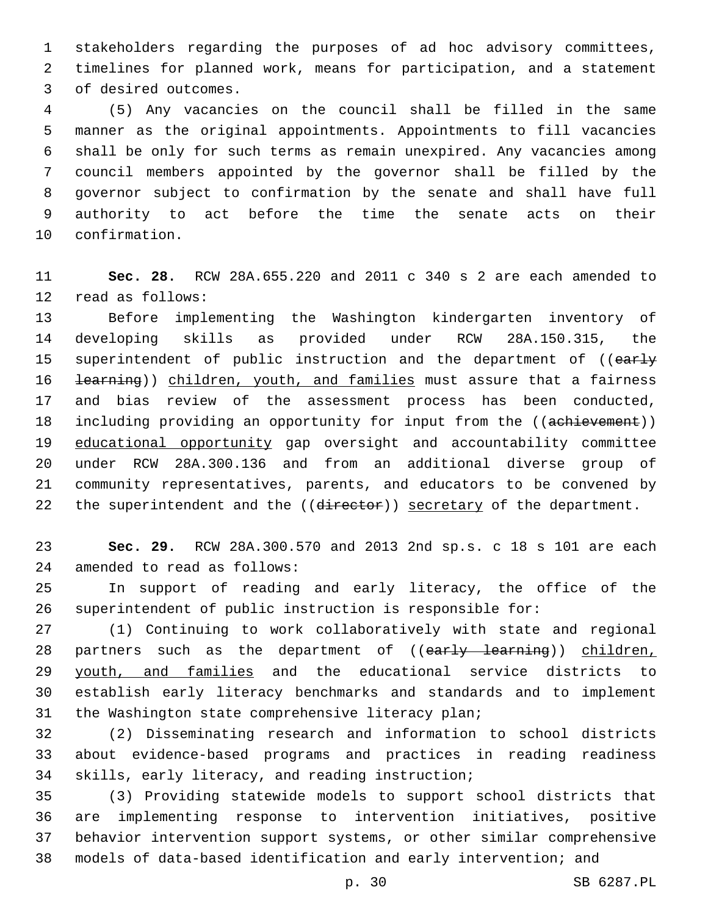stakeholders regarding the purposes of ad hoc advisory committees, timelines for planned work, means for participation, and a statement 3 of desired outcomes.

 (5) Any vacancies on the council shall be filled in the same manner as the original appointments. Appointments to fill vacancies shall be only for such terms as remain unexpired. Any vacancies among council members appointed by the governor shall be filled by the governor subject to confirmation by the senate and shall have full authority to act before the time the senate acts on their 10 confirmation.

 **Sec. 28.** RCW 28A.655.220 and 2011 c 340 s 2 are each amended to 12 read as follows:

 Before implementing the Washington kindergarten inventory of developing skills as provided under RCW 28A.150.315, the 15 superintendent of public instruction and the department of ((early 16 <del>learning</del>)) children, youth, and families must assure that a fairness and bias review of the assessment process has been conducted, 18 including providing an opportunity for input from the ((achievement)) educational opportunity gap oversight and accountability committee under RCW 28A.300.136 and from an additional diverse group of community representatives, parents, and educators to be convened by 22 the superintendent and the ((director)) secretary of the department.

 **Sec. 29.** RCW 28A.300.570 and 2013 2nd sp.s. c 18 s 101 are each 24 amended to read as follows:

 In support of reading and early literacy, the office of the superintendent of public instruction is responsible for:

 (1) Continuing to work collaboratively with state and regional 28 partners such as the department of ((early learning)) children, 29 youth, and families and the educational service districts to establish early literacy benchmarks and standards and to implement 31 the Washington state comprehensive literacy plan;

 (2) Disseminating research and information to school districts about evidence-based programs and practices in reading readiness 34 skills, early literacy, and reading instruction;

 (3) Providing statewide models to support school districts that are implementing response to intervention initiatives, positive behavior intervention support systems, or other similar comprehensive models of data-based identification and early intervention; and

p. 30 SB 6287.PL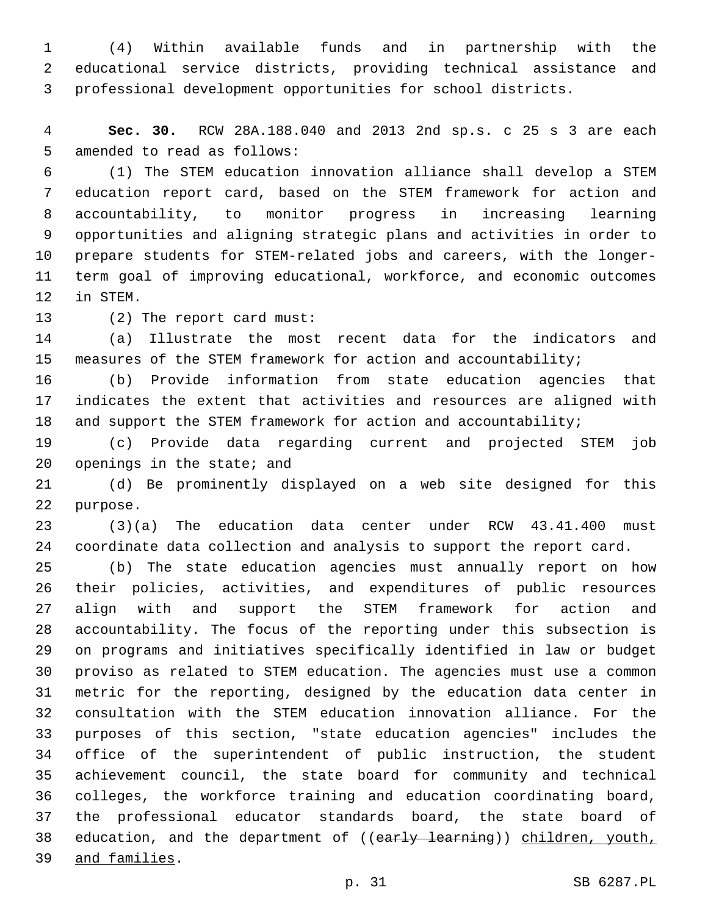(4) Within available funds and in partnership with the educational service districts, providing technical assistance and professional development opportunities for school districts.

 **Sec. 30.** RCW 28A.188.040 and 2013 2nd sp.s. c 25 s 3 are each 5 amended to read as follows:

 (1) The STEM education innovation alliance shall develop a STEM education report card, based on the STEM framework for action and accountability, to monitor progress in increasing learning opportunities and aligning strategic plans and activities in order to prepare students for STEM-related jobs and careers, with the longer- term goal of improving educational, workforce, and economic outcomes 12 in STEM.

13 (2) The report card must:

 (a) Illustrate the most recent data for the indicators and measures of the STEM framework for action and accountability;

 (b) Provide information from state education agencies that indicates the extent that activities and resources are aligned with 18 and support the STEM framework for action and accountability;

 (c) Provide data regarding current and projected STEM job openings in the state; and

 (d) Be prominently displayed on a web site designed for this 22 purpose.

 (3)(a) The education data center under RCW 43.41.400 must coordinate data collection and analysis to support the report card.

 (b) The state education agencies must annually report on how their policies, activities, and expenditures of public resources align with and support the STEM framework for action and accountability. The focus of the reporting under this subsection is on programs and initiatives specifically identified in law or budget proviso as related to STEM education. The agencies must use a common metric for the reporting, designed by the education data center in consultation with the STEM education innovation alliance. For the purposes of this section, "state education agencies" includes the office of the superintendent of public instruction, the student achievement council, the state board for community and technical colleges, the workforce training and education coordinating board, the professional educator standards board, the state board of 38 education, and the department of ((early learning)) children, youth, and families.39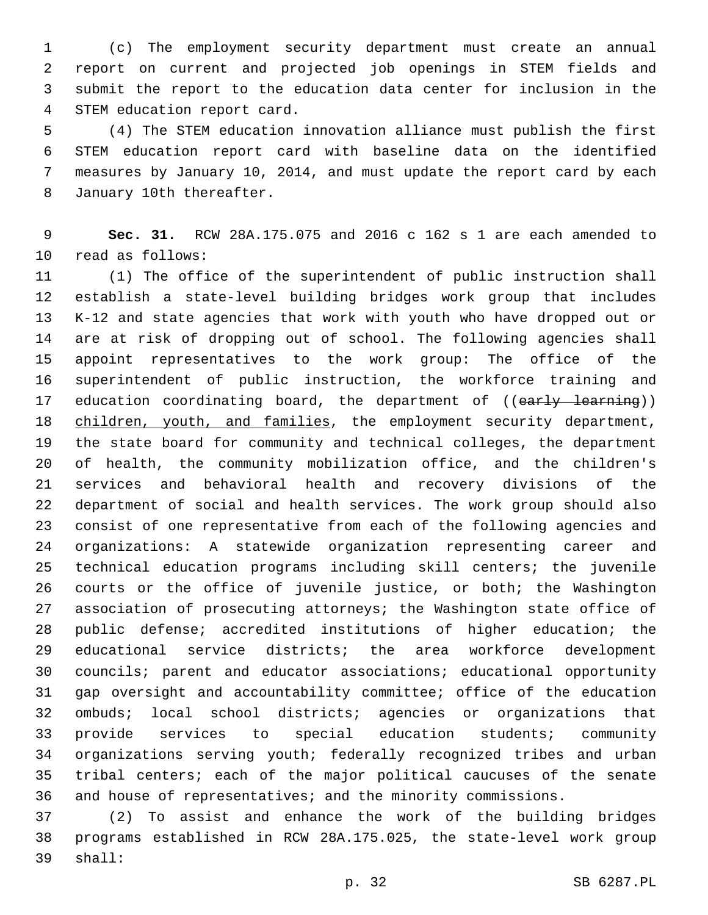(c) The employment security department must create an annual report on current and projected job openings in STEM fields and submit the report to the education data center for inclusion in the 4 STEM education report card.

 (4) The STEM education innovation alliance must publish the first STEM education report card with baseline data on the identified measures by January 10, 2014, and must update the report card by each 8 January 10th thereafter.

 **Sec. 31.** RCW 28A.175.075 and 2016 c 162 s 1 are each amended to 10 read as follows:

 (1) The office of the superintendent of public instruction shall establish a state-level building bridges work group that includes K-12 and state agencies that work with youth who have dropped out or are at risk of dropping out of school. The following agencies shall appoint representatives to the work group: The office of the superintendent of public instruction, the workforce training and 17 education coordinating board, the department of ((early learning)) 18 children, youth, and families, the employment security department, the state board for community and technical colleges, the department of health, the community mobilization office, and the children's services and behavioral health and recovery divisions of the department of social and health services. The work group should also consist of one representative from each of the following agencies and organizations: A statewide organization representing career and technical education programs including skill centers; the juvenile courts or the office of juvenile justice, or both; the Washington association of prosecuting attorneys; the Washington state office of public defense; accredited institutions of higher education; the educational service districts; the area workforce development councils; parent and educator associations; educational opportunity gap oversight and accountability committee; office of the education ombuds; local school districts; agencies or organizations that provide services to special education students; community organizations serving youth; federally recognized tribes and urban tribal centers; each of the major political caucuses of the senate and house of representatives; and the minority commissions.

 (2) To assist and enhance the work of the building bridges programs established in RCW 28A.175.025, the state-level work group 39 shall: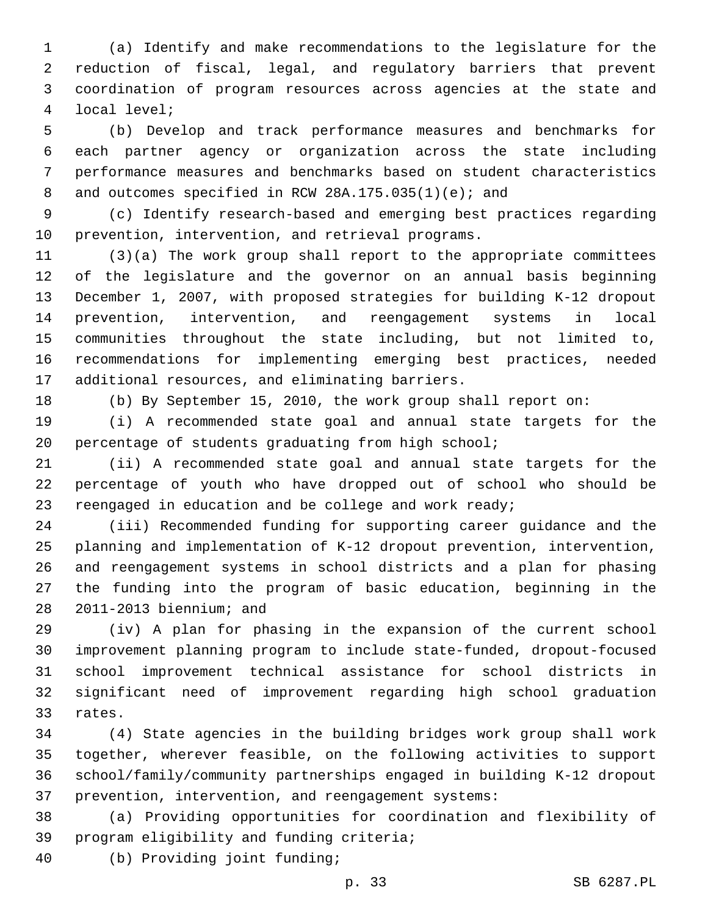(a) Identify and make recommendations to the legislature for the reduction of fiscal, legal, and regulatory barriers that prevent coordination of program resources across agencies at the state and local level;4

 (b) Develop and track performance measures and benchmarks for each partner agency or organization across the state including performance measures and benchmarks based on student characteristics 8 and outcomes specified in RCW 28A.175.035(1)(e); and

 (c) Identify research-based and emerging best practices regarding 10 prevention, intervention, and retrieval programs.

 (3)(a) The work group shall report to the appropriate committees of the legislature and the governor on an annual basis beginning December 1, 2007, with proposed strategies for building K-12 dropout prevention, intervention, and reengagement systems in local communities throughout the state including, but not limited to, recommendations for implementing emerging best practices, needed 17 additional resources, and eliminating barriers.

(b) By September 15, 2010, the work group shall report on:

 (i) A recommended state goal and annual state targets for the percentage of students graduating from high school;

 (ii) A recommended state goal and annual state targets for the percentage of youth who have dropped out of school who should be 23 reengaged in education and be college and work ready;

 (iii) Recommended funding for supporting career guidance and the planning and implementation of K-12 dropout prevention, intervention, and reengagement systems in school districts and a plan for phasing the funding into the program of basic education, beginning in the 28 2011-2013 biennium; and

 (iv) A plan for phasing in the expansion of the current school improvement planning program to include state-funded, dropout-focused school improvement technical assistance for school districts in significant need of improvement regarding high school graduation 33 rates.

 (4) State agencies in the building bridges work group shall work together, wherever feasible, on the following activities to support school/family/community partnerships engaged in building K-12 dropout prevention, intervention, and reengagement systems:

 (a) Providing opportunities for coordination and flexibility of 39 program eligibility and funding criteria;

(b) Providing joint funding;40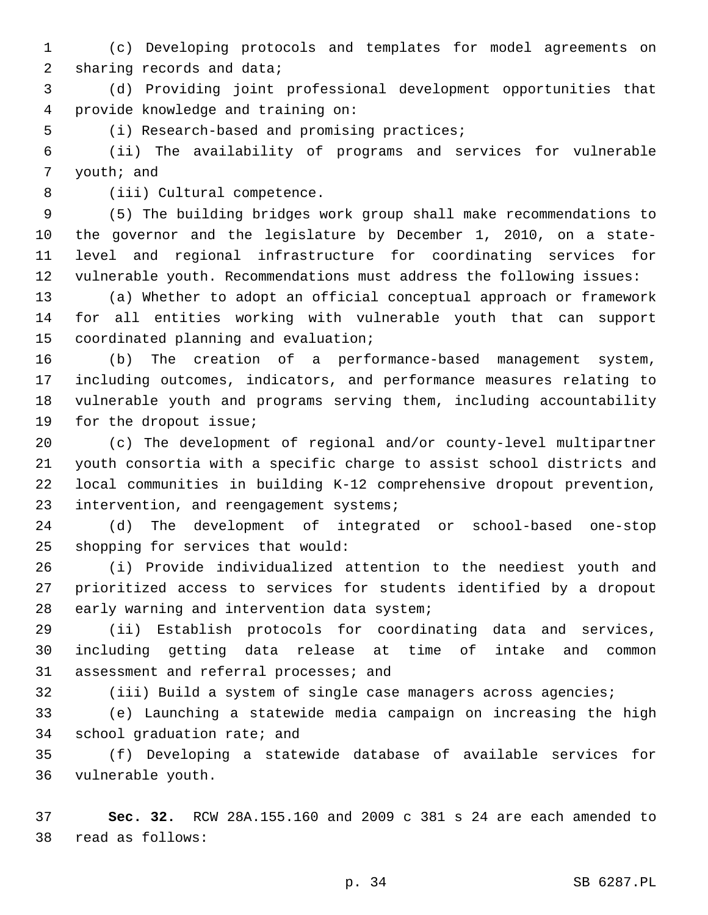(c) Developing protocols and templates for model agreements on 2 sharing records and data;

 (d) Providing joint professional development opportunities that provide knowledge and training on:4

5 (i) Research-based and promising practices;

 (ii) The availability of programs and services for vulnerable 7 youth; and

8 (iii) Cultural competence.

 (5) The building bridges work group shall make recommendations to the governor and the legislature by December 1, 2010, on a state- level and regional infrastructure for coordinating services for vulnerable youth. Recommendations must address the following issues:

 (a) Whether to adopt an official conceptual approach or framework for all entities working with vulnerable youth that can support 15 coordinated planning and evaluation;

 (b) The creation of a performance-based management system, including outcomes, indicators, and performance measures relating to vulnerable youth and programs serving them, including accountability 19 for the dropout issue;

 (c) The development of regional and/or county-level multipartner youth consortia with a specific charge to assist school districts and local communities in building K-12 comprehensive dropout prevention, 23 intervention, and reengagement systems;

 (d) The development of integrated or school-based one-stop 25 shopping for services that would:

 (i) Provide individualized attention to the neediest youth and prioritized access to services for students identified by a dropout 28 early warning and intervention data system;

 (ii) Establish protocols for coordinating data and services, including getting data release at time of intake and common 31 assessment and referral processes; and

(iii) Build a system of single case managers across agencies;

 (e) Launching a statewide media campaign on increasing the high 34 school graduation rate; and

 (f) Developing a statewide database of available services for 36 vulnerable youth.

 **Sec. 32.** RCW 28A.155.160 and 2009 c 381 s 24 are each amended to read as follows:38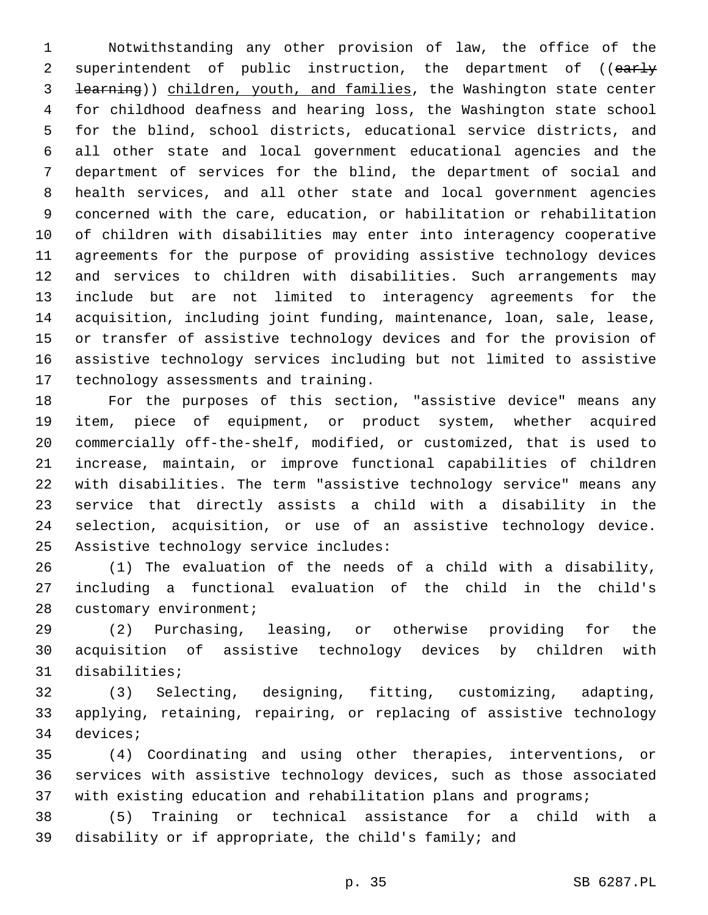Notwithstanding any other provision of law, the office of the 2 superintendent of public instruction, the department of ((early learning)) children, youth, and families, the Washington state center for childhood deafness and hearing loss, the Washington state school for the blind, school districts, educational service districts, and all other state and local government educational agencies and the department of services for the blind, the department of social and health services, and all other state and local government agencies concerned with the care, education, or habilitation or rehabilitation of children with disabilities may enter into interagency cooperative agreements for the purpose of providing assistive technology devices and services to children with disabilities. Such arrangements may include but are not limited to interagency agreements for the acquisition, including joint funding, maintenance, loan, sale, lease, or transfer of assistive technology devices and for the provision of assistive technology services including but not limited to assistive 17 technology assessments and training.

 For the purposes of this section, "assistive device" means any item, piece of equipment, or product system, whether acquired commercially off-the-shelf, modified, or customized, that is used to increase, maintain, or improve functional capabilities of children with disabilities. The term "assistive technology service" means any service that directly assists a child with a disability in the selection, acquisition, or use of an assistive technology device. 25 Assistive technology service includes:

 (1) The evaluation of the needs of a child with a disability, including a functional evaluation of the child in the child's 28 customary environment;

 (2) Purchasing, leasing, or otherwise providing for the acquisition of assistive technology devices by children with 31 disabilities;

 (3) Selecting, designing, fitting, customizing, adapting, applying, retaining, repairing, or replacing of assistive technology 34 devices;

 (4) Coordinating and using other therapies, interventions, or services with assistive technology devices, such as those associated with existing education and rehabilitation plans and programs;

 (5) Training or technical assistance for a child with a disability or if appropriate, the child's family; and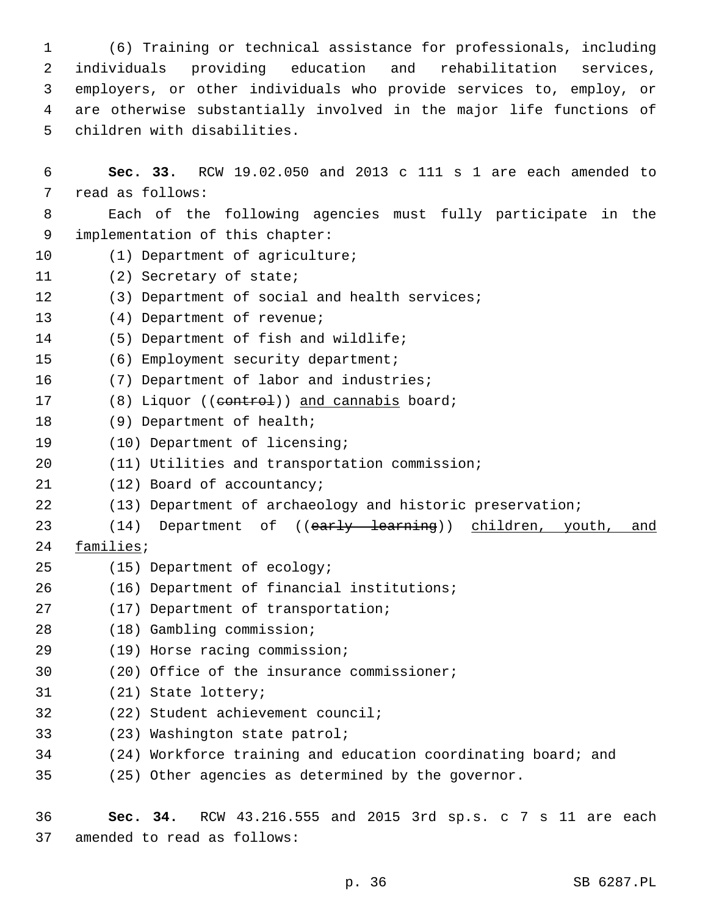(6) Training or technical assistance for professionals, including individuals providing education and rehabilitation services, employers, or other individuals who provide services to, employ, or are otherwise substantially involved in the major life functions of 5 children with disabilities.

6 **Sec. 33.** RCW 19.02.050 and 2013 c 111 s 1 are each amended to 7 read as follows: 8 Each of the following agencies must fully participate in the 9 implementation of this chapter: 10 (1) Department of agriculture; 11 (2) Secretary of state; 12 (3) Department of social and health services; 13 (4) Department of revenue; 14 (5) Department of fish and wildlife; 15 (6) Employment security department; 16 (7) Department of labor and industries; 17 (8) Liquor ((eontrol)) and cannabis board; 18 (9) Department of health; 19 (10) Department of licensing; 20 (11) Utilities and transportation commission; 21 (12) Board of accountancy; 22 (13) Department of archaeology and historic preservation; 23 (14) Department of ((early learning)) children, youth, and 24 families; 25 (15) Department of ecology; (16) Department of financial institutions;26 27 (17) Department of transportation; (18) Gambling commission;28 (19) Horse racing commission;29 30 (20) Office of the insurance commissioner; 31 (21) State lottery; 32 (22) Student achievement council; 33 (23) Washington state patrol; 34 (24) Workforce training and education coordinating board; and 35 (25) Other agencies as determined by the governor.

36 **Sec. 34.** RCW 43.216.555 and 2015 3rd sp.s. c 7 s 11 are each 37 amended to read as follows: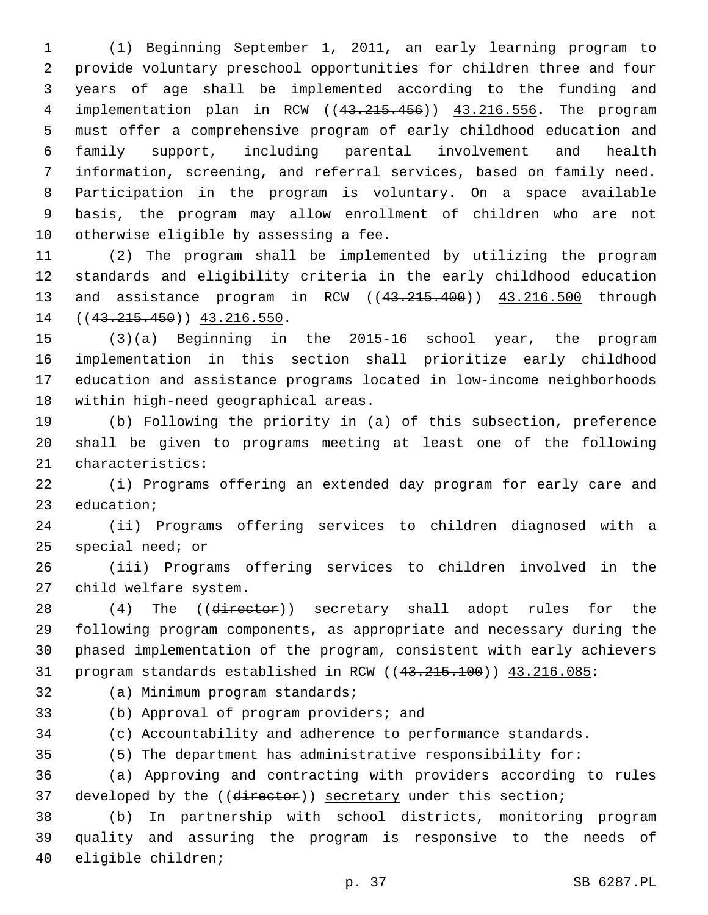(1) Beginning September 1, 2011, an early learning program to provide voluntary preschool opportunities for children three and four years of age shall be implemented according to the funding and implementation plan in RCW ((43.215.456)) 43.216.556. The program must offer a comprehensive program of early childhood education and family support, including parental involvement and health information, screening, and referral services, based on family need. Participation in the program is voluntary. On a space available basis, the program may allow enrollment of children who are not 10 otherwise eligible by assessing a fee.

 (2) The program shall be implemented by utilizing the program standards and eligibility criteria in the early childhood education and assistance program in RCW ((43.215.400)) 43.216.500 through 14 ((43.215.450)) 43.216.550.

 (3)(a) Beginning in the 2015-16 school year, the program implementation in this section shall prioritize early childhood education and assistance programs located in low-income neighborhoods 18 within high-need geographical areas.

 (b) Following the priority in (a) of this subsection, preference shall be given to programs meeting at least one of the following 21 characteristics:

 (i) Programs offering an extended day program for early care and 23 education;

 (ii) Programs offering services to children diagnosed with a special need; or

 (iii) Programs offering services to children involved in the 27 child welfare system.

28 (4) The ((director)) secretary shall adopt rules for the following program components, as appropriate and necessary during the phased implementation of the program, consistent with early achievers 31 program standards established in RCW ((43.215.100)) 43.216.085:

32 (a) Minimum program standards;

(b) Approval of program providers; and

(c) Accountability and adherence to performance standards.

(5) The department has administrative responsibility for:

 (a) Approving and contracting with providers according to rules 37 developed by the ((director)) secretary under this section;

 (b) In partnership with school districts, monitoring program quality and assuring the program is responsive to the needs of 40 eligible children;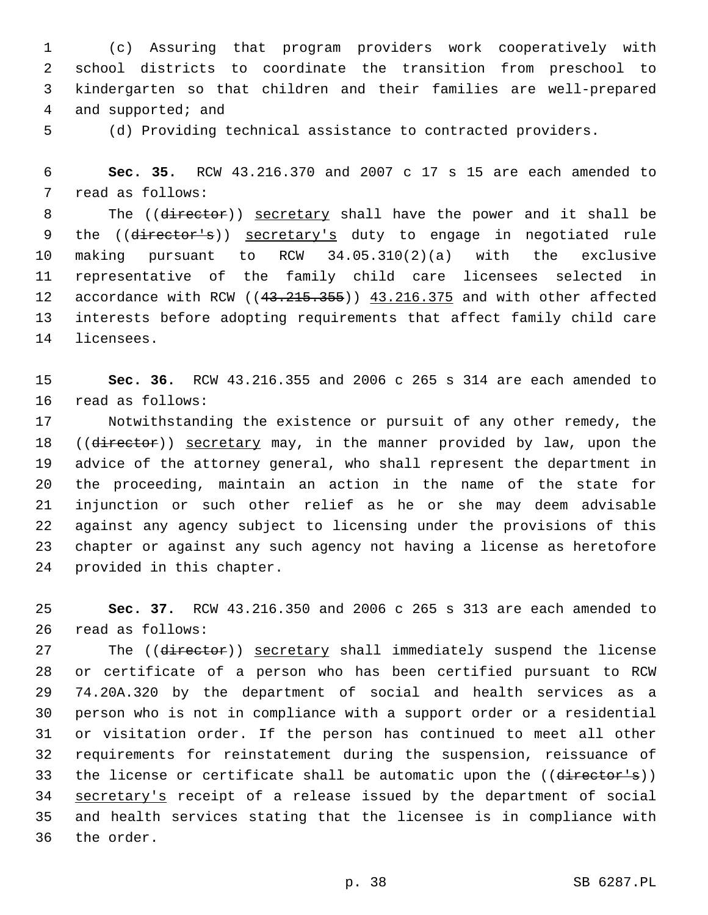(c) Assuring that program providers work cooperatively with school districts to coordinate the transition from preschool to kindergarten so that children and their families are well-prepared 4 and supported; and

(d) Providing technical assistance to contracted providers.

 **Sec. 35.** RCW 43.216.370 and 2007 c 17 s 15 are each amended to 7 read as follows:

8 The ((director)) secretary shall have the power and it shall be 9 the ((director's)) secretary's duty to engage in negotiated rule making pursuant to RCW 34.05.310(2)(a) with the exclusive representative of the family child care licensees selected in 12 accordance with RCW ((43.215.355)) 43.216.375 and with other affected interests before adopting requirements that affect family child care 14 licensees.

 **Sec. 36.** RCW 43.216.355 and 2006 c 265 s 314 are each amended to 16 read as follows:

 Notwithstanding the existence or pursuit of any other remedy, the 18 ((director)) secretary may, in the manner provided by law, upon the advice of the attorney general, who shall represent the department in the proceeding, maintain an action in the name of the state for injunction or such other relief as he or she may deem advisable against any agency subject to licensing under the provisions of this chapter or against any such agency not having a license as heretofore 24 provided in this chapter.

 **Sec. 37.** RCW 43.216.350 and 2006 c 265 s 313 are each amended to 26 read as follows:

27 The ((director)) secretary shall immediately suspend the license or certificate of a person who has been certified pursuant to RCW 74.20A.320 by the department of social and health services as a person who is not in compliance with a support order or a residential or visitation order. If the person has continued to meet all other requirements for reinstatement during the suspension, reissuance of 33 the license or certificate shall be automatic upon the ((director's)) secretary's receipt of a release issued by the department of social and health services stating that the licensee is in compliance with 36 the order.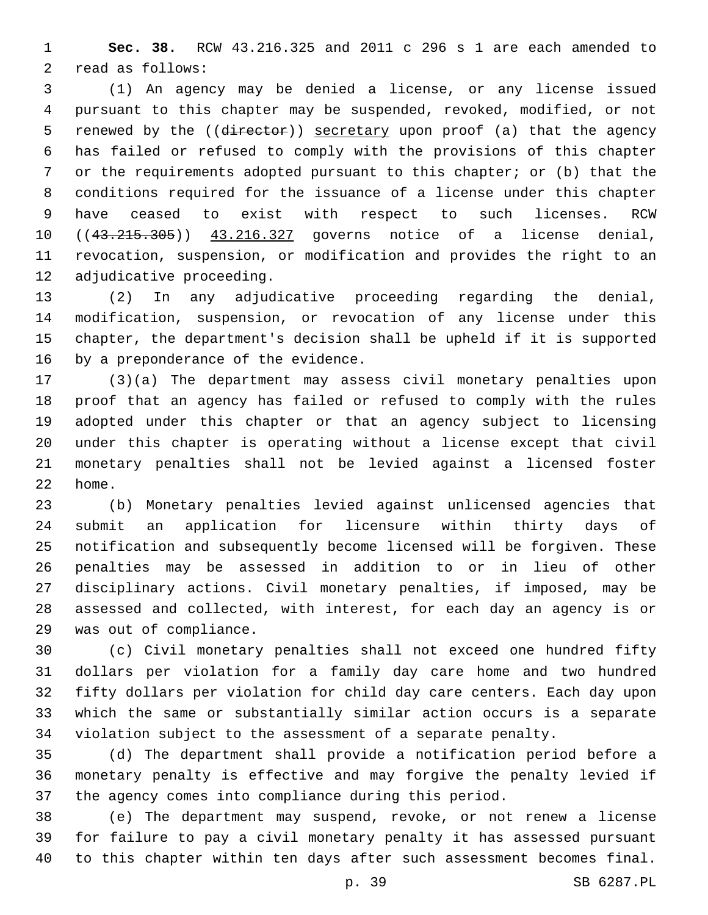**Sec. 38.** RCW 43.216.325 and 2011 c 296 s 1 are each amended to 2 read as follows:

 (1) An agency may be denied a license, or any license issued pursuant to this chapter may be suspended, revoked, modified, or not 5 renewed by the ((director)) secretary upon proof (a) that the agency has failed or refused to comply with the provisions of this chapter or the requirements adopted pursuant to this chapter; or (b) that the conditions required for the issuance of a license under this chapter have ceased to exist with respect to such licenses. RCW 10 ((43.215.305)) 43.216.327 governs notice of a license denial, revocation, suspension, or modification and provides the right to an 12 adjudicative proceeding.

 (2) In any adjudicative proceeding regarding the denial, modification, suspension, or revocation of any license under this chapter, the department's decision shall be upheld if it is supported 16 by a preponderance of the evidence.

 (3)(a) The department may assess civil monetary penalties upon proof that an agency has failed or refused to comply with the rules adopted under this chapter or that an agency subject to licensing under this chapter is operating without a license except that civil monetary penalties shall not be levied against a licensed foster 22 home.

 (b) Monetary penalties levied against unlicensed agencies that submit an application for licensure within thirty days of notification and subsequently become licensed will be forgiven. These penalties may be assessed in addition to or in lieu of other disciplinary actions. Civil monetary penalties, if imposed, may be assessed and collected, with interest, for each day an agency is or 29 was out of compliance.

 (c) Civil monetary penalties shall not exceed one hundred fifty dollars per violation for a family day care home and two hundred fifty dollars per violation for child day care centers. Each day upon which the same or substantially similar action occurs is a separate violation subject to the assessment of a separate penalty.

 (d) The department shall provide a notification period before a monetary penalty is effective and may forgive the penalty levied if the agency comes into compliance during this period.

 (e) The department may suspend, revoke, or not renew a license for failure to pay a civil monetary penalty it has assessed pursuant to this chapter within ten days after such assessment becomes final.

p. 39 SB 6287.PL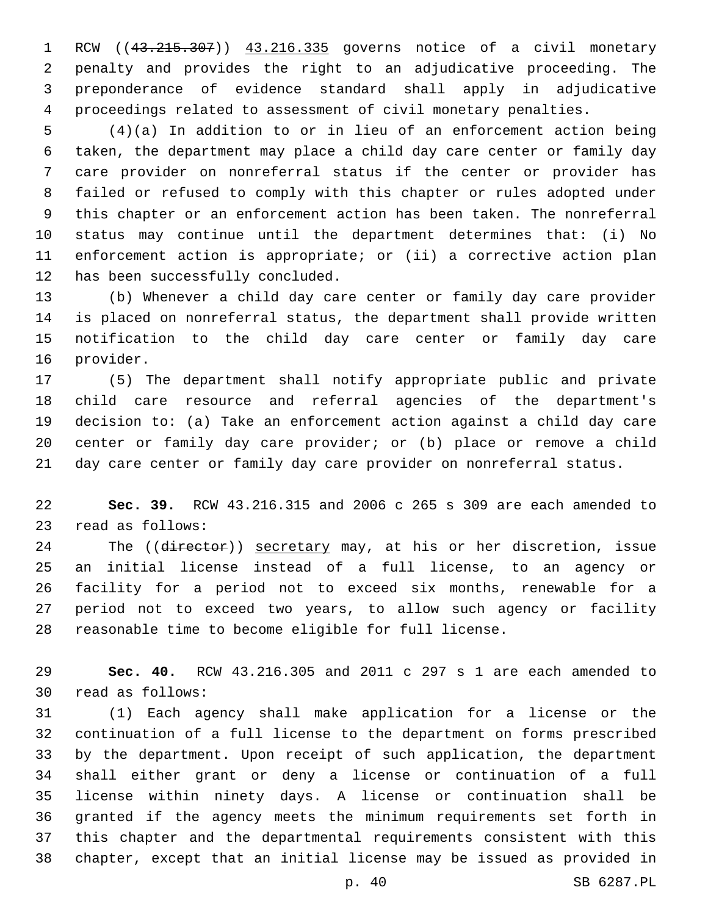RCW ((43.215.307)) 43.216.335 governs notice of a civil monetary penalty and provides the right to an adjudicative proceeding. The preponderance of evidence standard shall apply in adjudicative proceedings related to assessment of civil monetary penalties.

 (4)(a) In addition to or in lieu of an enforcement action being taken, the department may place a child day care center or family day care provider on nonreferral status if the center or provider has failed or refused to comply with this chapter or rules adopted under this chapter or an enforcement action has been taken. The nonreferral status may continue until the department determines that: (i) No enforcement action is appropriate; or (ii) a corrective action plan 12 has been successfully concluded.

 (b) Whenever a child day care center or family day care provider is placed on nonreferral status, the department shall provide written notification to the child day care center or family day care 16 provider.

 (5) The department shall notify appropriate public and private child care resource and referral agencies of the department's decision to: (a) Take an enforcement action against a child day care center or family day care provider; or (b) place or remove a child day care center or family day care provider on nonreferral status.

 **Sec. 39.** RCW 43.216.315 and 2006 c 265 s 309 are each amended to 23 read as follows:

24 The ((director)) secretary may, at his or her discretion, issue an initial license instead of a full license, to an agency or facility for a period not to exceed six months, renewable for a period not to exceed two years, to allow such agency or facility reasonable time to become eligible for full license.

 **Sec. 40.** RCW 43.216.305 and 2011 c 297 s 1 are each amended to 30 read as follows:

 (1) Each agency shall make application for a license or the continuation of a full license to the department on forms prescribed by the department. Upon receipt of such application, the department shall either grant or deny a license or continuation of a full license within ninety days. A license or continuation shall be granted if the agency meets the minimum requirements set forth in this chapter and the departmental requirements consistent with this chapter, except that an initial license may be issued as provided in

p. 40 SB 6287.PL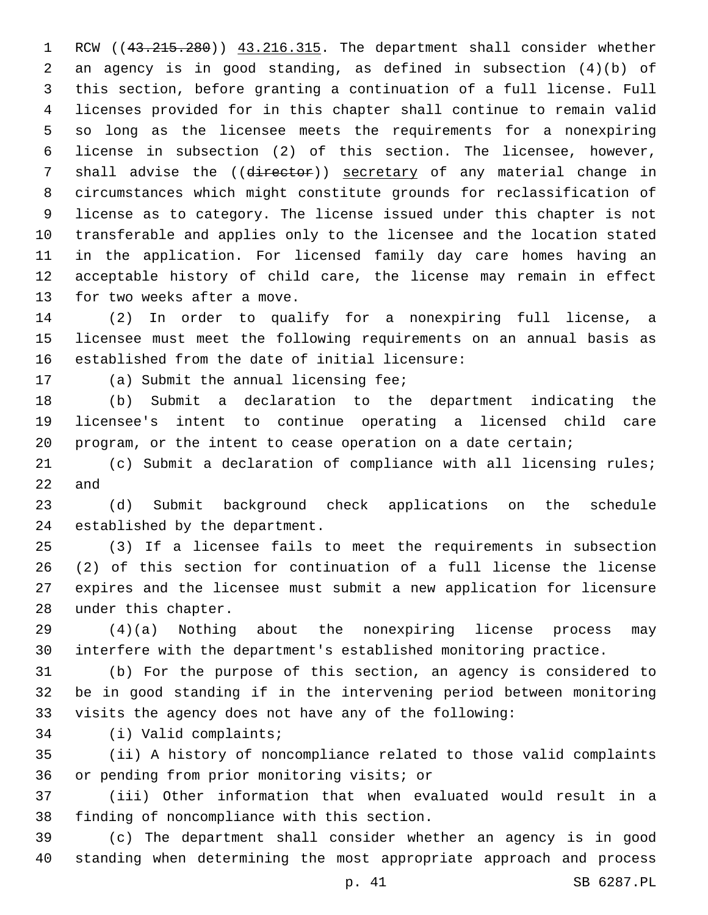1 RCW ((43.215.280)) 43.216.315. The department shall consider whether an agency is in good standing, as defined in subsection (4)(b) of this section, before granting a continuation of a full license. Full licenses provided for in this chapter shall continue to remain valid so long as the licensee meets the requirements for a nonexpiring license in subsection (2) of this section. The licensee, however, 7 shall advise the ((director)) secretary of any material change in circumstances which might constitute grounds for reclassification of license as to category. The license issued under this chapter is not transferable and applies only to the licensee and the location stated in the application. For licensed family day care homes having an acceptable history of child care, the license may remain in effect 13 for two weeks after a move.

 (2) In order to qualify for a nonexpiring full license, a licensee must meet the following requirements on an annual basis as established from the date of initial licensure:

17 (a) Submit the annual licensing fee;

 (b) Submit a declaration to the department indicating the licensee's intent to continue operating a licensed child care program, or the intent to cease operation on a date certain;

 (c) Submit a declaration of compliance with all licensing rules; and

 (d) Submit background check applications on the schedule 24 established by the department.

 (3) If a licensee fails to meet the requirements in subsection (2) of this section for continuation of a full license the license expires and the licensee must submit a new application for licensure 28 under this chapter.

 (4)(a) Nothing about the nonexpiring license process may interfere with the department's established monitoring practice.

 (b) For the purpose of this section, an agency is considered to be in good standing if in the intervening period between monitoring visits the agency does not have any of the following:

34 (i) Valid complaints;

 (ii) A history of noncompliance related to those valid complaints 36 or pending from prior monitoring visits; or

 (iii) Other information that when evaluated would result in a 38 finding of noncompliance with this section.

 (c) The department shall consider whether an agency is in good standing when determining the most appropriate approach and process

p. 41 SB 6287.PL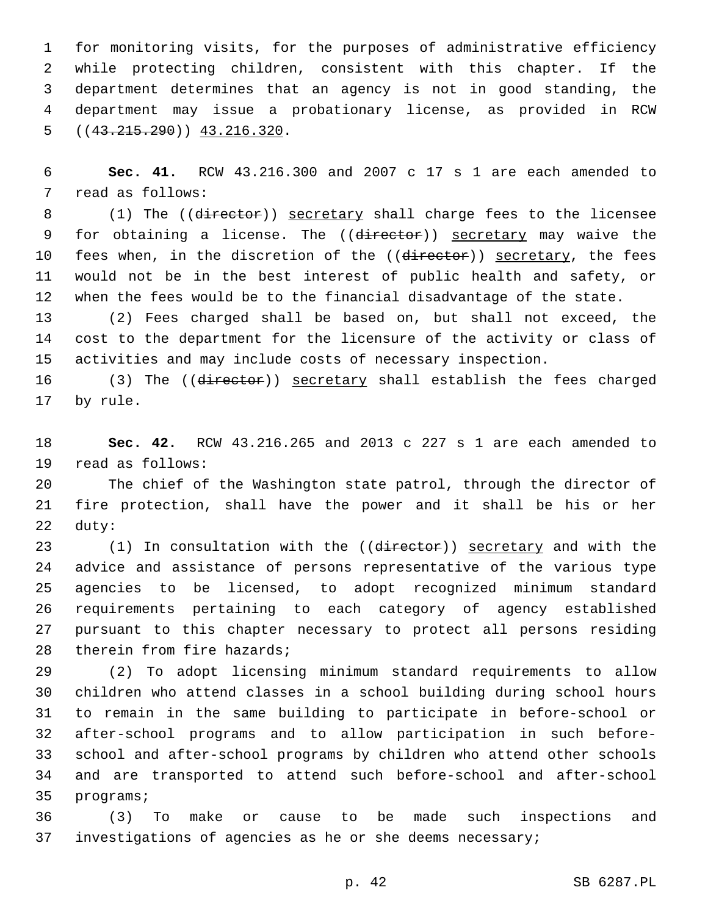for monitoring visits, for the purposes of administrative efficiency while protecting children, consistent with this chapter. If the department determines that an agency is not in good standing, the department may issue a probationary license, as provided in RCW  $( (43.215.290) )$  43.216.320.

 **Sec. 41.** RCW 43.216.300 and 2007 c 17 s 1 are each amended to 7 read as follows:

8 (1) The ((director)) secretary shall charge fees to the licensee 9 for obtaining a license. The ((director)) secretary may waive the 10 fees when, in the discretion of the ((director)) secretary, the fees would not be in the best interest of public health and safety, or when the fees would be to the financial disadvantage of the state.

 (2) Fees charged shall be based on, but shall not exceed, the cost to the department for the licensure of the activity or class of activities and may include costs of necessary inspection.

 (3) The ((director)) secretary shall establish the fees charged 17 by rule.

 **Sec. 42.** RCW 43.216.265 and 2013 c 227 s 1 are each amended to 19 read as follows:

 The chief of the Washington state patrol, through the director of fire protection, shall have the power and it shall be his or her 22 duty:

23 (1) In consultation with the ((director)) secretary and with the advice and assistance of persons representative of the various type agencies to be licensed, to adopt recognized minimum standard requirements pertaining to each category of agency established pursuant to this chapter necessary to protect all persons residing 28 therein from fire hazards;

 (2) To adopt licensing minimum standard requirements to allow children who attend classes in a school building during school hours to remain in the same building to participate in before-school or after-school programs and to allow participation in such before- school and after-school programs by children who attend other schools and are transported to attend such before-school and after-school 35 programs;

 (3) To make or cause to be made such inspections and investigations of agencies as he or she deems necessary;

p. 42 SB 6287.PL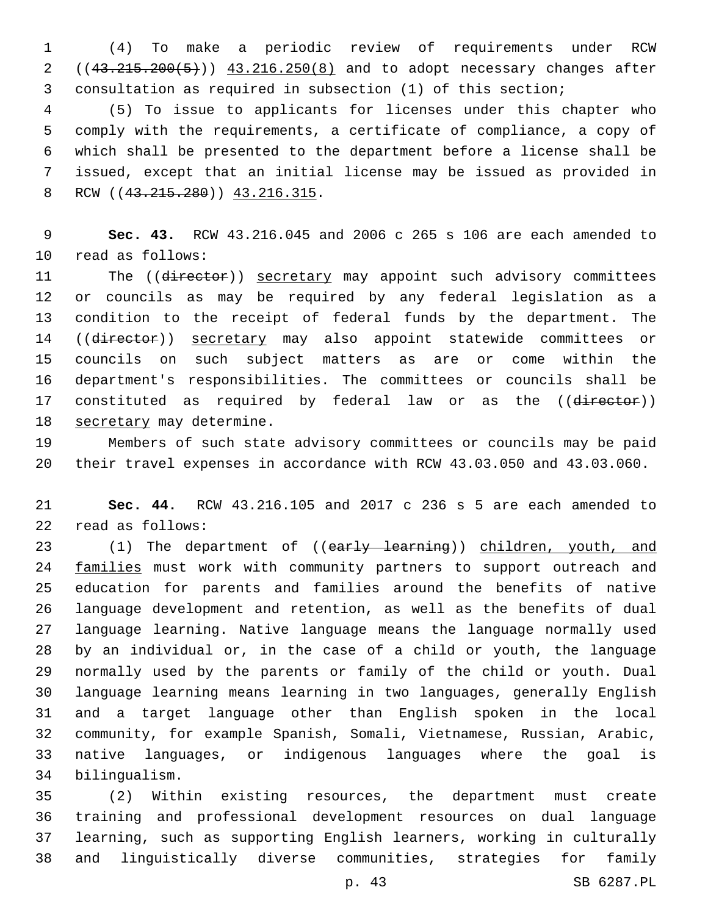(4) To make a periodic review of requirements under RCW 2 ((43.215.200(5))) 43.216.250(8) and to adopt necessary changes after consultation as required in subsection (1) of this section;

 (5) To issue to applicants for licenses under this chapter who comply with the requirements, a certificate of compliance, a copy of which shall be presented to the department before a license shall be issued, except that an initial license may be issued as provided in 8 RCW ((43.215.280)) 43.216.315.

 **Sec. 43.** RCW 43.216.045 and 2006 c 265 s 106 are each amended to 10 read as follows:

11 The ((director)) secretary may appoint such advisory committees or councils as may be required by any federal legislation as a condition to the receipt of federal funds by the department. The 14 ((director)) secretary may also appoint statewide committees or councils on such subject matters as are or come within the department's responsibilities. The committees or councils shall be 17 constituted as required by federal law or as the ((director)) 18 secretary may determine.

 Members of such state advisory committees or councils may be paid their travel expenses in accordance with RCW 43.03.050 and 43.03.060.

 **Sec. 44.** RCW 43.216.105 and 2017 c 236 s 5 are each amended to 22 read as follows:

23 (1) The department of ((early learning)) children, youth, and 24 families must work with community partners to support outreach and education for parents and families around the benefits of native language development and retention, as well as the benefits of dual language learning. Native language means the language normally used by an individual or, in the case of a child or youth, the language normally used by the parents or family of the child or youth. Dual language learning means learning in two languages, generally English and a target language other than English spoken in the local community, for example Spanish, Somali, Vietnamese, Russian, Arabic, native languages, or indigenous languages where the goal is bilingualism.34

 (2) Within existing resources, the department must create training and professional development resources on dual language learning, such as supporting English learners, working in culturally and linguistically diverse communities, strategies for family

p. 43 SB 6287.PL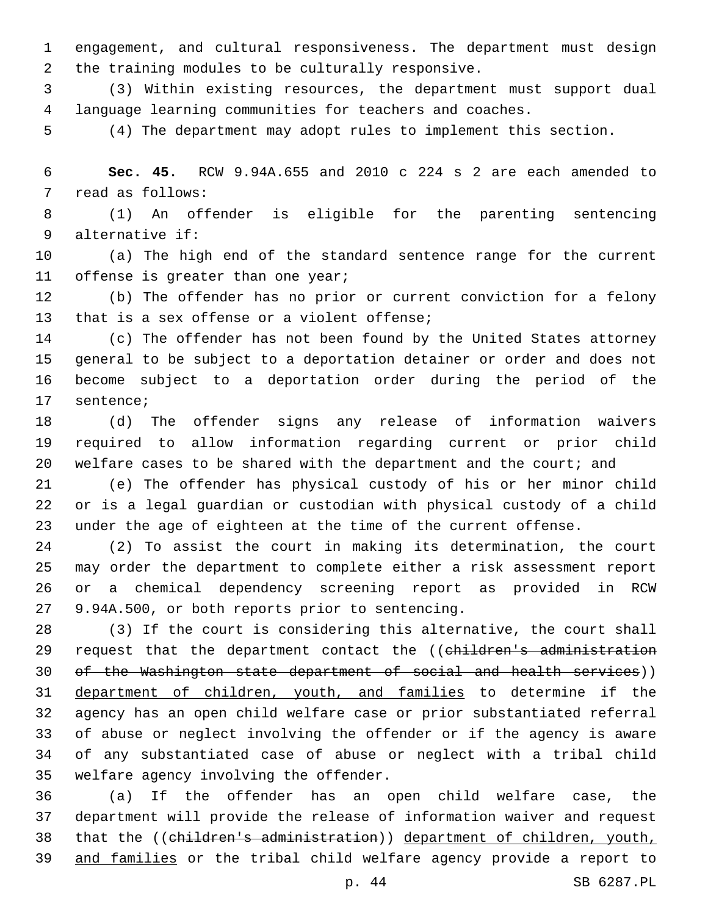engagement, and cultural responsiveness. The department must design 2 the training modules to be culturally responsive.

 (3) Within existing resources, the department must support dual language learning communities for teachers and coaches.

(4) The department may adopt rules to implement this section.

 **Sec. 45.** RCW 9.94A.655 and 2010 c 224 s 2 are each amended to 7 read as follows:

 (1) An offender is eligible for the parenting sentencing alternative if:9

 (a) The high end of the standard sentence range for the current 11 offense is greater than one year;

 (b) The offender has no prior or current conviction for a felony 13 that is a sex offense or a violent offense;

 (c) The offender has not been found by the United States attorney general to be subject to a deportation detainer or order and does not become subject to a deportation order during the period of the 17 sentence;

 (d) The offender signs any release of information waivers required to allow information regarding current or prior child 20 welfare cases to be shared with the department and the court; and

 (e) The offender has physical custody of his or her minor child or is a legal guardian or custodian with physical custody of a child under the age of eighteen at the time of the current offense.

 (2) To assist the court in making its determination, the court may order the department to complete either a risk assessment report or a chemical dependency screening report as provided in RCW 27 9.94A.500, or both reports prior to sentencing.

 (3) If the court is considering this alternative, the court shall 29 request that the department contact the ((children's administration of the Washington state department of social and health services)) department of children, youth, and families to determine if the agency has an open child welfare case or prior substantiated referral of abuse or neglect involving the offender or if the agency is aware of any substantiated case of abuse or neglect with a tribal child 35 welfare agency involving the offender.

 (a) If the offender has an open child welfare case, the department will provide the release of information waiver and request that the ((children's administration)) department of children, youth, and families or the tribal child welfare agency provide a report to

p. 44 SB 6287.PL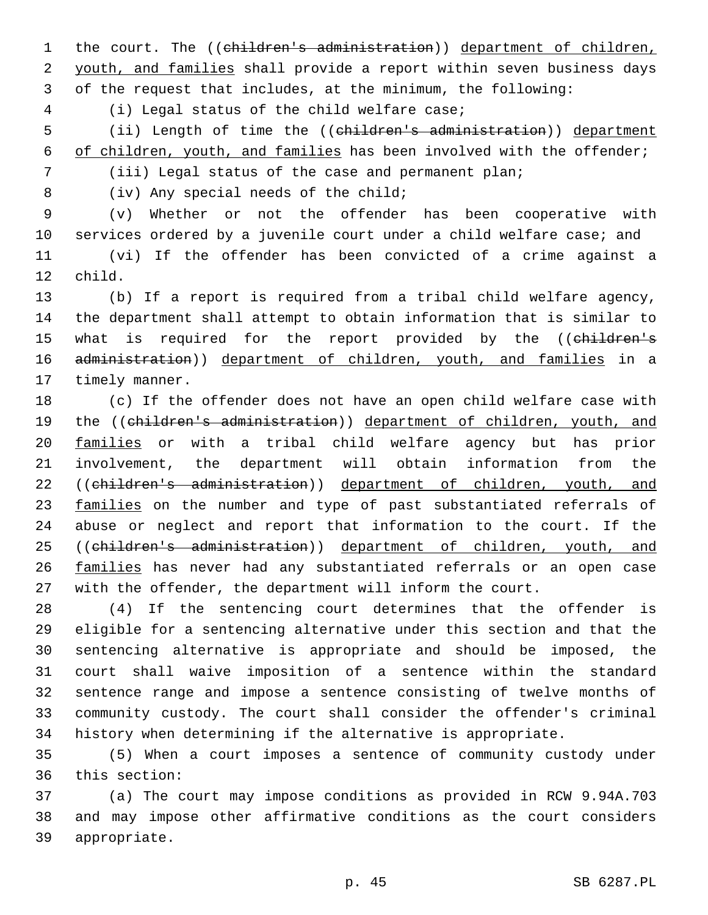1 the court. The ((children's administration)) department of children, 2 youth, and families shall provide a report within seven business days 3 of the request that includes, at the minimum, the following:

(i) Legal status of the child welfare case;4

5 (ii) Length of time the ((children's administration)) department 6 of children, youth, and families has been involved with the offender;

7 (iii) Legal status of the case and permanent plan;

8 (iv) Any special needs of the child;

 (v) Whether or not the offender has been cooperative with services ordered by a juvenile court under a child welfare case; and (vi) If the offender has been convicted of a crime against a 12 child.

13 (b) If a report is required from a tribal child welfare agency, 14 the department shall attempt to obtain information that is similar to 15 what is required for the report provided by the ((children's 16 administration)) department of children, youth, and families in a 17 timely manner.

18 (c) If the offender does not have an open child welfare case with 19 the ((children's administration)) department of children, youth, and 20 families or with a tribal child welfare agency but has prior 21 involvement, the department will obtain information from the 22 ((children's administration)) department of children, youth, and 23 families on the number and type of past substantiated referrals of 24 abuse or neglect and report that information to the court. If the 25 ((children's administration)) department of children, youth, and 26 families has never had any substantiated referrals or an open case 27 with the offender, the department will inform the court.

 (4) If the sentencing court determines that the offender is eligible for a sentencing alternative under this section and that the sentencing alternative is appropriate and should be imposed, the court shall waive imposition of a sentence within the standard sentence range and impose a sentence consisting of twelve months of community custody. The court shall consider the offender's criminal history when determining if the alternative is appropriate.

35 (5) When a court imposes a sentence of community custody under 36 this section:

37 (a) The court may impose conditions as provided in RCW 9.94A.703 38 and may impose other affirmative conditions as the court considers 39 appropriate.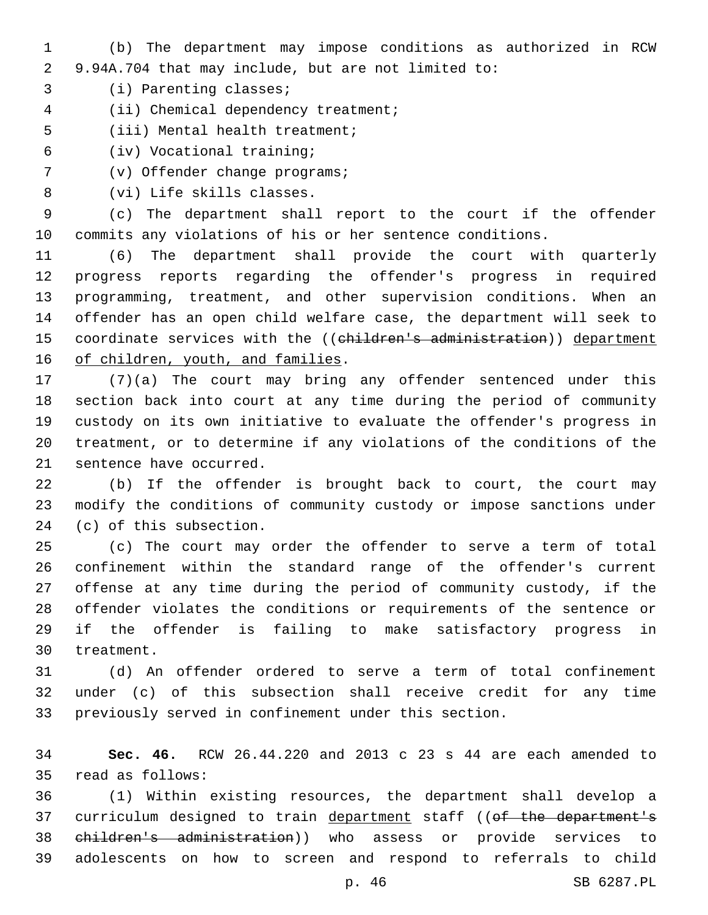- (b) The department may impose conditions as authorized in RCW 9.94A.704 that may include, but are not limited to:
- 3 (i) Parenting classes;
- 4 (ii) Chemical dependency treatment;
- 5 (iii) Mental health treatment;
- (iv) Vocational training;6
- 7 (v) Offender change programs;
- 8 (vi) Life skills classes.

 (c) The department shall report to the court if the offender commits any violations of his or her sentence conditions.

 (6) The department shall provide the court with quarterly progress reports regarding the offender's progress in required programming, treatment, and other supervision conditions. When an offender has an open child welfare case, the department will seek to 15 coordinate services with the ((children's administration)) department 16 of children, youth, and families.

 (7)(a) The court may bring any offender sentenced under this section back into court at any time during the period of community custody on its own initiative to evaluate the offender's progress in treatment, or to determine if any violations of the conditions of the 21 sentence have occurred.

 (b) If the offender is brought back to court, the court may modify the conditions of community custody or impose sanctions under 24 (c) of this subsection.

 (c) The court may order the offender to serve a term of total confinement within the standard range of the offender's current offense at any time during the period of community custody, if the offender violates the conditions or requirements of the sentence or if the offender is failing to make satisfactory progress in 30 treatment.

 (d) An offender ordered to serve a term of total confinement under (c) of this subsection shall receive credit for any time previously served in confinement under this section.

 **Sec. 46.** RCW 26.44.220 and 2013 c 23 s 44 are each amended to read as follows:35

 (1) Within existing resources, the department shall develop a 37 curriculum designed to train department staff ((of the department's children's administration)) who assess or provide services to adolescents on how to screen and respond to referrals to child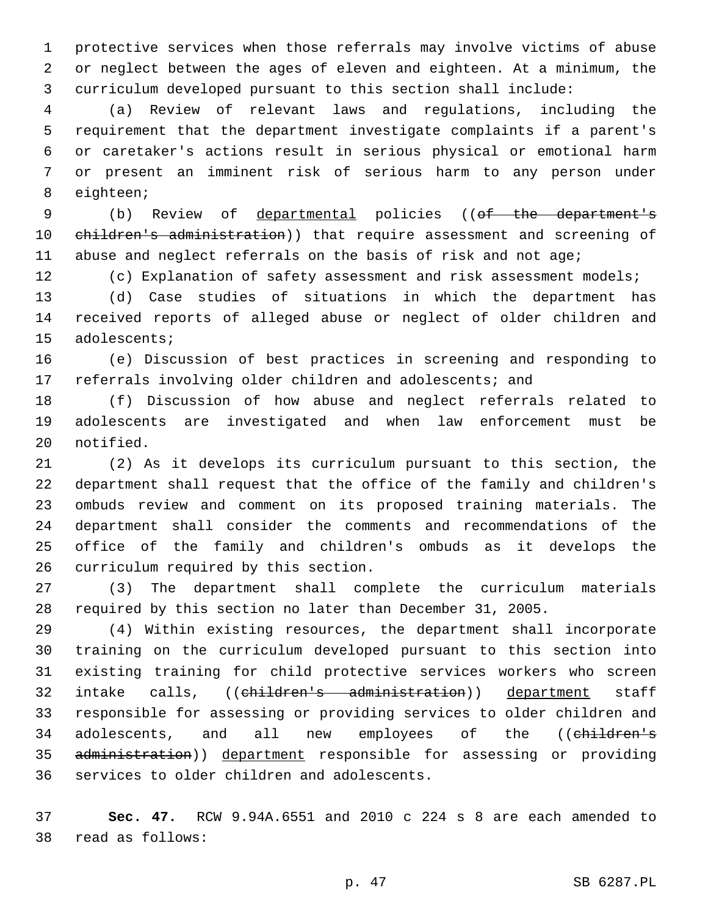protective services when those referrals may involve victims of abuse or neglect between the ages of eleven and eighteen. At a minimum, the curriculum developed pursuant to this section shall include:

 (a) Review of relevant laws and regulations, including the requirement that the department investigate complaints if a parent's or caretaker's actions result in serious physical or emotional harm or present an imminent risk of serious harm to any person under 8 eighteen;

 (b) Review of departmental policies ((of the department's 10 children's administration)) that require assessment and screening of abuse and neglect referrals on the basis of risk and not age;

(c) Explanation of safety assessment and risk assessment models;

 (d) Case studies of situations in which the department has received reports of alleged abuse or neglect of older children and 15 adolescents;

 (e) Discussion of best practices in screening and responding to referrals involving older children and adolescents; and

 (f) Discussion of how abuse and neglect referrals related to adolescents are investigated and when law enforcement must be 20 notified.

 (2) As it develops its curriculum pursuant to this section, the department shall request that the office of the family and children's ombuds review and comment on its proposed training materials. The department shall consider the comments and recommendations of the office of the family and children's ombuds as it develops the 26 curriculum required by this section.

 (3) The department shall complete the curriculum materials required by this section no later than December 31, 2005.

 (4) Within existing resources, the department shall incorporate training on the curriculum developed pursuant to this section into existing training for child protective services workers who screen 32 intake calls, ((children's administration)) department staff responsible for assessing or providing services to older children and 34 adolescents, and all new employees of the ((children's 35 administration)) department responsible for assessing or providing 36 services to older children and adolescents.

 **Sec. 47.** RCW 9.94A.6551 and 2010 c 224 s 8 are each amended to read as follows:38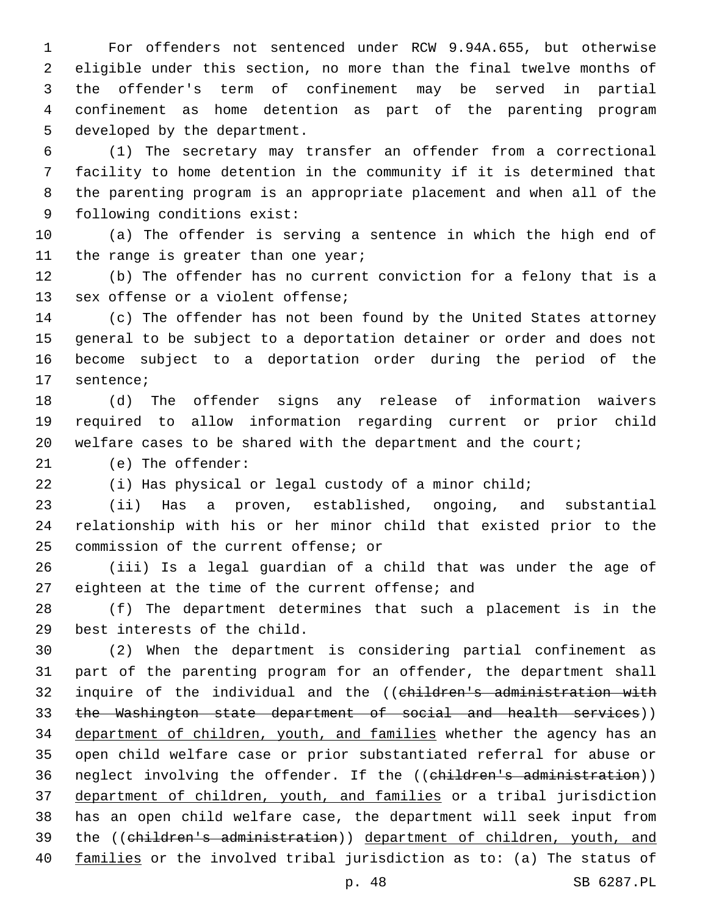For offenders not sentenced under RCW 9.94A.655, but otherwise eligible under this section, no more than the final twelve months of the offender's term of confinement may be served in partial confinement as home detention as part of the parenting program 5 developed by the department.

 (1) The secretary may transfer an offender from a correctional facility to home detention in the community if it is determined that the parenting program is an appropriate placement and when all of the 9 following conditions exist:

 (a) The offender is serving a sentence in which the high end of 11 the range is greater than one year;

 (b) The offender has no current conviction for a felony that is a 13 sex offense or a violent offense;

 (c) The offender has not been found by the United States attorney general to be subject to a deportation detainer or order and does not become subject to a deportation order during the period of the 17 sentence;

 (d) The offender signs any release of information waivers required to allow information regarding current or prior child welfare cases to be shared with the department and the court;

21 (e) The offender:

(i) Has physical or legal custody of a minor child;

 (ii) Has a proven, established, ongoing, and substantial relationship with his or her minor child that existed prior to the 25 commission of the current offense; or

 (iii) Is a legal guardian of a child that was under the age of 27 eighteen at the time of the current offense; and

 (f) The department determines that such a placement is in the 29 best interests of the child.

 (2) When the department is considering partial confinement as part of the parenting program for an offender, the department shall 32 inquire of the individual and the ((children's administration with 33 the Washington state department of social and health services)) 34 department of children, youth, and families whether the agency has an open child welfare case or prior substantiated referral for abuse or 36 neglect involving the offender. If the ((children's administration)) department of children, youth, and families or a tribal jurisdiction has an open child welfare case, the department will seek input from the ((children's administration)) department of children, youth, and families or the involved tribal jurisdiction as to: (a) The status of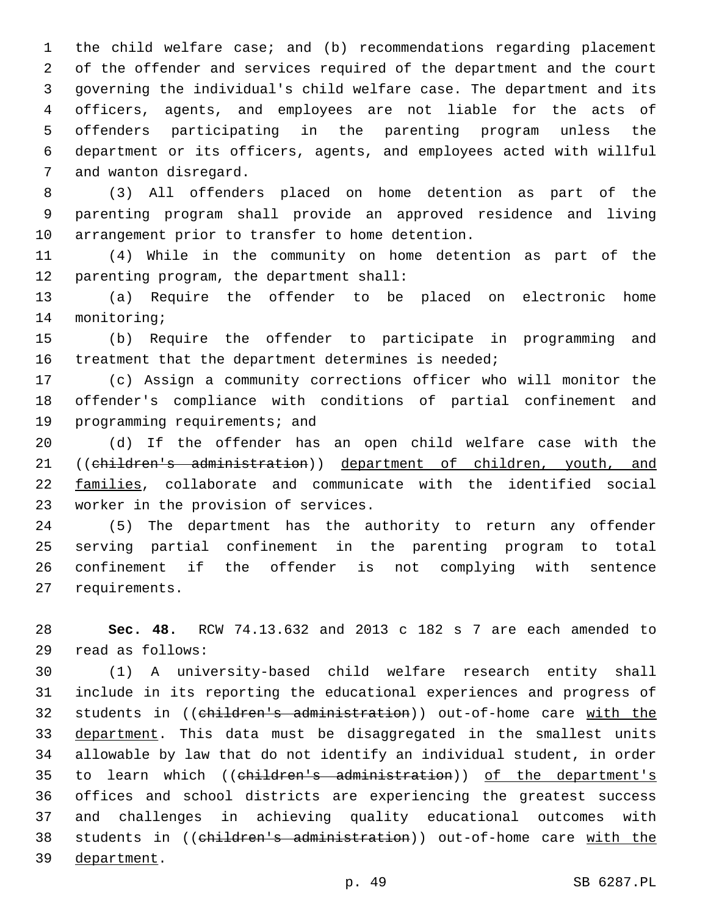the child welfare case; and (b) recommendations regarding placement of the offender and services required of the department and the court governing the individual's child welfare case. The department and its officers, agents, and employees are not liable for the acts of offenders participating in the parenting program unless the department or its officers, agents, and employees acted with willful 7 and wanton disregard.

 (3) All offenders placed on home detention as part of the parenting program shall provide an approved residence and living 10 arrangement prior to transfer to home detention.

 (4) While in the community on home detention as part of the 12 parenting program, the department shall:

 (a) Require the offender to be placed on electronic home 14 monitoring;

 (b) Require the offender to participate in programming and 16 treatment that the department determines is needed;

 (c) Assign a community corrections officer who will monitor the offender's compliance with conditions of partial confinement and 19 programming requirements; and

 (d) If the offender has an open child welfare case with the 21 ((children's administration)) department of children, youth, and families, collaborate and communicate with the identified social 23 worker in the provision of services.

 (5) The department has the authority to return any offender serving partial confinement in the parenting program to total confinement if the offender is not complying with sentence 27 requirements.

 **Sec. 48.** RCW 74.13.632 and 2013 c 182 s 7 are each amended to read as follows:29

 (1) A university-based child welfare research entity shall include in its reporting the educational experiences and progress of students in ((children's administration)) out-of-home care with the 33 department. This data must be disaggregated in the smallest units allowable by law that do not identify an individual student, in order 35 to learn which ((children's administration)) of the department's offices and school districts are experiencing the greatest success and challenges in achieving quality educational outcomes with 38 students in ((children's administration)) out-of-home care with the 39 department.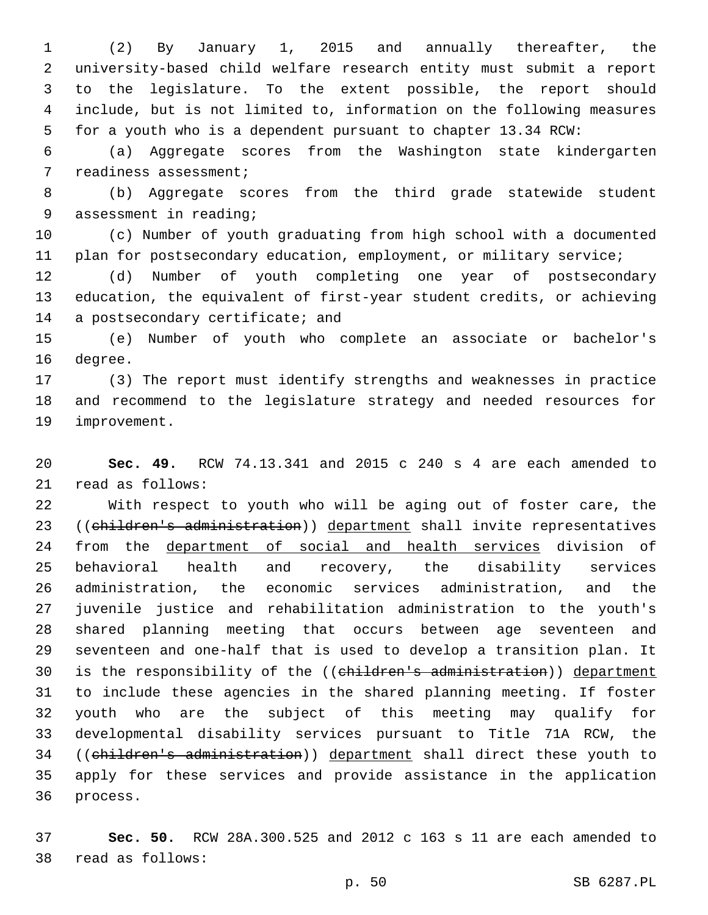(2) By January 1, 2015 and annually thereafter, the university-based child welfare research entity must submit a report to the legislature. To the extent possible, the report should include, but is not limited to, information on the following measures for a youth who is a dependent pursuant to chapter 13.34 RCW:

 (a) Aggregate scores from the Washington state kindergarten 7 readiness assessment;

 (b) Aggregate scores from the third grade statewide student 9 assessment in reading;

 (c) Number of youth graduating from high school with a documented 11 plan for postsecondary education, employment, or military service;

 (d) Number of youth completing one year of postsecondary education, the equivalent of first-year student credits, or achieving 14 a postsecondary certificate; and

 (e) Number of youth who complete an associate or bachelor's 16 degree.

 (3) The report must identify strengths and weaknesses in practice and recommend to the legislature strategy and needed resources for 19 improvement.

 **Sec. 49.** RCW 74.13.341 and 2015 c 240 s 4 are each amended to 21 read as follows:

 With respect to youth who will be aging out of foster care, the 23 ((children's administration)) department shall invite representatives 24 from the department of social and health services division of behavioral health and recovery, the disability services administration, the economic services administration, and the juvenile justice and rehabilitation administration to the youth's shared planning meeting that occurs between age seventeen and seventeen and one-half that is used to develop a transition plan. It 30 is the responsibility of the ((children's administration)) department to include these agencies in the shared planning meeting. If foster youth who are the subject of this meeting may qualify for developmental disability services pursuant to Title 71A RCW, the ((children's administration)) department shall direct these youth to apply for these services and provide assistance in the application 36 process.

 **Sec. 50.** RCW 28A.300.525 and 2012 c 163 s 11 are each amended to 38 read as follows: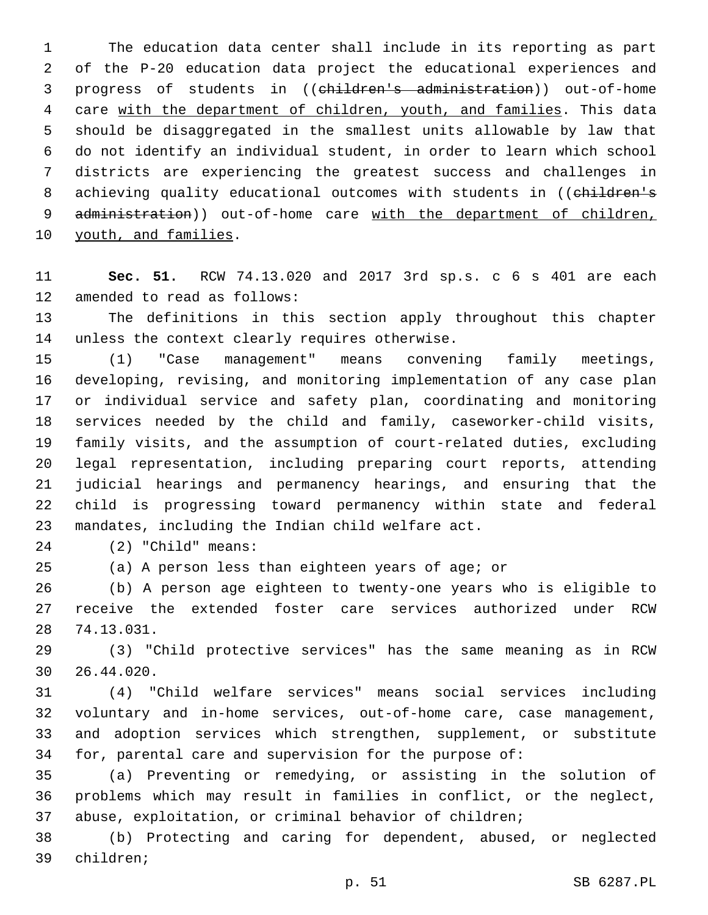The education data center shall include in its reporting as part of the P-20 education data project the educational experiences and progress of students in ((children's administration)) out-of-home care with the department of children, youth, and families. This data should be disaggregated in the smallest units allowable by law that do not identify an individual student, in order to learn which school districts are experiencing the greatest success and challenges in 8 achieving quality educational outcomes with students in ((children's 9 administration)) out-of-home care with the department of children, 10 youth, and families.

 **Sec. 51.** RCW 74.13.020 and 2017 3rd sp.s. c 6 s 401 are each 12 amended to read as follows:

 The definitions in this section apply throughout this chapter 14 unless the context clearly requires otherwise.

 (1) "Case management" means convening family meetings, developing, revising, and monitoring implementation of any case plan or individual service and safety plan, coordinating and monitoring services needed by the child and family, caseworker-child visits, family visits, and the assumption of court-related duties, excluding legal representation, including preparing court reports, attending judicial hearings and permanency hearings, and ensuring that the child is progressing toward permanency within state and federal 23 mandates, including the Indian child welfare act.

(2) "Child" means:24

(a) A person less than eighteen years of age; or

 (b) A person age eighteen to twenty-one years who is eligible to receive the extended foster care services authorized under RCW 74.13.031.28

 (3) "Child protective services" has the same meaning as in RCW 26.44.020.30

 (4) "Child welfare services" means social services including voluntary and in-home services, out-of-home care, case management, and adoption services which strengthen, supplement, or substitute for, parental care and supervision for the purpose of:

 (a) Preventing or remedying, or assisting in the solution of problems which may result in families in conflict, or the neglect, abuse, exploitation, or criminal behavior of children;

 (b) Protecting and caring for dependent, abused, or neglected 39 children;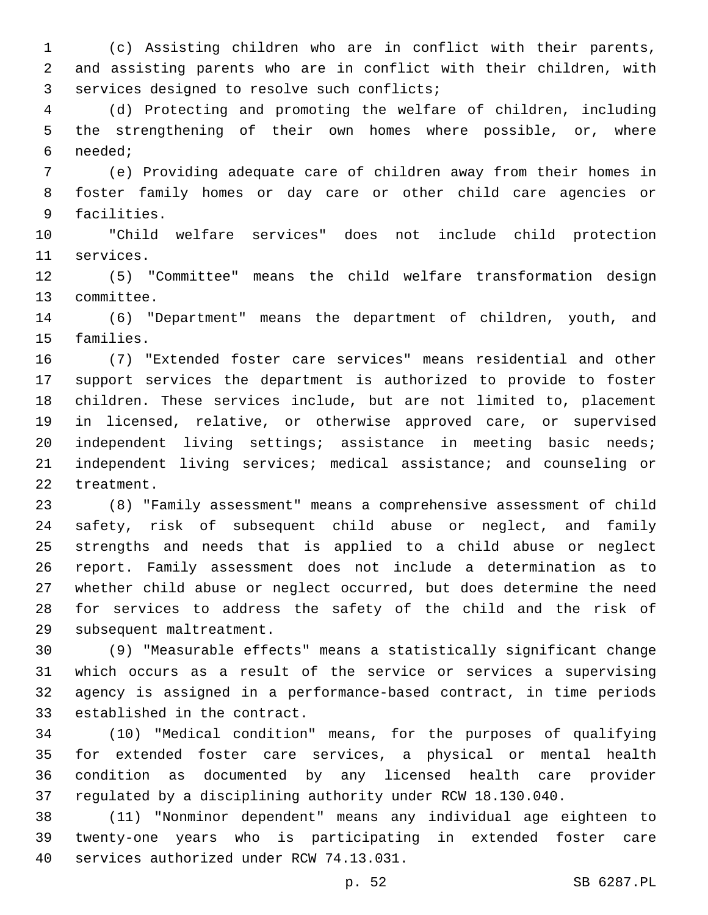(c) Assisting children who are in conflict with their parents, and assisting parents who are in conflict with their children, with 3 services designed to resolve such conflicts;

 (d) Protecting and promoting the welfare of children, including the strengthening of their own homes where possible, or, where needed;6

 (e) Providing adequate care of children away from their homes in foster family homes or day care or other child care agencies or 9 facilities.

 "Child welfare services" does not include child protection 11 services.

 (5) "Committee" means the child welfare transformation design 13 committee.

 (6) "Department" means the department of children, youth, and 15 families.

 (7) "Extended foster care services" means residential and other support services the department is authorized to provide to foster children. These services include, but are not limited to, placement in licensed, relative, or otherwise approved care, or supervised independent living settings; assistance in meeting basic needs; independent living services; medical assistance; and counseling or 22 treatment.

 (8) "Family assessment" means a comprehensive assessment of child safety, risk of subsequent child abuse or neglect, and family strengths and needs that is applied to a child abuse or neglect report. Family assessment does not include a determination as to whether child abuse or neglect occurred, but does determine the need for services to address the safety of the child and the risk of 29 subsequent maltreatment.

 (9) "Measurable effects" means a statistically significant change which occurs as a result of the service or services a supervising agency is assigned in a performance-based contract, in time periods 33 established in the contract.

 (10) "Medical condition" means, for the purposes of qualifying for extended foster care services, a physical or mental health condition as documented by any licensed health care provider regulated by a disciplining authority under RCW 18.130.040.

 (11) "Nonminor dependent" means any individual age eighteen to twenty-one years who is participating in extended foster care 40 services authorized under RCW 74.13.031.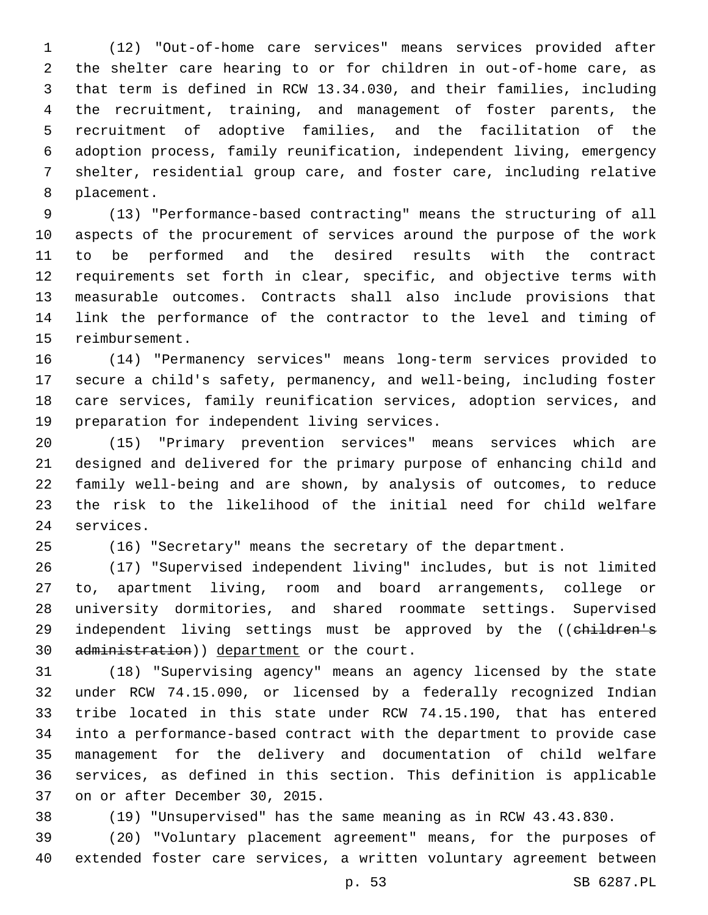(12) "Out-of-home care services" means services provided after the shelter care hearing to or for children in out-of-home care, as that term is defined in RCW 13.34.030, and their families, including the recruitment, training, and management of foster parents, the recruitment of adoptive families, and the facilitation of the adoption process, family reunification, independent living, emergency shelter, residential group care, and foster care, including relative 8 placement.

 (13) "Performance-based contracting" means the structuring of all aspects of the procurement of services around the purpose of the work to be performed and the desired results with the contract requirements set forth in clear, specific, and objective terms with measurable outcomes. Contracts shall also include provisions that link the performance of the contractor to the level and timing of 15 reimbursement.

 (14) "Permanency services" means long-term services provided to secure a child's safety, permanency, and well-being, including foster care services, family reunification services, adoption services, and 19 preparation for independent living services.

 (15) "Primary prevention services" means services which are designed and delivered for the primary purpose of enhancing child and family well-being and are shown, by analysis of outcomes, to reduce the risk to the likelihood of the initial need for child welfare 24 services.

(16) "Secretary" means the secretary of the department.

 (17) "Supervised independent living" includes, but is not limited to, apartment living, room and board arrangements, college or university dormitories, and shared roommate settings. Supervised 29 independent living settings must be approved by the ((children's 30 administration)) department or the court.

 (18) "Supervising agency" means an agency licensed by the state under RCW 74.15.090, or licensed by a federally recognized Indian tribe located in this state under RCW 74.15.190, that has entered into a performance-based contract with the department to provide case management for the delivery and documentation of child welfare services, as defined in this section. This definition is applicable 37 on or after December 30, 2015.

(19) "Unsupervised" has the same meaning as in RCW 43.43.830.

 (20) "Voluntary placement agreement" means, for the purposes of extended foster care services, a written voluntary agreement between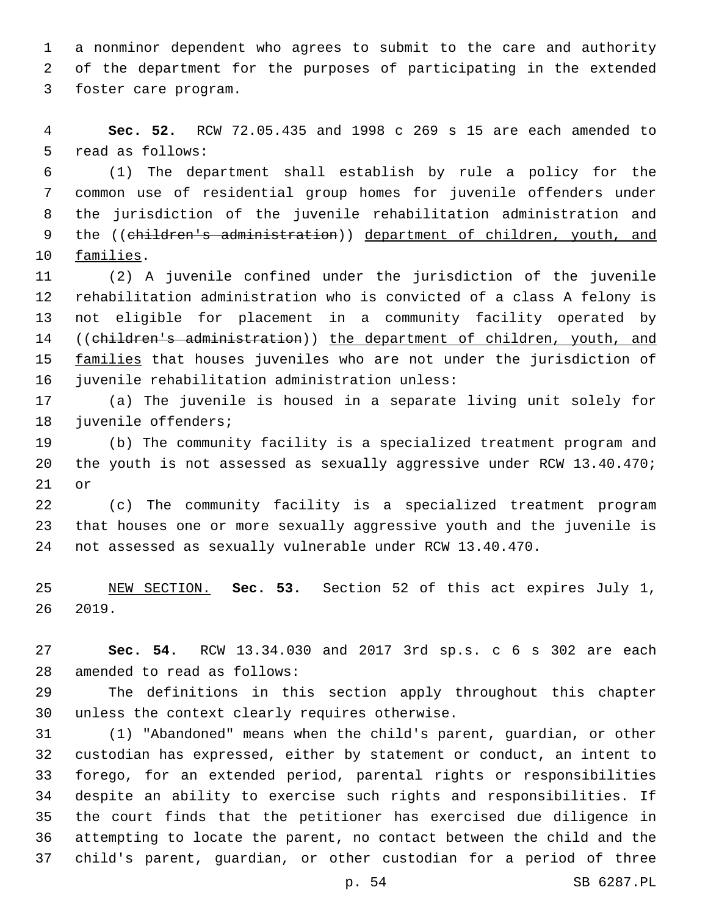a nonminor dependent who agrees to submit to the care and authority of the department for the purposes of participating in the extended 3 foster care program.

 **Sec. 52.** RCW 72.05.435 and 1998 c 269 s 15 are each amended to 5 read as follows:

 (1) The department shall establish by rule a policy for the common use of residential group homes for juvenile offenders under the jurisdiction of the juvenile rehabilitation administration and 9 the ((children's administration)) department of children, youth, and 10 families.

 (2) A juvenile confined under the jurisdiction of the juvenile rehabilitation administration who is convicted of a class A felony is not eligible for placement in a community facility operated by ((children's administration)) the department of children, youth, and 15 families that houses juveniles who are not under the jurisdiction of 16 juvenile rehabilitation administration unless:

 (a) The juvenile is housed in a separate living unit solely for 18 juvenile offenders;

 (b) The community facility is a specialized treatment program and the youth is not assessed as sexually aggressive under RCW 13.40.470; or

 (c) The community facility is a specialized treatment program that houses one or more sexually aggressive youth and the juvenile is not assessed as sexually vulnerable under RCW 13.40.470.

 NEW SECTION. **Sec. 53.** Section 52 of this act expires July 1, 2019.

 **Sec. 54.** RCW 13.34.030 and 2017 3rd sp.s. c 6 s 302 are each 28 amended to read as follows:

 The definitions in this section apply throughout this chapter 30 unless the context clearly requires otherwise.

 (1) "Abandoned" means when the child's parent, guardian, or other custodian has expressed, either by statement or conduct, an intent to forego, for an extended period, parental rights or responsibilities despite an ability to exercise such rights and responsibilities. If the court finds that the petitioner has exercised due diligence in attempting to locate the parent, no contact between the child and the child's parent, guardian, or other custodian for a period of three

p. 54 SB 6287.PL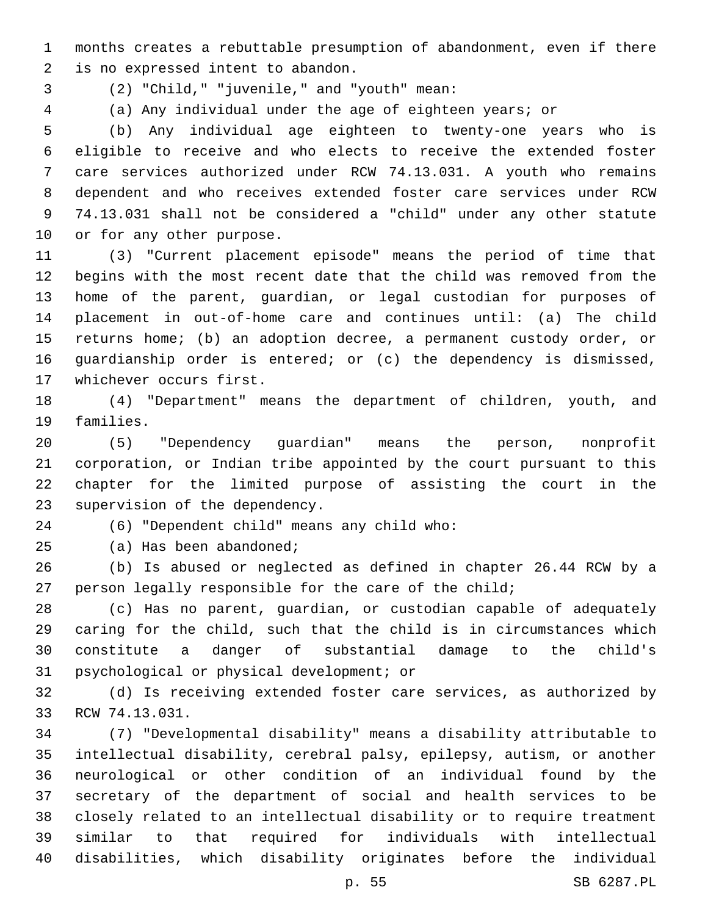months creates a rebuttable presumption of abandonment, even if there 2 is no expressed intent to abandon.

- (2) "Child," "juvenile," and "youth" mean:3
- 

(a) Any individual under the age of eighteen years; or

 (b) Any individual age eighteen to twenty-one years who is eligible to receive and who elects to receive the extended foster care services authorized under RCW 74.13.031. A youth who remains dependent and who receives extended foster care services under RCW 74.13.031 shall not be considered a "child" under any other statute 10 or for any other purpose.

 (3) "Current placement episode" means the period of time that begins with the most recent date that the child was removed from the home of the parent, guardian, or legal custodian for purposes of placement in out-of-home care and continues until: (a) The child returns home; (b) an adoption decree, a permanent custody order, or guardianship order is entered; or (c) the dependency is dismissed, 17 whichever occurs first.

 (4) "Department" means the department of children, youth, and 19 families.

 (5) "Dependency guardian" means the person, nonprofit corporation, or Indian tribe appointed by the court pursuant to this chapter for the limited purpose of assisting the court in the 23 supervision of the dependency.

(6) "Dependent child" means any child who:24

25 (a) Has been abandoned;

 (b) Is abused or neglected as defined in chapter 26.44 RCW by a 27 person legally responsible for the care of the child;

 (c) Has no parent, guardian, or custodian capable of adequately caring for the child, such that the child is in circumstances which constitute a danger of substantial damage to the child's 31 psychological or physical development; or

 (d) Is receiving extended foster care services, as authorized by 33 RCW 74.13.031.

 (7) "Developmental disability" means a disability attributable to intellectual disability, cerebral palsy, epilepsy, autism, or another neurological or other condition of an individual found by the secretary of the department of social and health services to be closely related to an intellectual disability or to require treatment similar to that required for individuals with intellectual disabilities, which disability originates before the individual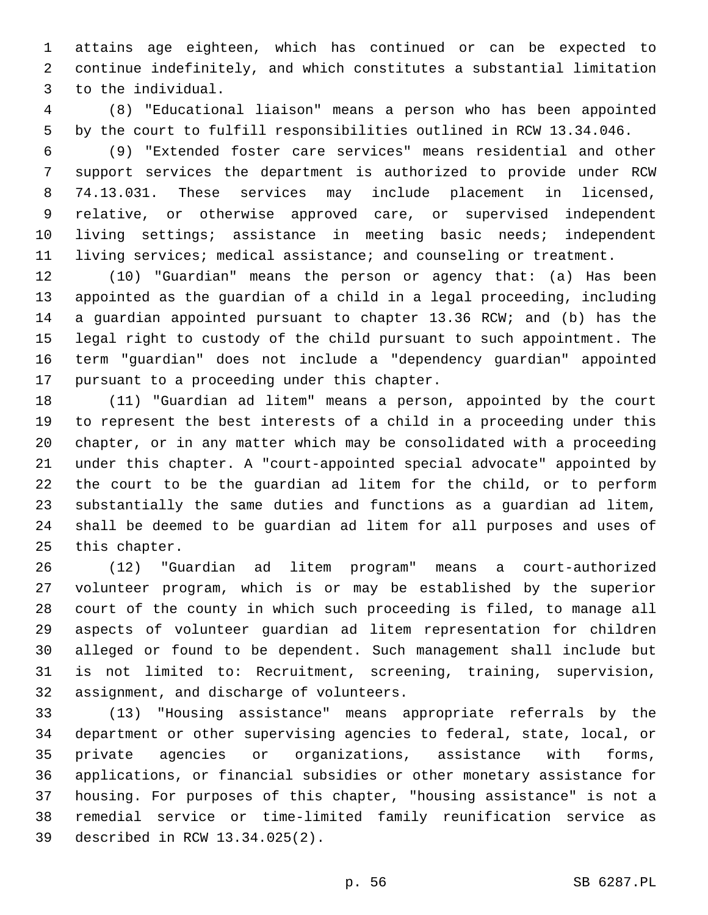attains age eighteen, which has continued or can be expected to continue indefinitely, and which constitutes a substantial limitation 3 to the individual.

 (8) "Educational liaison" means a person who has been appointed by the court to fulfill responsibilities outlined in RCW 13.34.046.

 (9) "Extended foster care services" means residential and other support services the department is authorized to provide under RCW 74.13.031. These services may include placement in licensed, relative, or otherwise approved care, or supervised independent living settings; assistance in meeting basic needs; independent living services; medical assistance; and counseling or treatment.

 (10) "Guardian" means the person or agency that: (a) Has been appointed as the guardian of a child in a legal proceeding, including a guardian appointed pursuant to chapter 13.36 RCW; and (b) has the legal right to custody of the child pursuant to such appointment. The term "guardian" does not include a "dependency guardian" appointed 17 pursuant to a proceeding under this chapter.

 (11) "Guardian ad litem" means a person, appointed by the court to represent the best interests of a child in a proceeding under this chapter, or in any matter which may be consolidated with a proceeding under this chapter. A "court-appointed special advocate" appointed by the court to be the guardian ad litem for the child, or to perform substantially the same duties and functions as a guardian ad litem, shall be deemed to be guardian ad litem for all purposes and uses of 25 this chapter.

 (12) "Guardian ad litem program" means a court-authorized volunteer program, which is or may be established by the superior court of the county in which such proceeding is filed, to manage all aspects of volunteer guardian ad litem representation for children alleged or found to be dependent. Such management shall include but is not limited to: Recruitment, screening, training, supervision, 32 assignment, and discharge of volunteers.

 (13) "Housing assistance" means appropriate referrals by the department or other supervising agencies to federal, state, local, or private agencies or organizations, assistance with forms, applications, or financial subsidies or other monetary assistance for housing. For purposes of this chapter, "housing assistance" is not a remedial service or time-limited family reunification service as described in RCW 13.34.025(2).39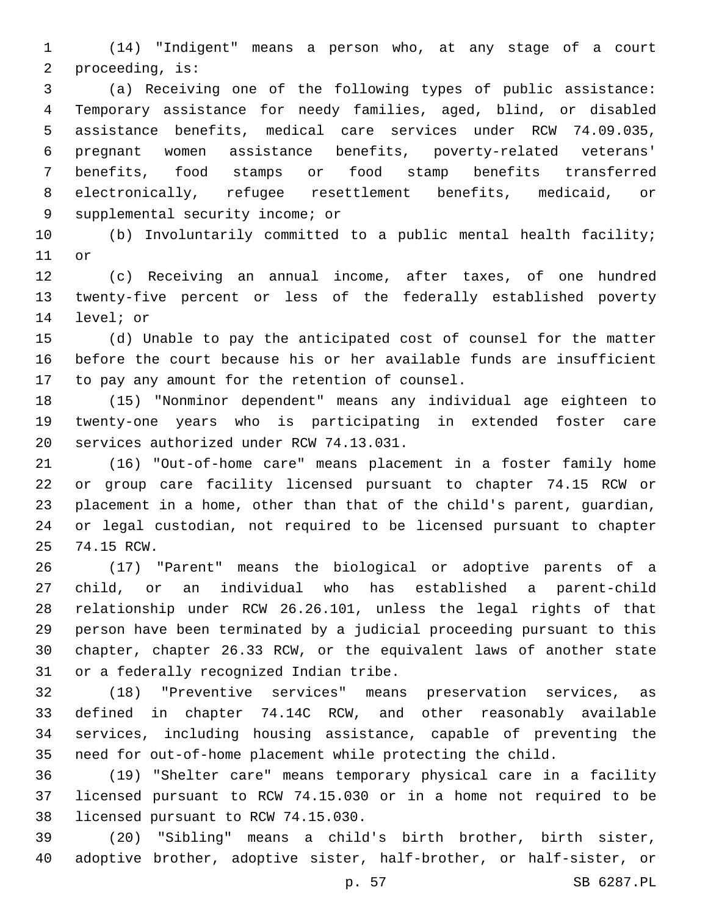(14) "Indigent" means a person who, at any stage of a court 2 proceeding, is:

 (a) Receiving one of the following types of public assistance: Temporary assistance for needy families, aged, blind, or disabled assistance benefits, medical care services under RCW 74.09.035, pregnant women assistance benefits, poverty-related veterans' benefits, food stamps or food stamp benefits transferred electronically, refugee resettlement benefits, medicaid, or 9 supplemental security income; or

 (b) Involuntarily committed to a public mental health facility; 11 or

 (c) Receiving an annual income, after taxes, of one hundred twenty-five percent or less of the federally established poverty 14 level; or

 (d) Unable to pay the anticipated cost of counsel for the matter before the court because his or her available funds are insufficient 17 to pay any amount for the retention of counsel.

 (15) "Nonminor dependent" means any individual age eighteen to twenty-one years who is participating in extended foster care 20 services authorized under RCW 74.13.031.

 (16) "Out-of-home care" means placement in a foster family home or group care facility licensed pursuant to chapter 74.15 RCW or placement in a home, other than that of the child's parent, guardian, or legal custodian, not required to be licensed pursuant to chapter 25 74.15 RCW.

 (17) "Parent" means the biological or adoptive parents of a child, or an individual who has established a parent-child relationship under RCW 26.26.101, unless the legal rights of that person have been terminated by a judicial proceeding pursuant to this chapter, chapter 26.33 RCW, or the equivalent laws of another state 31 or a federally recognized Indian tribe.

 (18) "Preventive services" means preservation services, as defined in chapter 74.14C RCW, and other reasonably available services, including housing assistance, capable of preventing the need for out-of-home placement while protecting the child.

 (19) "Shelter care" means temporary physical care in a facility licensed pursuant to RCW 74.15.030 or in a home not required to be 38 licensed pursuant to RCW 74.15.030.

 (20) "Sibling" means a child's birth brother, birth sister, adoptive brother, adoptive sister, half-brother, or half-sister, or

p. 57 SB 6287.PL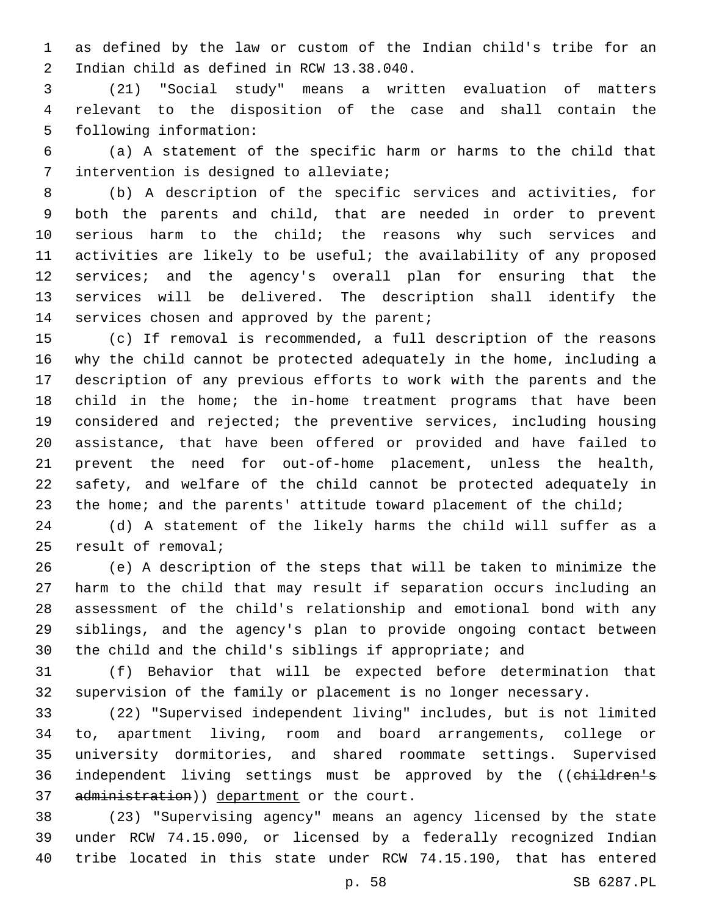as defined by the law or custom of the Indian child's tribe for an 2 Indian child as defined in RCW 13.38.040.

 (21) "Social study" means a written evaluation of matters relevant to the disposition of the case and shall contain the 5 following information:

 (a) A statement of the specific harm or harms to the child that 7 intervention is designed to alleviate;

 (b) A description of the specific services and activities, for both the parents and child, that are needed in order to prevent serious harm to the child; the reasons why such services and activities are likely to be useful; the availability of any proposed services; and the agency's overall plan for ensuring that the services will be delivered. The description shall identify the 14 services chosen and approved by the parent;

 (c) If removal is recommended, a full description of the reasons why the child cannot be protected adequately in the home, including a description of any previous efforts to work with the parents and the child in the home; the in-home treatment programs that have been considered and rejected; the preventive services, including housing assistance, that have been offered or provided and have failed to prevent the need for out-of-home placement, unless the health, safety, and welfare of the child cannot be protected adequately in 23 the home; and the parents' attitude toward placement of the child;

 (d) A statement of the likely harms the child will suffer as a 25 result of removal;

 (e) A description of the steps that will be taken to minimize the harm to the child that may result if separation occurs including an assessment of the child's relationship and emotional bond with any siblings, and the agency's plan to provide ongoing contact between the child and the child's siblings if appropriate; and

 (f) Behavior that will be expected before determination that supervision of the family or placement is no longer necessary.

 (22) "Supervised independent living" includes, but is not limited to, apartment living, room and board arrangements, college or university dormitories, and shared roommate settings. Supervised 36 independent living settings must be approved by the ((children's 37 administration)) department or the court.

 (23) "Supervising agency" means an agency licensed by the state under RCW 74.15.090, or licensed by a federally recognized Indian tribe located in this state under RCW 74.15.190, that has entered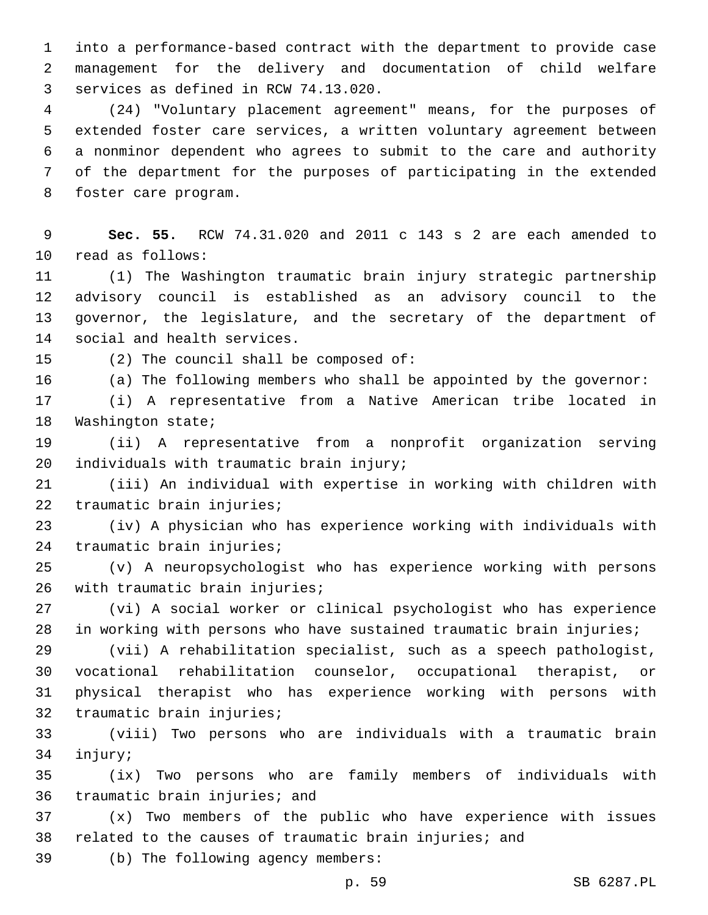into a performance-based contract with the department to provide case management for the delivery and documentation of child welfare 3 services as defined in RCW 74.13.020.

 (24) "Voluntary placement agreement" means, for the purposes of extended foster care services, a written voluntary agreement between a nonminor dependent who agrees to submit to the care and authority of the department for the purposes of participating in the extended 8 foster care program.

 **Sec. 55.** RCW 74.31.020 and 2011 c 143 s 2 are each amended to 10 read as follows:

 (1) The Washington traumatic brain injury strategic partnership advisory council is established as an advisory council to the governor, the legislature, and the secretary of the department of 14 social and health services.

(2) The council shall be composed of:

(a) The following members who shall be appointed by the governor:

 (i) A representative from a Native American tribe located in 18 Washington state;

 (ii) A representative from a nonprofit organization serving 20 individuals with traumatic brain injury;

 (iii) An individual with expertise in working with children with 22 traumatic brain injuries;

 (iv) A physician who has experience working with individuals with 24 traumatic brain injuries;

 (v) A neuropsychologist who has experience working with persons 26 with traumatic brain injuries;

 (vi) A social worker or clinical psychologist who has experience in working with persons who have sustained traumatic brain injuries;

 (vii) A rehabilitation specialist, such as a speech pathologist, vocational rehabilitation counselor, occupational therapist, or physical therapist who has experience working with persons with 32 traumatic brain injuries;

 (viii) Two persons who are individuals with a traumatic brain 34 injury;

 (ix) Two persons who are family members of individuals with 36 traumatic brain injuries; and

 (x) Two members of the public who have experience with issues 38 related to the causes of traumatic brain injuries; and

39 (b) The following agency members: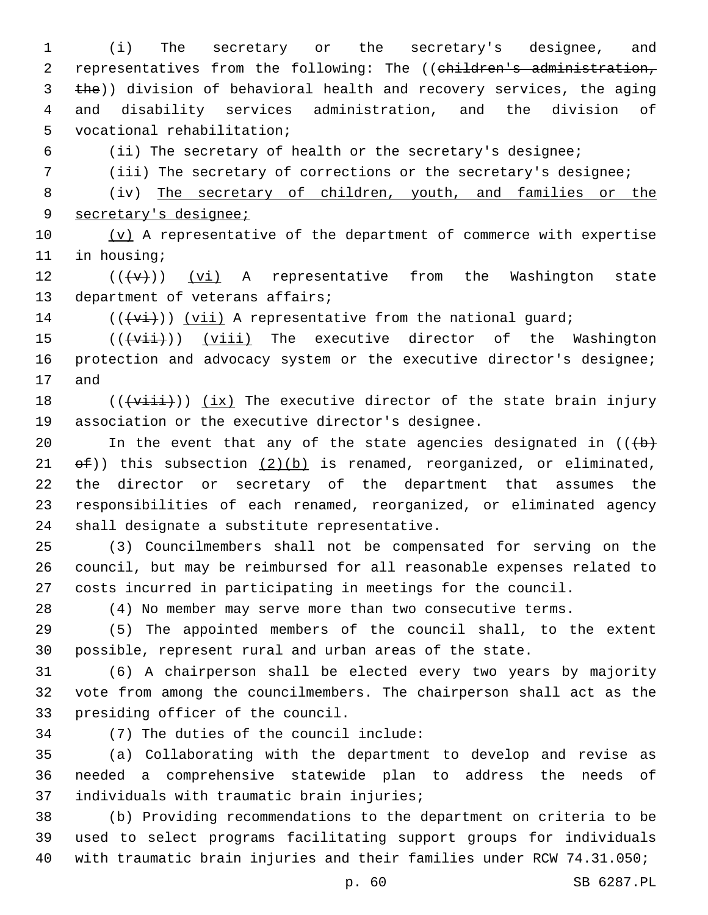(i) The secretary or the secretary's designee, and 2 representatives from the following: The ((children's administration, 3 the)) division of behavioral health and recovery services, the aging and disability services administration, and the division of 5 vocational rehabilitation;

(ii) The secretary of health or the secretary's designee;

(iii) The secretary of corrections or the secretary's designee;

 (iv) The secretary of children, youth, and families or the secretary's designee;

 $(v)$  A representative of the department of commerce with expertise 11 in housing;

12  $((\lbrace v \rbrace))$  (vi) A representative from the Washington state 13 department of veterans affairs;

(( $\overline{(+v\textbf{i})}$ ) ( $\overline{v\textbf{i}}$ ) A representative from the national guard;

 $((\overline{\text{viii}}))$  (viii) The executive director of the Washington 16 protection and advocacy system or the executive director's designee; 17 and

 $((\overline{\text{visit}}))$  (ix) The executive director of the state brain injury 19 association or the executive director's designee.

20 In the event that any of the state agencies designated in  $((+b)^2)$ 21  $\Theta$  ( $\Theta$ )) this subsection  $(2)(b)$  is renamed, reorganized, or eliminated, the director or secretary of the department that assumes the responsibilities of each renamed, reorganized, or eliminated agency 24 shall designate a substitute representative.

 (3) Councilmembers shall not be compensated for serving on the council, but may be reimbursed for all reasonable expenses related to costs incurred in participating in meetings for the council.

(4) No member may serve more than two consecutive terms.

 (5) The appointed members of the council shall, to the extent possible, represent rural and urban areas of the state.

 (6) A chairperson shall be elected every two years by majority vote from among the councilmembers. The chairperson shall act as the 33 presiding officer of the council.

(7) The duties of the council include:34

 (a) Collaborating with the department to develop and revise as needed a comprehensive statewide plan to address the needs of 37 individuals with traumatic brain injuries;

 (b) Providing recommendations to the department on criteria to be used to select programs facilitating support groups for individuals with traumatic brain injuries and their families under RCW 74.31.050;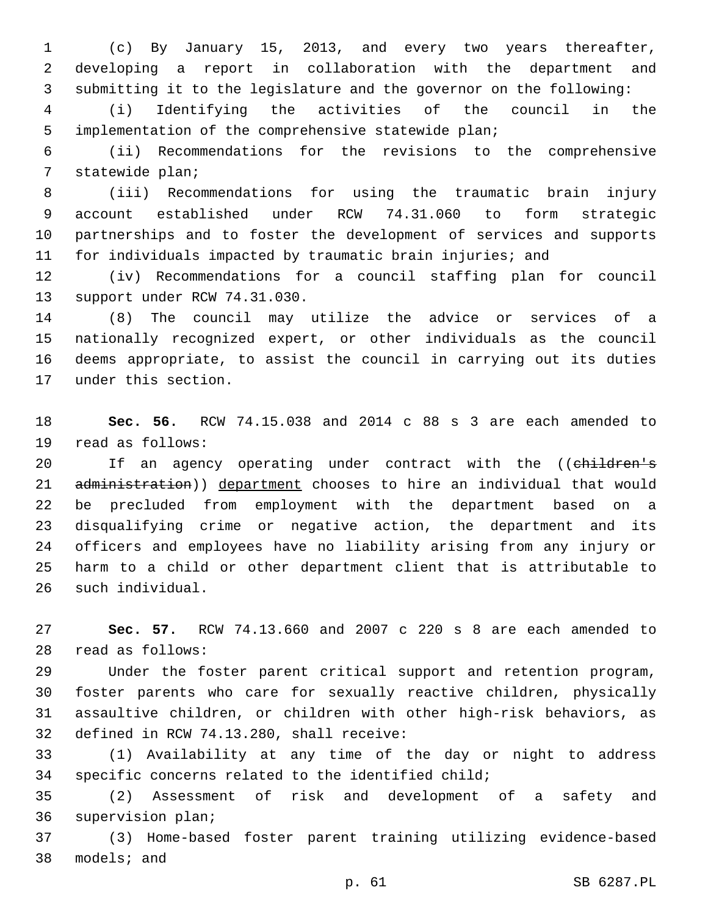(c) By January 15, 2013, and every two years thereafter, developing a report in collaboration with the department and submitting it to the legislature and the governor on the following:

 (i) Identifying the activities of the council in the implementation of the comprehensive statewide plan;

 (ii) Recommendations for the revisions to the comprehensive 7 statewide plan;

 (iii) Recommendations for using the traumatic brain injury account established under RCW 74.31.060 to form strategic partnerships and to foster the development of services and supports for individuals impacted by traumatic brain injuries; and

 (iv) Recommendations for a council staffing plan for council 13 support under RCW 74.31.030.

 (8) The council may utilize the advice or services of a nationally recognized expert, or other individuals as the council deems appropriate, to assist the council in carrying out its duties 17 under this section.

 **Sec. 56.** RCW 74.15.038 and 2014 c 88 s 3 are each amended to 19 read as follows:

20 If an agency operating under contract with the ((children's 21 administration)) department chooses to hire an individual that would be precluded from employment with the department based on a disqualifying crime or negative action, the department and its officers and employees have no liability arising from any injury or harm to a child or other department client that is attributable to 26 such individual.

 **Sec. 57.** RCW 74.13.660 and 2007 c 220 s 8 are each amended to 28 read as follows:

 Under the foster parent critical support and retention program, foster parents who care for sexually reactive children, physically assaultive children, or children with other high-risk behaviors, as 32 defined in RCW 74.13.280, shall receive:

 (1) Availability at any time of the day or night to address specific concerns related to the identified child;

 (2) Assessment of risk and development of a safety and 36 supervision plan;

 (3) Home-based foster parent training utilizing evidence-based 38 models; and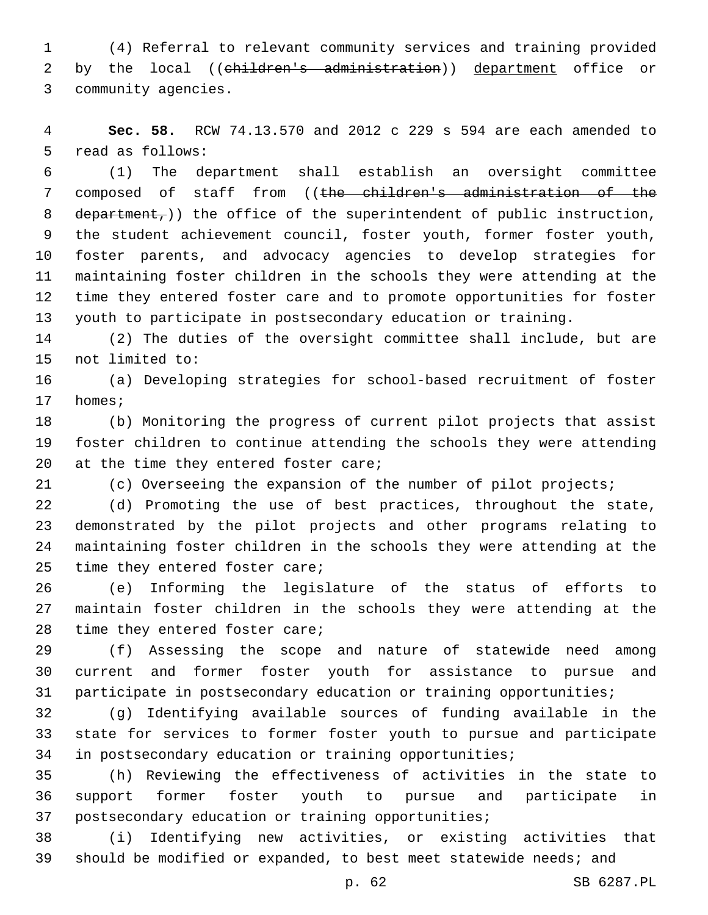(4) Referral to relevant community services and training provided 2 by the local ((children's administration)) department office or 3 community agencies.

 **Sec. 58.** RCW 74.13.570 and 2012 c 229 s 594 are each amended to 5 read as follows:

 (1) The department shall establish an oversight committee composed of staff from ((the children's administration of the 8 department,)) the office of the superintendent of public instruction, the student achievement council, foster youth, former foster youth, foster parents, and advocacy agencies to develop strategies for maintaining foster children in the schools they were attending at the time they entered foster care and to promote opportunities for foster youth to participate in postsecondary education or training.

 (2) The duties of the oversight committee shall include, but are 15 not limited to:

 (a) Developing strategies for school-based recruitment of foster 17 homes;

 (b) Monitoring the progress of current pilot projects that assist foster children to continue attending the schools they were attending 20  $at$  the time they entered foster care;

(c) Overseeing the expansion of the number of pilot projects;

 (d) Promoting the use of best practices, throughout the state, demonstrated by the pilot projects and other programs relating to maintaining foster children in the schools they were attending at the 25 time they entered foster care;

 (e) Informing the legislature of the status of efforts to maintain foster children in the schools they were attending at the 28 time they entered foster care;

 (f) Assessing the scope and nature of statewide need among current and former foster youth for assistance to pursue and participate in postsecondary education or training opportunities;

 (g) Identifying available sources of funding available in the state for services to former foster youth to pursue and participate in postsecondary education or training opportunities;

 (h) Reviewing the effectiveness of activities in the state to support former foster youth to pursue and participate in postsecondary education or training opportunities;

 (i) Identifying new activities, or existing activities that should be modified or expanded, to best meet statewide needs; and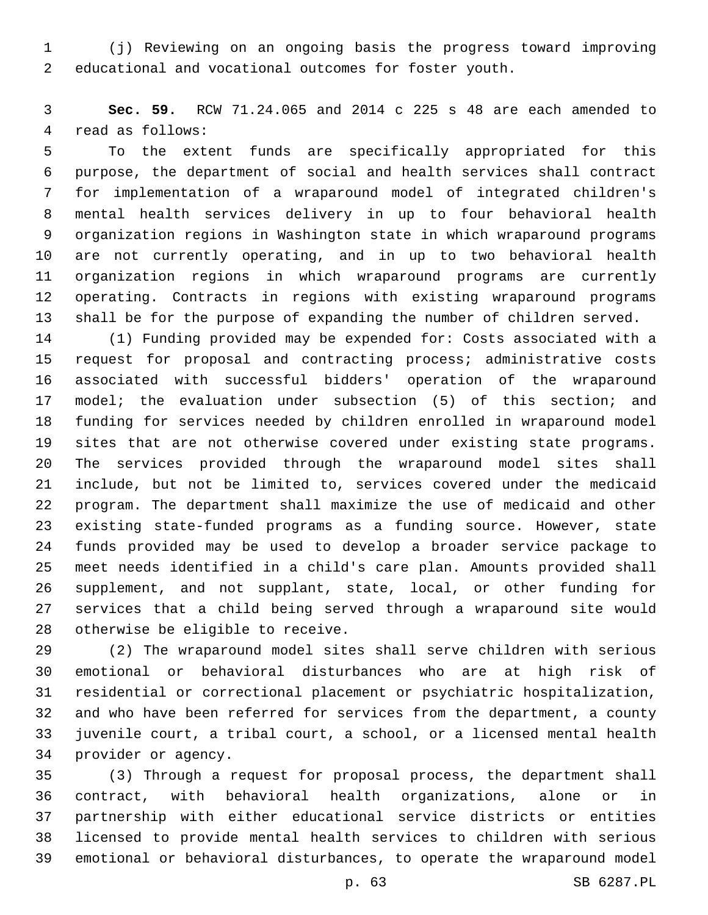(j) Reviewing on an ongoing basis the progress toward improving educational and vocational outcomes for foster youth.

 **Sec. 59.** RCW 71.24.065 and 2014 c 225 s 48 are each amended to 4 read as follows:

 To the extent funds are specifically appropriated for this purpose, the department of social and health services shall contract for implementation of a wraparound model of integrated children's mental health services delivery in up to four behavioral health organization regions in Washington state in which wraparound programs are not currently operating, and in up to two behavioral health organization regions in which wraparound programs are currently operating. Contracts in regions with existing wraparound programs shall be for the purpose of expanding the number of children served.

 (1) Funding provided may be expended for: Costs associated with a request for proposal and contracting process; administrative costs associated with successful bidders' operation of the wraparound model; the evaluation under subsection (5) of this section; and funding for services needed by children enrolled in wraparound model sites that are not otherwise covered under existing state programs. The services provided through the wraparound model sites shall include, but not be limited to, services covered under the medicaid program. The department shall maximize the use of medicaid and other existing state-funded programs as a funding source. However, state funds provided may be used to develop a broader service package to meet needs identified in a child's care plan. Amounts provided shall supplement, and not supplant, state, local, or other funding for services that a child being served through a wraparound site would 28 otherwise be eligible to receive.

 (2) The wraparound model sites shall serve children with serious emotional or behavioral disturbances who are at high risk of residential or correctional placement or psychiatric hospitalization, and who have been referred for services from the department, a county juvenile court, a tribal court, a school, or a licensed mental health 34 provider or agency.

 (3) Through a request for proposal process, the department shall contract, with behavioral health organizations, alone or in partnership with either educational service districts or entities licensed to provide mental health services to children with serious emotional or behavioral disturbances, to operate the wraparound model

p. 63 SB 6287.PL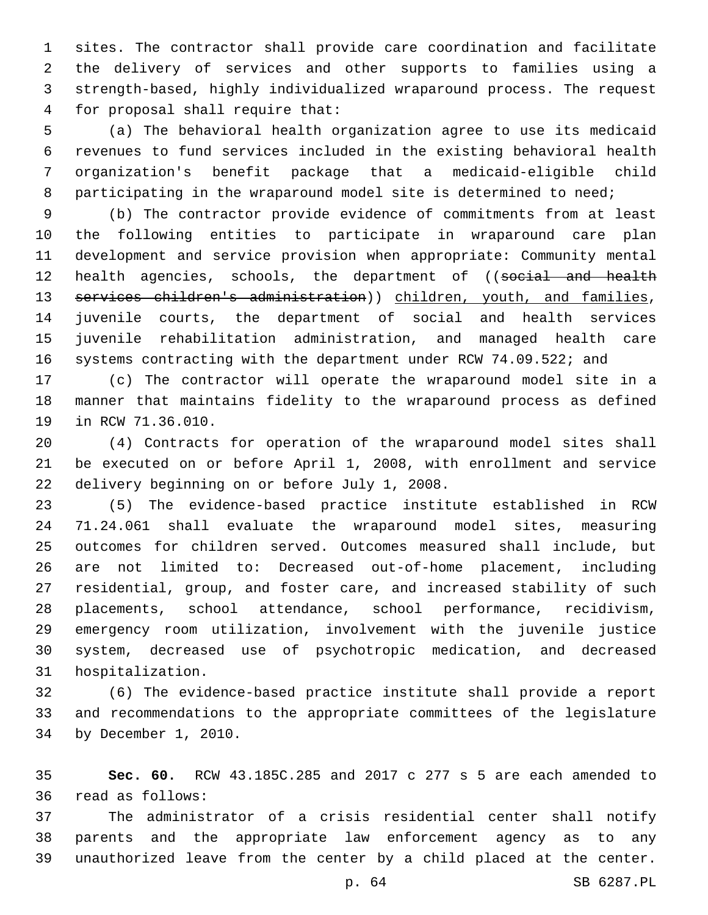sites. The contractor shall provide care coordination and facilitate the delivery of services and other supports to families using a strength-based, highly individualized wraparound process. The request for proposal shall require that:4

 (a) The behavioral health organization agree to use its medicaid revenues to fund services included in the existing behavioral health organization's benefit package that a medicaid-eligible child 8 participating in the wraparound model site is determined to need;

 (b) The contractor provide evidence of commitments from at least the following entities to participate in wraparound care plan development and service provision when appropriate: Community mental 12 health agencies, schools, the department of ((social and health 13 services children's administration)) children, youth, and families, juvenile courts, the department of social and health services juvenile rehabilitation administration, and managed health care 16 systems contracting with the department under RCW 74.09.522; and

 (c) The contractor will operate the wraparound model site in a manner that maintains fidelity to the wraparound process as defined 19 in RCW 71.36.010.

 (4) Contracts for operation of the wraparound model sites shall be executed on or before April 1, 2008, with enrollment and service 22 delivery beginning on or before July 1, 2008.

 (5) The evidence-based practice institute established in RCW 71.24.061 shall evaluate the wraparound model sites, measuring outcomes for children served. Outcomes measured shall include, but are not limited to: Decreased out-of-home placement, including residential, group, and foster care, and increased stability of such placements, school attendance, school performance, recidivism, emergency room utilization, involvement with the juvenile justice system, decreased use of psychotropic medication, and decreased 31 hospitalization.

 (6) The evidence-based practice institute shall provide a report and recommendations to the appropriate committees of the legislature 34 by December 1, 2010.

 **Sec. 60.** RCW 43.185C.285 and 2017 c 277 s 5 are each amended to read as follows:36

 The administrator of a crisis residential center shall notify parents and the appropriate law enforcement agency as to any unauthorized leave from the center by a child placed at the center.

p. 64 SB 6287.PL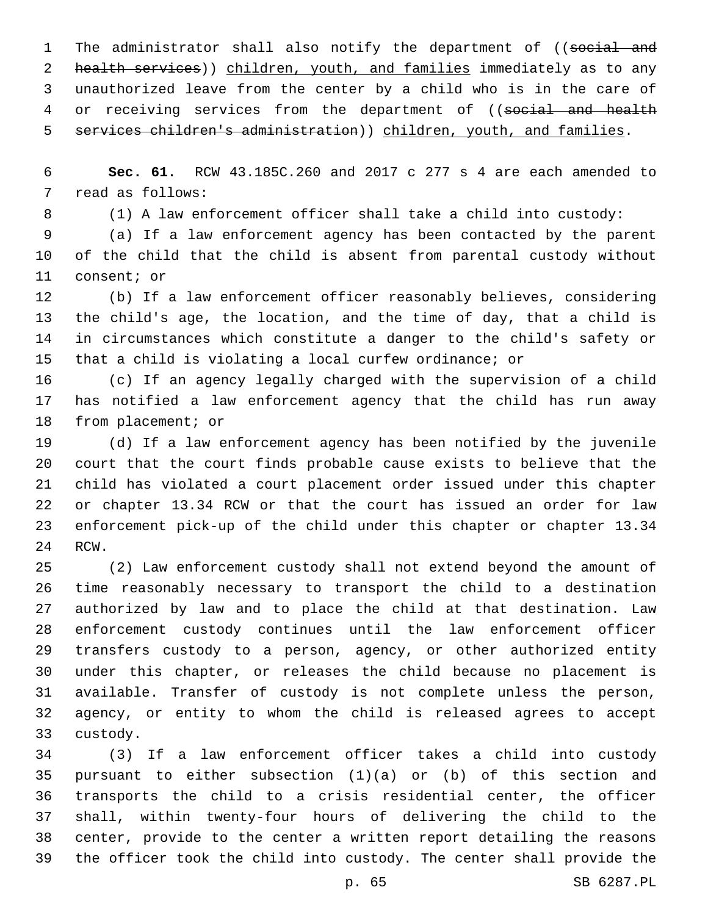1 The administrator shall also notify the department of ((social and 2 health services)) children, youth, and families immediately as to any unauthorized leave from the center by a child who is in the care of 4 or receiving services from the department of ((social and health 5 services children's administration)) children, youth, and families.

 **Sec. 61.** RCW 43.185C.260 and 2017 c 277 s 4 are each amended to 7 read as follows:

(1) A law enforcement officer shall take a child into custody:

 (a) If a law enforcement agency has been contacted by the parent of the child that the child is absent from parental custody without 11 consent; or

 (b) If a law enforcement officer reasonably believes, considering the child's age, the location, and the time of day, that a child is in circumstances which constitute a danger to the child's safety or that a child is violating a local curfew ordinance; or

 (c) If an agency legally charged with the supervision of a child has notified a law enforcement agency that the child has run away 18 from placement; or

 (d) If a law enforcement agency has been notified by the juvenile court that the court finds probable cause exists to believe that the child has violated a court placement order issued under this chapter or chapter 13.34 RCW or that the court has issued an order for law enforcement pick-up of the child under this chapter or chapter 13.34 24 RCW.

 (2) Law enforcement custody shall not extend beyond the amount of time reasonably necessary to transport the child to a destination authorized by law and to place the child at that destination. Law enforcement custody continues until the law enforcement officer transfers custody to a person, agency, or other authorized entity under this chapter, or releases the child because no placement is available. Transfer of custody is not complete unless the person, agency, or entity to whom the child is released agrees to accept 33 custody.

 (3) If a law enforcement officer takes a child into custody pursuant to either subsection (1)(a) or (b) of this section and transports the child to a crisis residential center, the officer shall, within twenty-four hours of delivering the child to the center, provide to the center a written report detailing the reasons the officer took the child into custody. The center shall provide the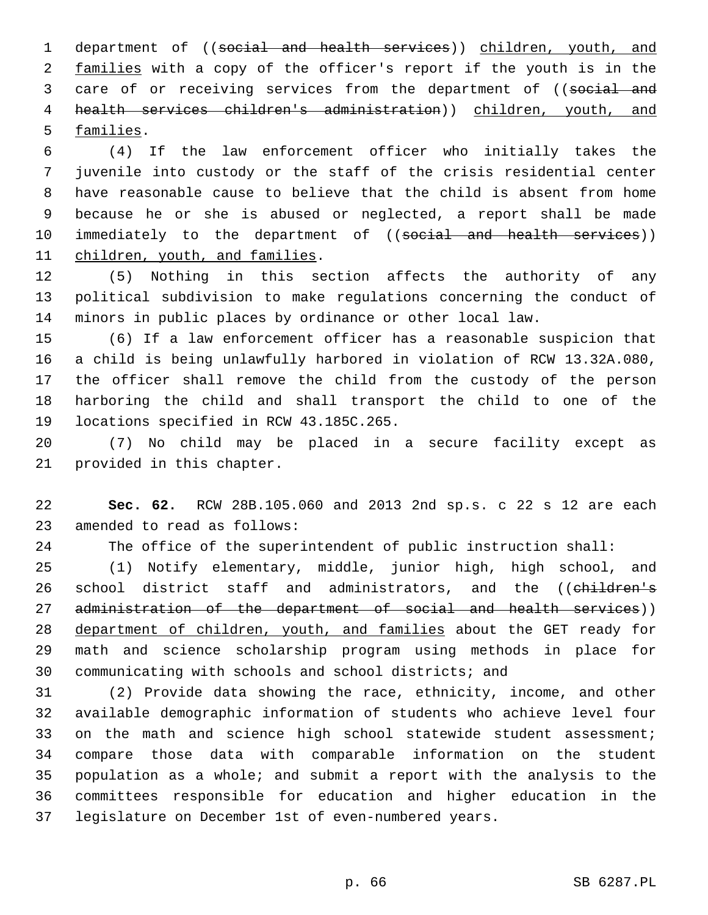department of ((social and health services)) children, youth, and 2 families with a copy of the officer's report if the youth is in the 3 care of or receiving services from the department of ((social and health services children's administration)) children, youth, and 5 families.

 (4) If the law enforcement officer who initially takes the juvenile into custody or the staff of the crisis residential center have reasonable cause to believe that the child is absent from home because he or she is abused or neglected, a report shall be made 10 immediately to the department of ((social and health services)) 11 children, youth, and families.

 (5) Nothing in this section affects the authority of any political subdivision to make regulations concerning the conduct of minors in public places by ordinance or other local law.

 (6) If a law enforcement officer has a reasonable suspicion that a child is being unlawfully harbored in violation of RCW 13.32A.080, the officer shall remove the child from the custody of the person harboring the child and shall transport the child to one of the 19 locations specified in RCW 43.185C.265.

 (7) No child may be placed in a secure facility except as 21 provided in this chapter.

 **Sec. 62.** RCW 28B.105.060 and 2013 2nd sp.s. c 22 s 12 are each 23 amended to read as follows:

The office of the superintendent of public instruction shall:

 (1) Notify elementary, middle, junior high, high school, and 26 school district staff and administrators, and the ((children's 27 administration of the department of social and health services)) department of children, youth, and families about the GET ready for math and science scholarship program using methods in place for communicating with schools and school districts; and

 (2) Provide data showing the race, ethnicity, income, and other available demographic information of students who achieve level four 33 on the math and science high school statewide student assessment; compare those data with comparable information on the student population as a whole; and submit a report with the analysis to the committees responsible for education and higher education in the legislature on December 1st of even-numbered years.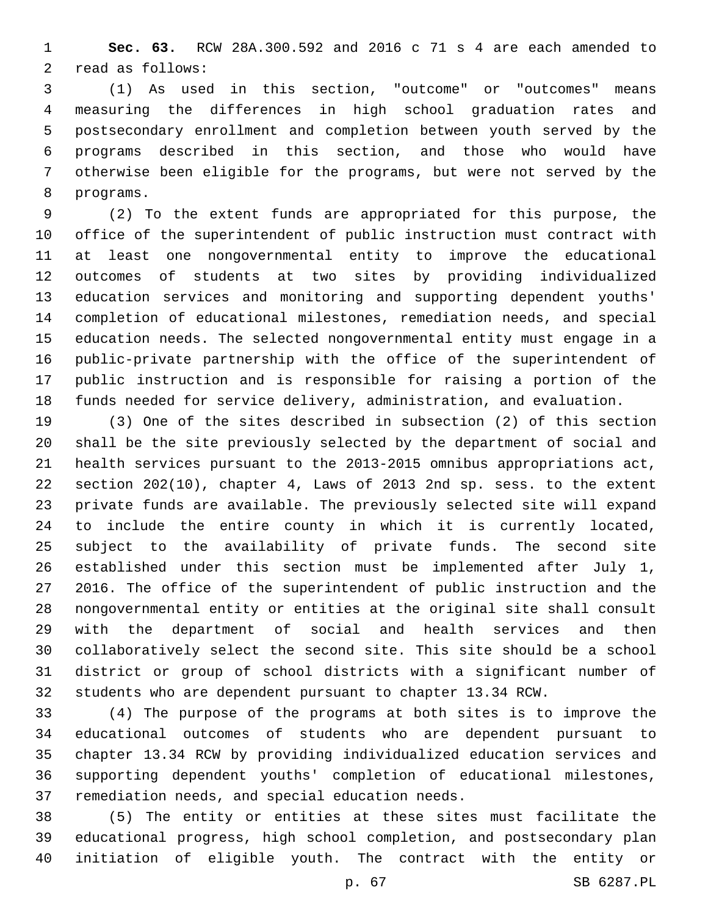**Sec. 63.** RCW 28A.300.592 and 2016 c 71 s 4 are each amended to 2 read as follows:

 (1) As used in this section, "outcome" or "outcomes" means measuring the differences in high school graduation rates and postsecondary enrollment and completion between youth served by the programs described in this section, and those who would have otherwise been eligible for the programs, but were not served by the 8 programs.

 (2) To the extent funds are appropriated for this purpose, the office of the superintendent of public instruction must contract with at least one nongovernmental entity to improve the educational outcomes of students at two sites by providing individualized education services and monitoring and supporting dependent youths' completion of educational milestones, remediation needs, and special education needs. The selected nongovernmental entity must engage in a public-private partnership with the office of the superintendent of public instruction and is responsible for raising a portion of the funds needed for service delivery, administration, and evaluation.

 (3) One of the sites described in subsection (2) of this section shall be the site previously selected by the department of social and health services pursuant to the 2013-2015 omnibus appropriations act, section 202(10), chapter 4, Laws of 2013 2nd sp. sess. to the extent private funds are available. The previously selected site will expand to include the entire county in which it is currently located, subject to the availability of private funds. The second site established under this section must be implemented after July 1, 2016. The office of the superintendent of public instruction and the nongovernmental entity or entities at the original site shall consult with the department of social and health services and then collaboratively select the second site. This site should be a school district or group of school districts with a significant number of students who are dependent pursuant to chapter 13.34 RCW.

 (4) The purpose of the programs at both sites is to improve the educational outcomes of students who are dependent pursuant to chapter 13.34 RCW by providing individualized education services and supporting dependent youths' completion of educational milestones, 37 remediation needs, and special education needs.

 (5) The entity or entities at these sites must facilitate the educational progress, high school completion, and postsecondary plan initiation of eligible youth. The contract with the entity or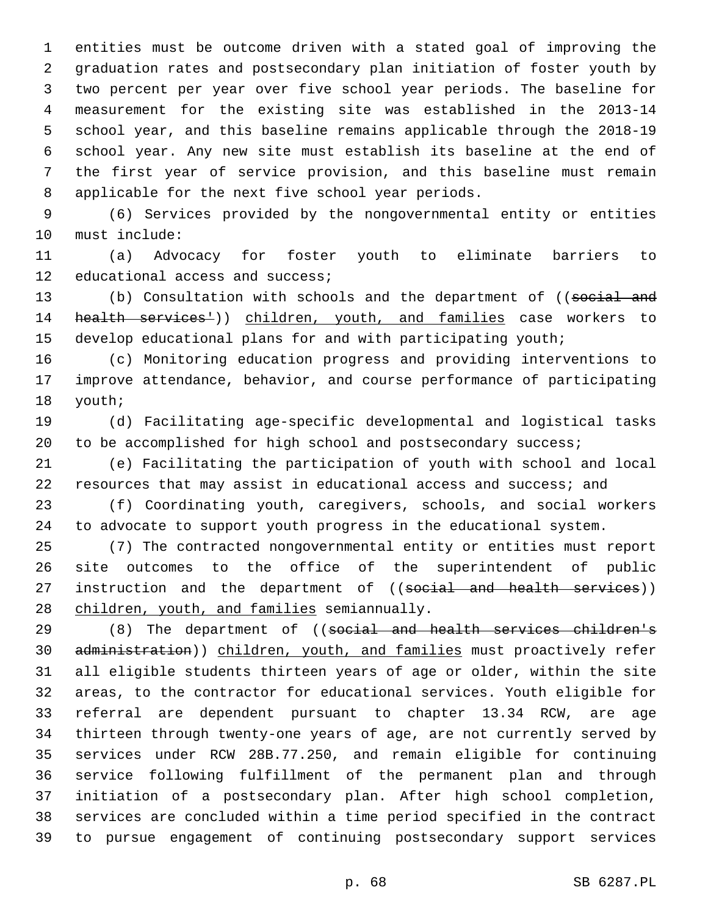entities must be outcome driven with a stated goal of improving the graduation rates and postsecondary plan initiation of foster youth by two percent per year over five school year periods. The baseline for measurement for the existing site was established in the 2013-14 school year, and this baseline remains applicable through the 2018-19 school year. Any new site must establish its baseline at the end of the first year of service provision, and this baseline must remain 8 applicable for the next five school year periods.

 (6) Services provided by the nongovernmental entity or entities 10 must include:

 (a) Advocacy for foster youth to eliminate barriers to 12 educational access and success;

13 (b) Consultation with schools and the department of ((social and 14 health services<sup>1</sup>)) children, youth, and families case workers to develop educational plans for and with participating youth;

 (c) Monitoring education progress and providing interventions to improve attendance, behavior, and course performance of participating 18 youth;

 (d) Facilitating age-specific developmental and logistical tasks 20 to be accomplished for high school and postsecondary success;

 (e) Facilitating the participation of youth with school and local resources that may assist in educational access and success; and

 (f) Coordinating youth, caregivers, schools, and social workers to advocate to support youth progress in the educational system.

 (7) The contracted nongovernmental entity or entities must report site outcomes to the office of the superintendent of public 27 instruction and the department of ((social and health services)) 28 children, youth, and families semiannually.

29 (8) The department of ((social and health services children's 30 administration)) children, youth, and families must proactively refer all eligible students thirteen years of age or older, within the site areas, to the contractor for educational services. Youth eligible for referral are dependent pursuant to chapter 13.34 RCW, are age thirteen through twenty-one years of age, are not currently served by services under RCW 28B.77.250, and remain eligible for continuing service following fulfillment of the permanent plan and through initiation of a postsecondary plan. After high school completion, services are concluded within a time period specified in the contract to pursue engagement of continuing postsecondary support services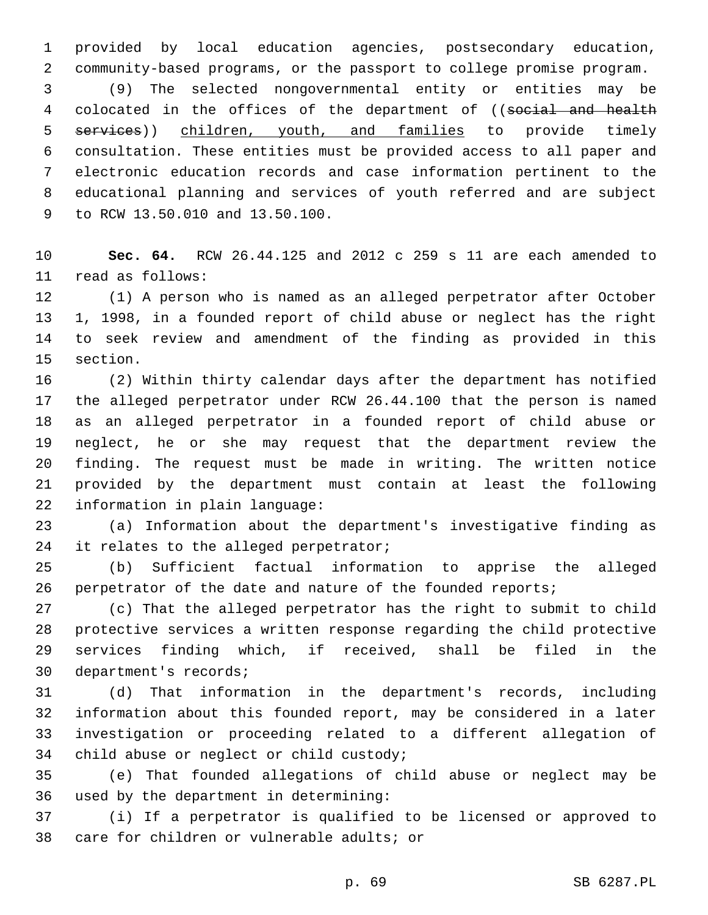provided by local education agencies, postsecondary education, community-based programs, or the passport to college promise program.

 (9) The selected nongovernmental entity or entities may be 4 colocated in the offices of the department of ((social and health 5 services)) children, youth, and families to provide timely consultation. These entities must be provided access to all paper and electronic education records and case information pertinent to the educational planning and services of youth referred and are subject 9 to RCW 13.50.010 and 13.50.100.

 **Sec. 64.** RCW 26.44.125 and 2012 c 259 s 11 are each amended to 11 read as follows:

 (1) A person who is named as an alleged perpetrator after October 1, 1998, in a founded report of child abuse or neglect has the right to seek review and amendment of the finding as provided in this 15 section.

 (2) Within thirty calendar days after the department has notified the alleged perpetrator under RCW 26.44.100 that the person is named as an alleged perpetrator in a founded report of child abuse or neglect, he or she may request that the department review the finding. The request must be made in writing. The written notice provided by the department must contain at least the following 22 information in plain language:

 (a) Information about the department's investigative finding as 24 it relates to the alleged perpetrator;

 (b) Sufficient factual information to apprise the alleged 26 perpetrator of the date and nature of the founded reports;

 (c) That the alleged perpetrator has the right to submit to child protective services a written response regarding the child protective services finding which, if received, shall be filed in the 30 department's records;

 (d) That information in the department's records, including information about this founded report, may be considered in a later investigation or proceeding related to a different allegation of 34 child abuse or neglect or child custody;

 (e) That founded allegations of child abuse or neglect may be 36 used by the department in determining:

 (i) If a perpetrator is qualified to be licensed or approved to 38 care for children or vulnerable adults; or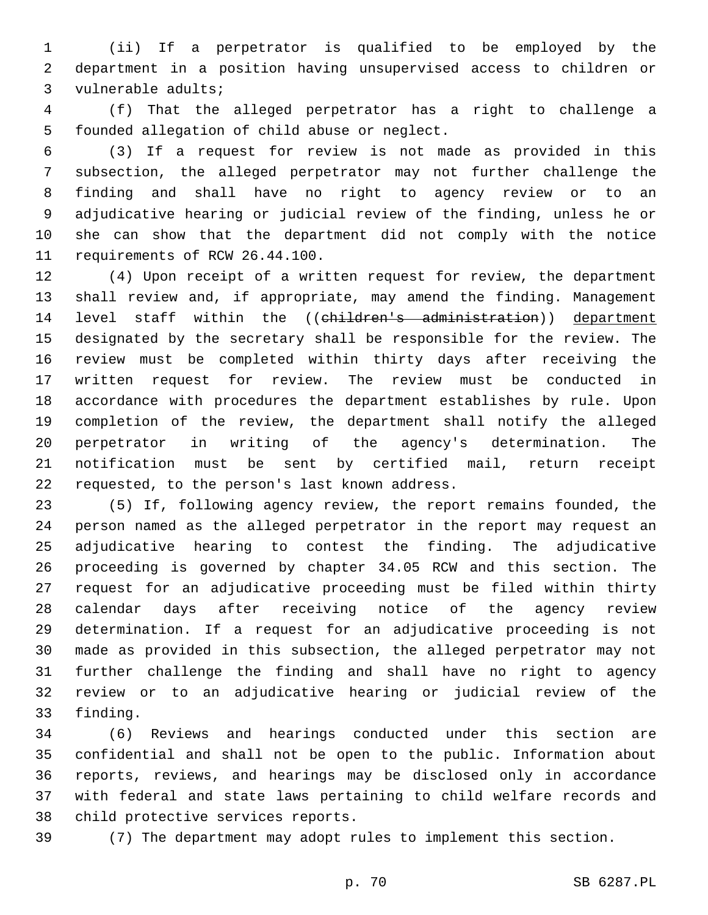(ii) If a perpetrator is qualified to be employed by the department in a position having unsupervised access to children or 3 vulnerable adults;

 (f) That the alleged perpetrator has a right to challenge a 5 founded allegation of child abuse or neglect.

 (3) If a request for review is not made as provided in this subsection, the alleged perpetrator may not further challenge the finding and shall have no right to agency review or to an adjudicative hearing or judicial review of the finding, unless he or she can show that the department did not comply with the notice 11 requirements of RCW 26.44.100.

 (4) Upon receipt of a written request for review, the department shall review and, if appropriate, may amend the finding. Management 14 level staff within the ((children's administration)) department designated by the secretary shall be responsible for the review. The review must be completed within thirty days after receiving the written request for review. The review must be conducted in accordance with procedures the department establishes by rule. Upon completion of the review, the department shall notify the alleged perpetrator in writing of the agency's determination. The notification must be sent by certified mail, return receipt 22 requested, to the person's last known address.

 (5) If, following agency review, the report remains founded, the person named as the alleged perpetrator in the report may request an adjudicative hearing to contest the finding. The adjudicative proceeding is governed by chapter 34.05 RCW and this section. The request for an adjudicative proceeding must be filed within thirty calendar days after receiving notice of the agency review determination. If a request for an adjudicative proceeding is not made as provided in this subsection, the alleged perpetrator may not further challenge the finding and shall have no right to agency review or to an adjudicative hearing or judicial review of the 33 finding.

 (6) Reviews and hearings conducted under this section are confidential and shall not be open to the public. Information about reports, reviews, and hearings may be disclosed only in accordance with federal and state laws pertaining to child welfare records and 38 child protective services reports.

(7) The department may adopt rules to implement this section.

p. 70 SB 6287.PL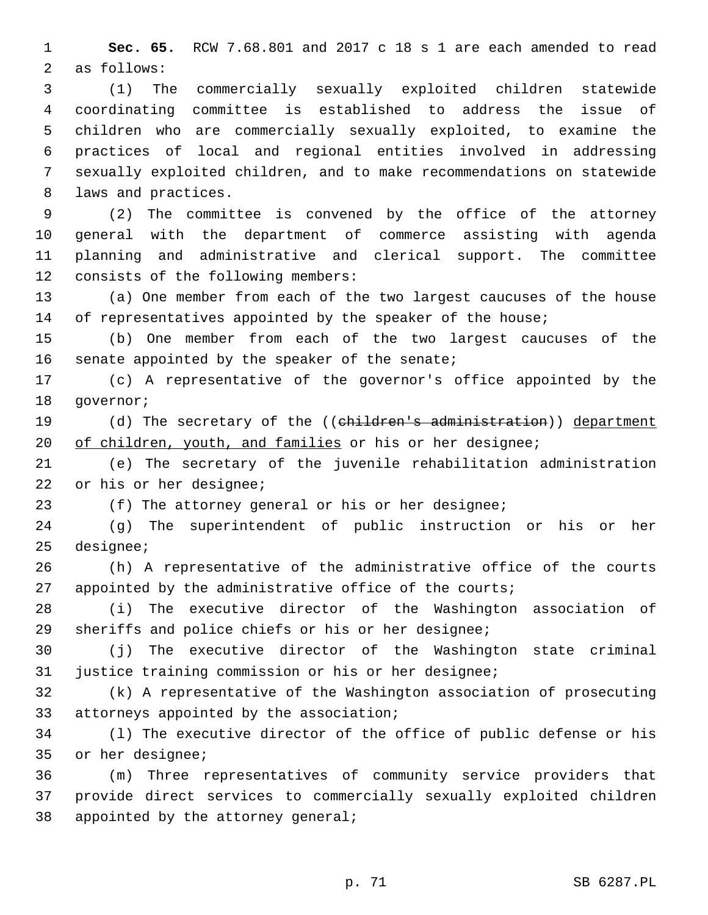**Sec. 65.** RCW 7.68.801 and 2017 c 18 s 1 are each amended to read 2 as follows:

 (1) The commercially sexually exploited children statewide coordinating committee is established to address the issue of children who are commercially sexually exploited, to examine the practices of local and regional entities involved in addressing sexually exploited children, and to make recommendations on statewide 8 laws and practices.

 (2) The committee is convened by the office of the attorney general with the department of commerce assisting with agenda planning and administrative and clerical support. The committee 12 consists of the following members:

 (a) One member from each of the two largest caucuses of the house 14 of representatives appointed by the speaker of the house;

 (b) One member from each of the two largest caucuses of the 16 senate appointed by the speaker of the senate;

 (c) A representative of the governor's office appointed by the 18 qovernor;

19 (d) The secretary of the ((children's administration)) department 20 of children, youth, and families or his or her designee;

 (e) The secretary of the juvenile rehabilitation administration 22 or his or her designee;

(f) The attorney general or his or her designee;

 (g) The superintendent of public instruction or his or her 25 designee;

 (h) A representative of the administrative office of the courts 27 appointed by the administrative office of the courts;

 (i) The executive director of the Washington association of sheriffs and police chiefs or his or her designee;

 (j) The executive director of the Washington state criminal justice training commission or his or her designee;

 (k) A representative of the Washington association of prosecuting 33 attorneys appointed by the association;

 (l) The executive director of the office of public defense or his 35 or her designee;

 (m) Three representatives of community service providers that provide direct services to commercially sexually exploited children 38 appointed by the attorney general;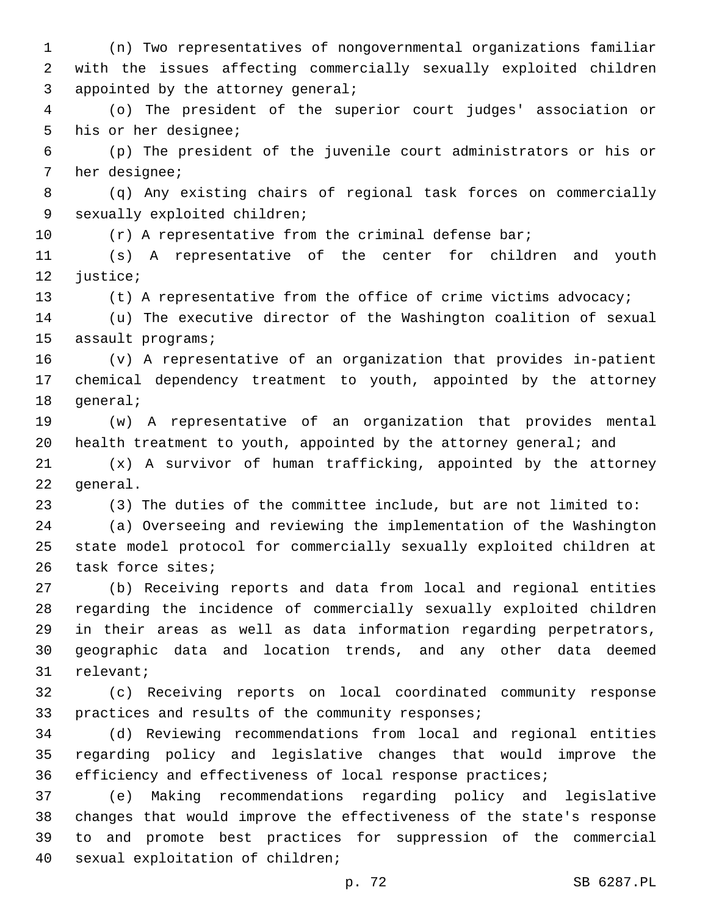(n) Two representatives of nongovernmental organizations familiar with the issues affecting commercially sexually exploited children 3 appointed by the attorney general;

 (o) The president of the superior court judges' association or 5 his or her designee;

 (p) The president of the juvenile court administrators or his or 7 her designee;

 (q) Any existing chairs of regional task forces on commercially 9 sexually exploited children;

10 (r) A representative from the criminal defense bar;

 (s) A representative of the center for children and youth 12 justice;

(t) A representative from the office of crime victims advocacy;

 (u) The executive director of the Washington coalition of sexual 15 assault programs;

 (v) A representative of an organization that provides in-patient chemical dependency treatment to youth, appointed by the attorney 18 general;

 (w) A representative of an organization that provides mental health treatment to youth, appointed by the attorney general; and

 (x) A survivor of human trafficking, appointed by the attorney 22 general.

(3) The duties of the committee include, but are not limited to:

 (a) Overseeing and reviewing the implementation of the Washington state model protocol for commercially sexually exploited children at 26 task force sites;

 (b) Receiving reports and data from local and regional entities regarding the incidence of commercially sexually exploited children in their areas as well as data information regarding perpetrators, geographic data and location trends, and any other data deemed 31 relevant;

 (c) Receiving reports on local coordinated community response 33 practices and results of the community responses;

 (d) Reviewing recommendations from local and regional entities regarding policy and legislative changes that would improve the efficiency and effectiveness of local response practices;

 (e) Making recommendations regarding policy and legislative changes that would improve the effectiveness of the state's response to and promote best practices for suppression of the commercial 40 sexual exploitation of children;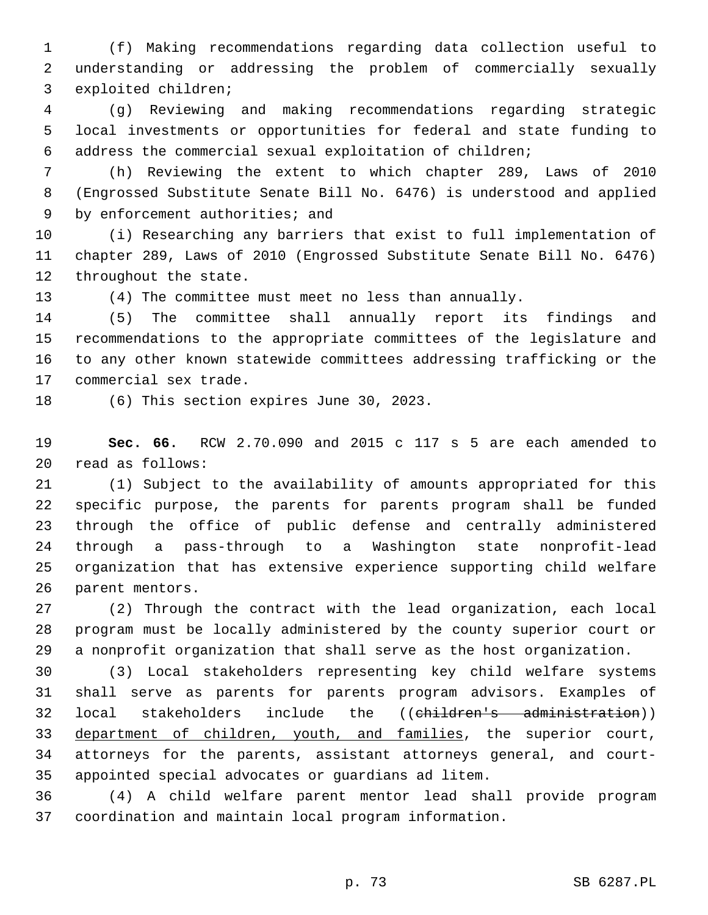(f) Making recommendations regarding data collection useful to understanding or addressing the problem of commercially sexually 3 exploited children;

 (g) Reviewing and making recommendations regarding strategic local investments or opportunities for federal and state funding to address the commercial sexual exploitation of children;

 (h) Reviewing the extent to which chapter 289, Laws of 2010 (Engrossed Substitute Senate Bill No. 6476) is understood and applied 9 by enforcement authorities; and

 (i) Researching any barriers that exist to full implementation of chapter 289, Laws of 2010 (Engrossed Substitute Senate Bill No. 6476) 12 throughout the state.

(4) The committee must meet no less than annually.

 (5) The committee shall annually report its findings and recommendations to the appropriate committees of the legislature and to any other known statewide committees addressing trafficking or the 17 commercial sex trade.

18 (6) This section expires June 30, 2023.

 **Sec. 66.** RCW 2.70.090 and 2015 c 117 s 5 are each amended to read as follows:20

 (1) Subject to the availability of amounts appropriated for this specific purpose, the parents for parents program shall be funded through the office of public defense and centrally administered through a pass-through to a Washington state nonprofit-lead organization that has extensive experience supporting child welfare 26 parent mentors.

 (2) Through the contract with the lead organization, each local program must be locally administered by the county superior court or a nonprofit organization that shall serve as the host organization.

 (3) Local stakeholders representing key child welfare systems shall serve as parents for parents program advisors. Examples of local stakeholders include the ((children's administration)) 33 department of children, youth, and families, the superior court, attorneys for the parents, assistant attorneys general, and court-appointed special advocates or guardians ad litem.

 (4) A child welfare parent mentor lead shall provide program coordination and maintain local program information.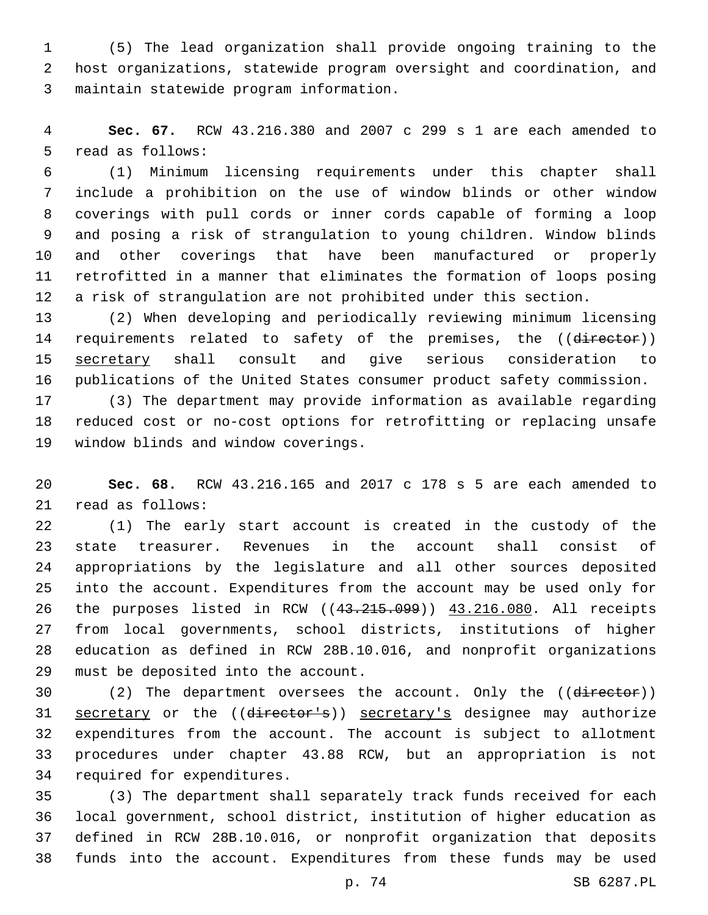(5) The lead organization shall provide ongoing training to the host organizations, statewide program oversight and coordination, and maintain statewide program information.3

 **Sec. 67.** RCW 43.216.380 and 2007 c 299 s 1 are each amended to 5 read as follows:

 (1) Minimum licensing requirements under this chapter shall include a prohibition on the use of window blinds or other window coverings with pull cords or inner cords capable of forming a loop and posing a risk of strangulation to young children. Window blinds and other coverings that have been manufactured or properly retrofitted in a manner that eliminates the formation of loops posing a risk of strangulation are not prohibited under this section.

 (2) When developing and periodically reviewing minimum licensing 14 requirements related to safety of the premises, the ((director)) secretary shall consult and give serious consideration to publications of the United States consumer product safety commission.

 (3) The department may provide information as available regarding reduced cost or no-cost options for retrofitting or replacing unsafe 19 window blinds and window coverings.

 **Sec. 68.** RCW 43.216.165 and 2017 c 178 s 5 are each amended to 21 read as follows:

 (1) The early start account is created in the custody of the state treasurer. Revenues in the account shall consist of appropriations by the legislature and all other sources deposited into the account. Expenditures from the account may be used only for the purposes listed in RCW ((43.215.099)) 43.216.080. All receipts from local governments, school districts, institutions of higher education as defined in RCW 28B.10.016, and nonprofit organizations 29 must be deposited into the account.

30 (2) The department oversees the account. Only the ((director)) 31 secretary or the ((director's)) secretary's designee may authorize expenditures from the account. The account is subject to allotment procedures under chapter 43.88 RCW, but an appropriation is not 34 required for expenditures.

 (3) The department shall separately track funds received for each local government, school district, institution of higher education as defined in RCW 28B.10.016, or nonprofit organization that deposits funds into the account. Expenditures from these funds may be used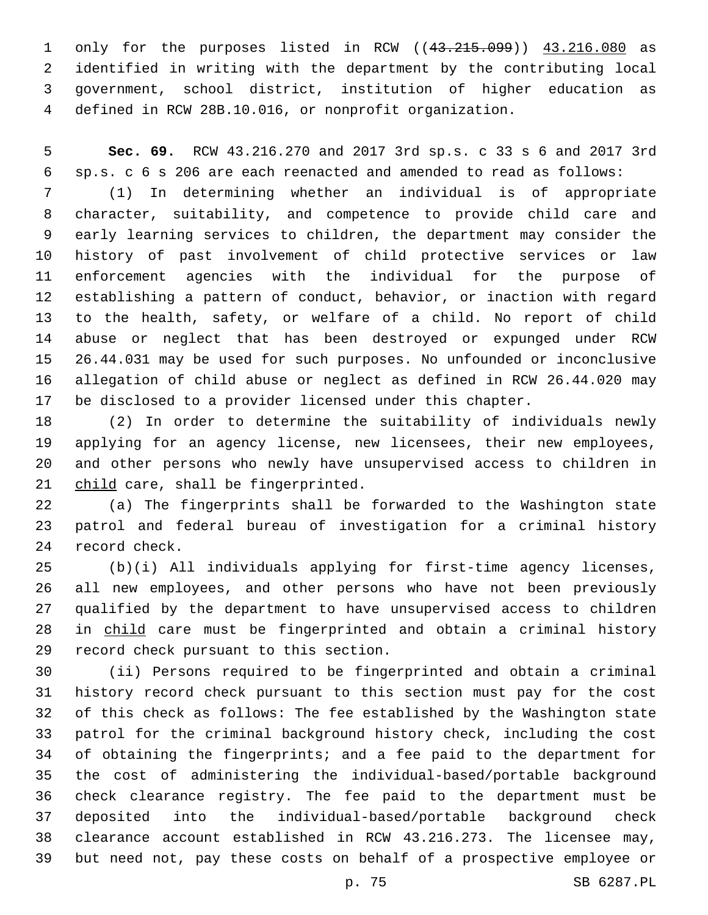only for the purposes listed in RCW ((43.215.099)) 43.216.080 as identified in writing with the department by the contributing local government, school district, institution of higher education as defined in RCW 28B.10.016, or nonprofit organization.

 **Sec. 69.** RCW 43.216.270 and 2017 3rd sp.s. c 33 s 6 and 2017 3rd sp.s. c 6 s 206 are each reenacted and amended to read as follows:

 (1) In determining whether an individual is of appropriate character, suitability, and competence to provide child care and early learning services to children, the department may consider the history of past involvement of child protective services or law enforcement agencies with the individual for the purpose of establishing a pattern of conduct, behavior, or inaction with regard to the health, safety, or welfare of a child. No report of child abuse or neglect that has been destroyed or expunged under RCW 26.44.031 may be used for such purposes. No unfounded or inconclusive allegation of child abuse or neglect as defined in RCW 26.44.020 may be disclosed to a provider licensed under this chapter.

 (2) In order to determine the suitability of individuals newly applying for an agency license, new licensees, their new employees, and other persons who newly have unsupervised access to children in 21 child care, shall be fingerprinted.

 (a) The fingerprints shall be forwarded to the Washington state patrol and federal bureau of investigation for a criminal history 24 record check.

 (b)(i) All individuals applying for first-time agency licenses, all new employees, and other persons who have not been previously qualified by the department to have unsupervised access to children in child care must be fingerprinted and obtain a criminal history 29 record check pursuant to this section.

 (ii) Persons required to be fingerprinted and obtain a criminal history record check pursuant to this section must pay for the cost of this check as follows: The fee established by the Washington state patrol for the criminal background history check, including the cost of obtaining the fingerprints; and a fee paid to the department for the cost of administering the individual-based/portable background check clearance registry. The fee paid to the department must be deposited into the individual-based/portable background check clearance account established in RCW 43.216.273. The licensee may, but need not, pay these costs on behalf of a prospective employee or

p. 75 SB 6287.PL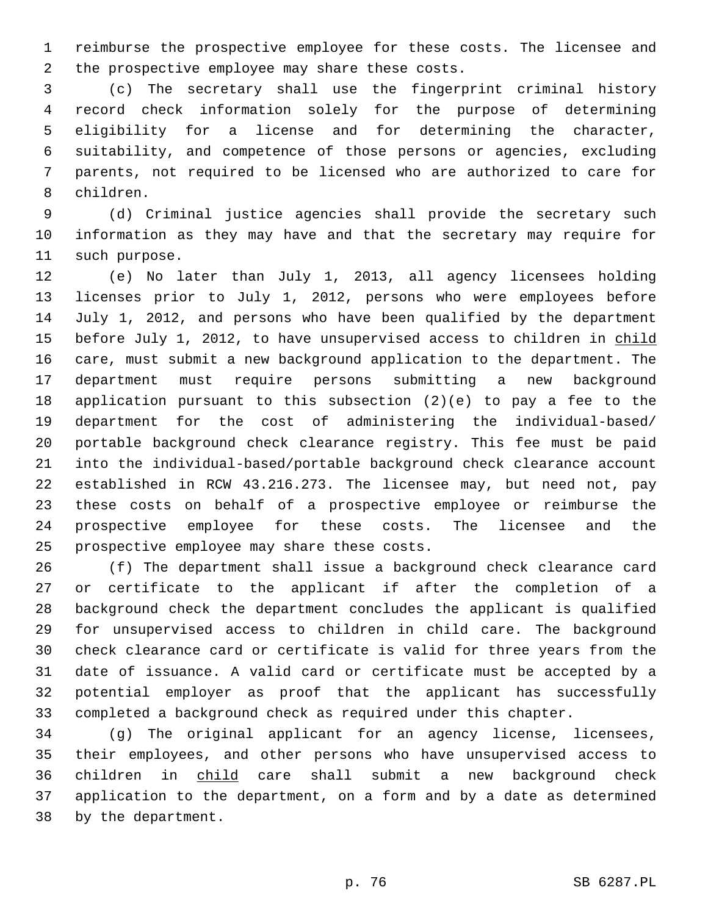reimburse the prospective employee for these costs. The licensee and 2 the prospective employee may share these costs.

 (c) The secretary shall use the fingerprint criminal history record check information solely for the purpose of determining eligibility for a license and for determining the character, suitability, and competence of those persons or agencies, excluding parents, not required to be licensed who are authorized to care for 8 children.

 (d) Criminal justice agencies shall provide the secretary such information as they may have and that the secretary may require for 11 such purpose.

 (e) No later than July 1, 2013, all agency licensees holding licenses prior to July 1, 2012, persons who were employees before July 1, 2012, and persons who have been qualified by the department 15 before July 1, 2012, to have unsupervised access to children in child care, must submit a new background application to the department. The department must require persons submitting a new background application pursuant to this subsection (2)(e) to pay a fee to the department for the cost of administering the individual-based/ portable background check clearance registry. This fee must be paid into the individual-based/portable background check clearance account established in RCW 43.216.273. The licensee may, but need not, pay these costs on behalf of a prospective employee or reimburse the prospective employee for these costs. The licensee and the 25 prospective employee may share these costs.

 (f) The department shall issue a background check clearance card or certificate to the applicant if after the completion of a background check the department concludes the applicant is qualified for unsupervised access to children in child care. The background check clearance card or certificate is valid for three years from the date of issuance. A valid card or certificate must be accepted by a potential employer as proof that the applicant has successfully completed a background check as required under this chapter.

34 (g) The original applicant for an agency license, licensees, their employees, and other persons who have unsupervised access to children in child care shall submit a new background check application to the department, on a form and by a date as determined 38 by the department.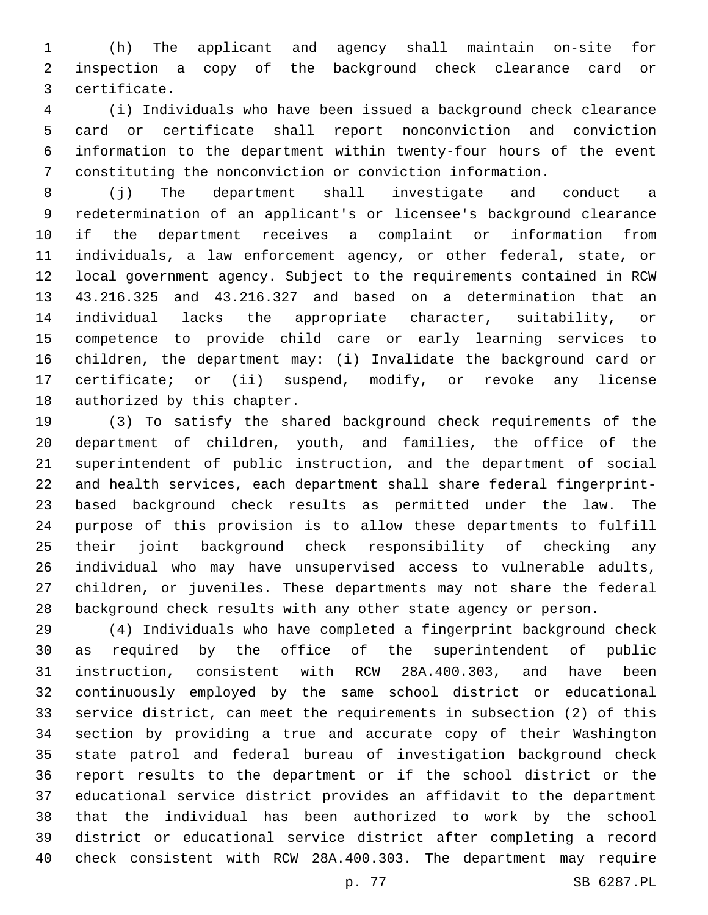(h) The applicant and agency shall maintain on-site for inspection a copy of the background check clearance card or certificate.3

 (i) Individuals who have been issued a background check clearance card or certificate shall report nonconviction and conviction information to the department within twenty-four hours of the event constituting the nonconviction or conviction information.

 (j) The department shall investigate and conduct a redetermination of an applicant's or licensee's background clearance if the department receives a complaint or information from individuals, a law enforcement agency, or other federal, state, or local government agency. Subject to the requirements contained in RCW 43.216.325 and 43.216.327 and based on a determination that an individual lacks the appropriate character, suitability, or competence to provide child care or early learning services to children, the department may: (i) Invalidate the background card or certificate; or (ii) suspend, modify, or revoke any license 18 authorized by this chapter.

 (3) To satisfy the shared background check requirements of the department of children, youth, and families, the office of the superintendent of public instruction, and the department of social and health services, each department shall share federal fingerprint- based background check results as permitted under the law. The purpose of this provision is to allow these departments to fulfill their joint background check responsibility of checking any individual who may have unsupervised access to vulnerable adults, children, or juveniles. These departments may not share the federal background check results with any other state agency or person.

 (4) Individuals who have completed a fingerprint background check as required by the office of the superintendent of public instruction, consistent with RCW 28A.400.303, and have been continuously employed by the same school district or educational service district, can meet the requirements in subsection (2) of this section by providing a true and accurate copy of their Washington state patrol and federal bureau of investigation background check report results to the department or if the school district or the educational service district provides an affidavit to the department that the individual has been authorized to work by the school district or educational service district after completing a record check consistent with RCW 28A.400.303. The department may require

p. 77 SB 6287.PL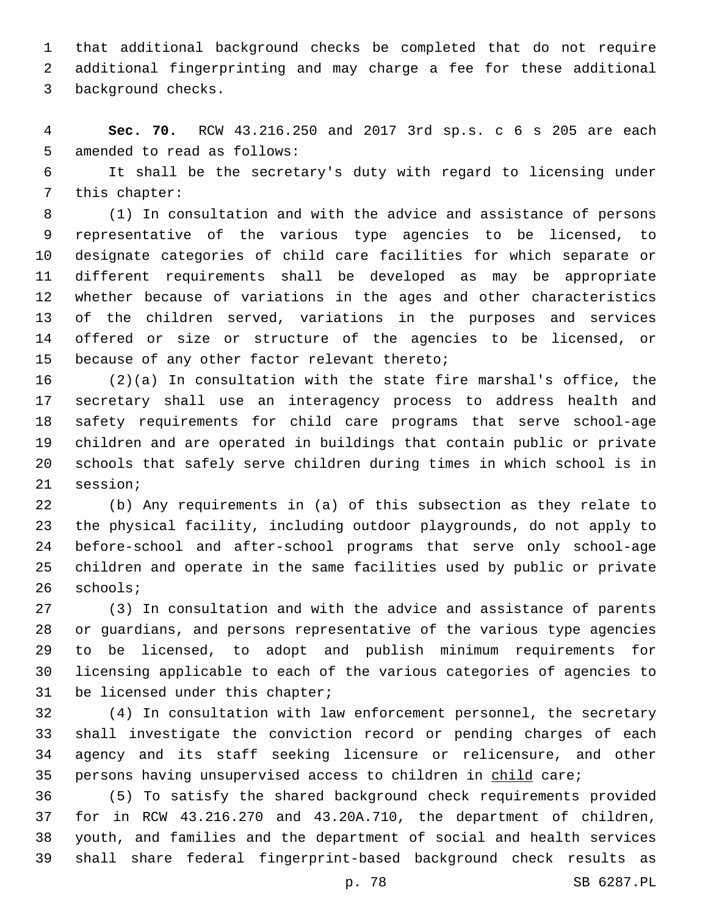that additional background checks be completed that do not require additional fingerprinting and may charge a fee for these additional 3 background checks.

 **Sec. 70.** RCW 43.216.250 and 2017 3rd sp.s. c 6 s 205 are each 5 amended to read as follows:

 It shall be the secretary's duty with regard to licensing under 7 this chapter:

 (1) In consultation and with the advice and assistance of persons representative of the various type agencies to be licensed, to designate categories of child care facilities for which separate or different requirements shall be developed as may be appropriate whether because of variations in the ages and other characteristics of the children served, variations in the purposes and services offered or size or structure of the agencies to be licensed, or 15 because of any other factor relevant thereto;

 (2)(a) In consultation with the state fire marshal's office, the secretary shall use an interagency process to address health and safety requirements for child care programs that serve school-age children and are operated in buildings that contain public or private schools that safely serve children during times in which school is in 21 session;

 (b) Any requirements in (a) of this subsection as they relate to the physical facility, including outdoor playgrounds, do not apply to before-school and after-school programs that serve only school-age children and operate in the same facilities used by public or private 26 schools;

 (3) In consultation and with the advice and assistance of parents or guardians, and persons representative of the various type agencies to be licensed, to adopt and publish minimum requirements for licensing applicable to each of the various categories of agencies to 31 be licensed under this chapter;

 (4) In consultation with law enforcement personnel, the secretary shall investigate the conviction record or pending charges of each agency and its staff seeking licensure or relicensure, and other 35 persons having unsupervised access to children in child care;

 (5) To satisfy the shared background check requirements provided for in RCW 43.216.270 and 43.20A.710, the department of children, youth, and families and the department of social and health services shall share federal fingerprint-based background check results as

p. 78 SB 6287.PL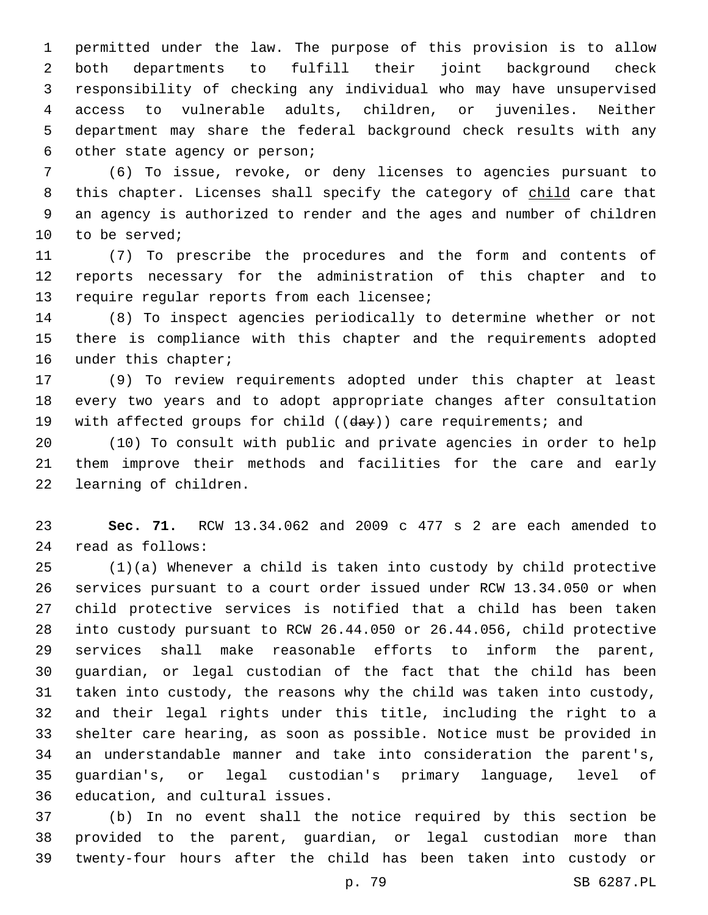permitted under the law. The purpose of this provision is to allow both departments to fulfill their joint background check responsibility of checking any individual who may have unsupervised access to vulnerable adults, children, or juveniles. Neither department may share the federal background check results with any 6 other state agency or person;

 (6) To issue, revoke, or deny licenses to agencies pursuant to 8 this chapter. Licenses shall specify the category of child care that an agency is authorized to render and the ages and number of children 10 to be served;

 (7) To prescribe the procedures and the form and contents of reports necessary for the administration of this chapter and to 13 require regular reports from each licensee;

 (8) To inspect agencies periodically to determine whether or not there is compliance with this chapter and the requirements adopted 16 under this chapter;

 (9) To review requirements adopted under this chapter at least every two years and to adopt appropriate changes after consultation 19 with affected groups for child ((day)) care requirements; and

 (10) To consult with public and private agencies in order to help them improve their methods and facilities for the care and early 22 learning of children.

 **Sec. 71.** RCW 13.34.062 and 2009 c 477 s 2 are each amended to read as follows:24

 (1)(a) Whenever a child is taken into custody by child protective services pursuant to a court order issued under RCW 13.34.050 or when child protective services is notified that a child has been taken into custody pursuant to RCW 26.44.050 or 26.44.056, child protective services shall make reasonable efforts to inform the parent, guardian, or legal custodian of the fact that the child has been taken into custody, the reasons why the child was taken into custody, and their legal rights under this title, including the right to a shelter care hearing, as soon as possible. Notice must be provided in an understandable manner and take into consideration the parent's, guardian's, or legal custodian's primary language, level of 36 education, and cultural issues.

 (b) In no event shall the notice required by this section be provided to the parent, guardian, or legal custodian more than twenty-four hours after the child has been taken into custody or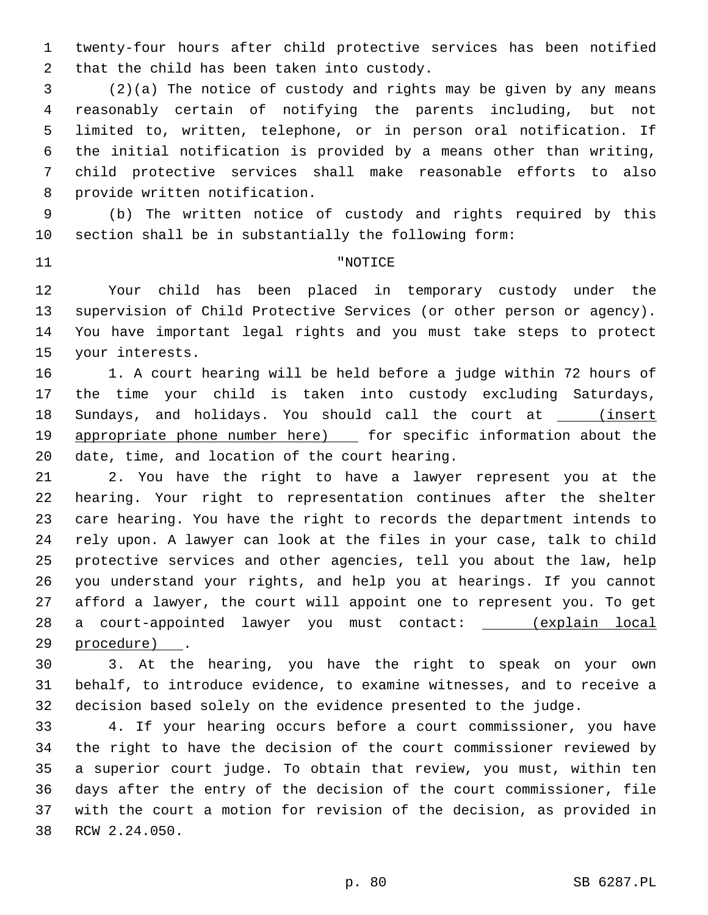twenty-four hours after child protective services has been notified 2 that the child has been taken into custody.

 (2)(a) The notice of custody and rights may be given by any means reasonably certain of notifying the parents including, but not limited to, written, telephone, or in person oral notification. If the initial notification is provided by a means other than writing, child protective services shall make reasonable efforts to also 8 provide written notification.

 (b) The written notice of custody and rights required by this section shall be in substantially the following form:

## 11 THE TERM PROPERTY INSTRUCTED AT A PARTICLE TO A PARTICLE TO A PARTICLE TO A PARTICLE TO A PARTICLE

 Your child has been placed in temporary custody under the supervision of Child Protective Services (or other person or agency). You have important legal rights and you must take steps to protect 15 your interests.

 1. A court hearing will be held before a judge within 72 hours of the time your child is taken into custody excluding Saturdays, 18 Sundays, and holidays. You should call the court at \_\_\_\_(insert 19 appropriate phone number here) [ for specific information about the 20 date, time, and location of the court hearing.

 2. You have the right to have a lawyer represent you at the hearing. Your right to representation continues after the shelter care hearing. You have the right to records the department intends to rely upon. A lawyer can look at the files in your case, talk to child protective services and other agencies, tell you about the law, help you understand your rights, and help you at hearings. If you cannot afford a lawyer, the court will appoint one to represent you. To get 28 a court-appointed lawyer you must contact: \_\_\_\_\_ (explain local 29 procedure) .

 3. At the hearing, you have the right to speak on your own behalf, to introduce evidence, to examine witnesses, and to receive a decision based solely on the evidence presented to the judge.

 4. If your hearing occurs before a court commissioner, you have the right to have the decision of the court commissioner reviewed by a superior court judge. To obtain that review, you must, within ten days after the entry of the decision of the court commissioner, file with the court a motion for revision of the decision, as provided in 38 RCW 2.24.050.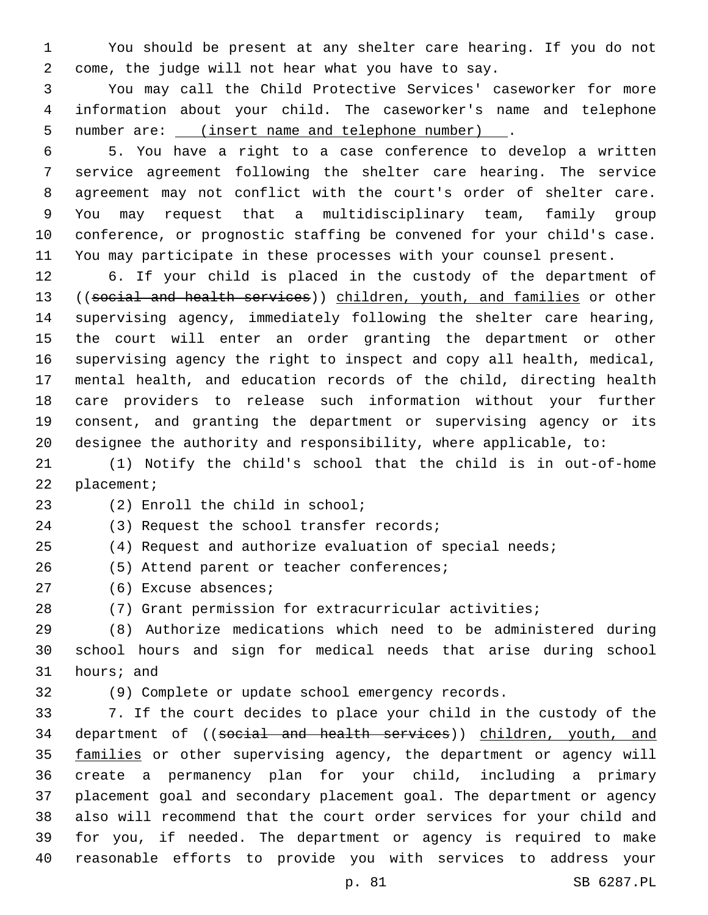You should be present at any shelter care hearing. If you do not come, the judge will not hear what you have to say.

 You may call the Child Protective Services' caseworker for more information about your child. The caseworker's name and telephone number are: (insert name and telephone number) .

 5. You have a right to a case conference to develop a written service agreement following the shelter care hearing. The service agreement may not conflict with the court's order of shelter care. You may request that a multidisciplinary team, family group conference, or prognostic staffing be convened for your child's case. You may participate in these processes with your counsel present.

 6. If your child is placed in the custody of the department of 13 ((social and health services)) children, youth, and families or other supervising agency, immediately following the shelter care hearing, the court will enter an order granting the department or other supervising agency the right to inspect and copy all health, medical, mental health, and education records of the child, directing health care providers to release such information without your further consent, and granting the department or supervising agency or its designee the authority and responsibility, where applicable, to:

 (1) Notify the child's school that the child is in out-of-home 22 placement;

23 (2) Enroll the child in school;

24 (3) Request the school transfer records;

(4) Request and authorize evaluation of special needs;

26 (5) Attend parent or teacher conferences;

- 27 (6) Excuse absences;
- (7) Grant permission for extracurricular activities;

 (8) Authorize medications which need to be administered during school hours and sign for medical needs that arise during school 31 hours; and

(9) Complete or update school emergency records.

 7. If the court decides to place your child in the custody of the 34 department of ((social and health services)) children, youth, and 35 families or other supervising agency, the department or agency will create a permanency plan for your child, including a primary placement goal and secondary placement goal. The department or agency also will recommend that the court order services for your child and for you, if needed. The department or agency is required to make reasonable efforts to provide you with services to address your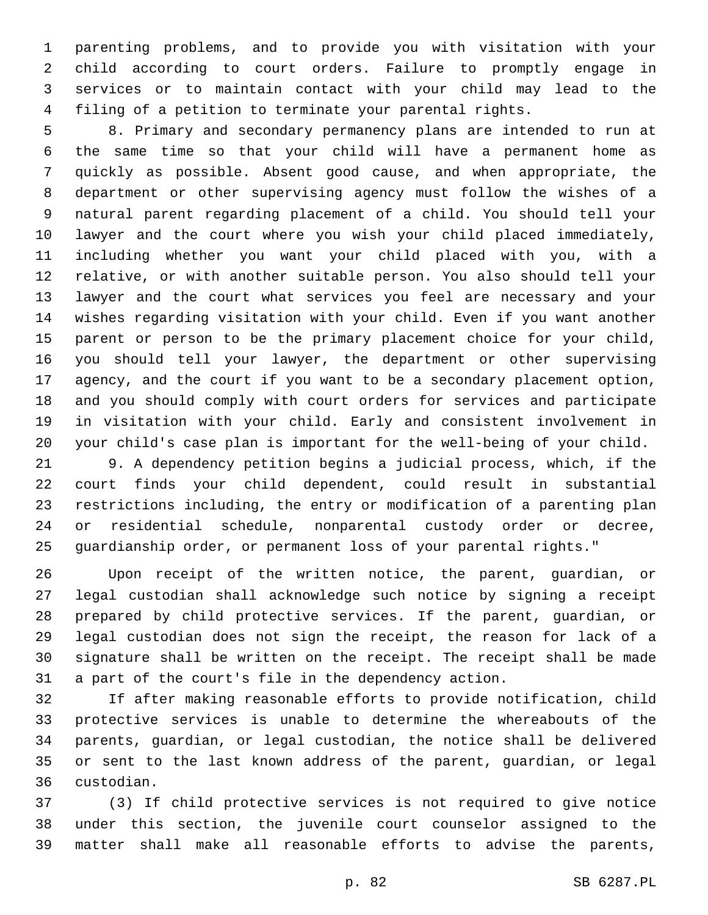parenting problems, and to provide you with visitation with your child according to court orders. Failure to promptly engage in services or to maintain contact with your child may lead to the filing of a petition to terminate your parental rights.

 8. Primary and secondary permanency plans are intended to run at the same time so that your child will have a permanent home as quickly as possible. Absent good cause, and when appropriate, the department or other supervising agency must follow the wishes of a natural parent regarding placement of a child. You should tell your lawyer and the court where you wish your child placed immediately, including whether you want your child placed with you, with a relative, or with another suitable person. You also should tell your lawyer and the court what services you feel are necessary and your wishes regarding visitation with your child. Even if you want another parent or person to be the primary placement choice for your child, you should tell your lawyer, the department or other supervising agency, and the court if you want to be a secondary placement option, and you should comply with court orders for services and participate in visitation with your child. Early and consistent involvement in your child's case plan is important for the well-being of your child.

 9. A dependency petition begins a judicial process, which, if the court finds your child dependent, could result in substantial restrictions including, the entry or modification of a parenting plan or residential schedule, nonparental custody order or decree, guardianship order, or permanent loss of your parental rights."

 Upon receipt of the written notice, the parent, guardian, or legal custodian shall acknowledge such notice by signing a receipt prepared by child protective services. If the parent, guardian, or legal custodian does not sign the receipt, the reason for lack of a signature shall be written on the receipt. The receipt shall be made a part of the court's file in the dependency action.

 If after making reasonable efforts to provide notification, child protective services is unable to determine the whereabouts of the parents, guardian, or legal custodian, the notice shall be delivered or sent to the last known address of the parent, guardian, or legal custodian.36

 (3) If child protective services is not required to give notice under this section, the juvenile court counselor assigned to the matter shall make all reasonable efforts to advise the parents,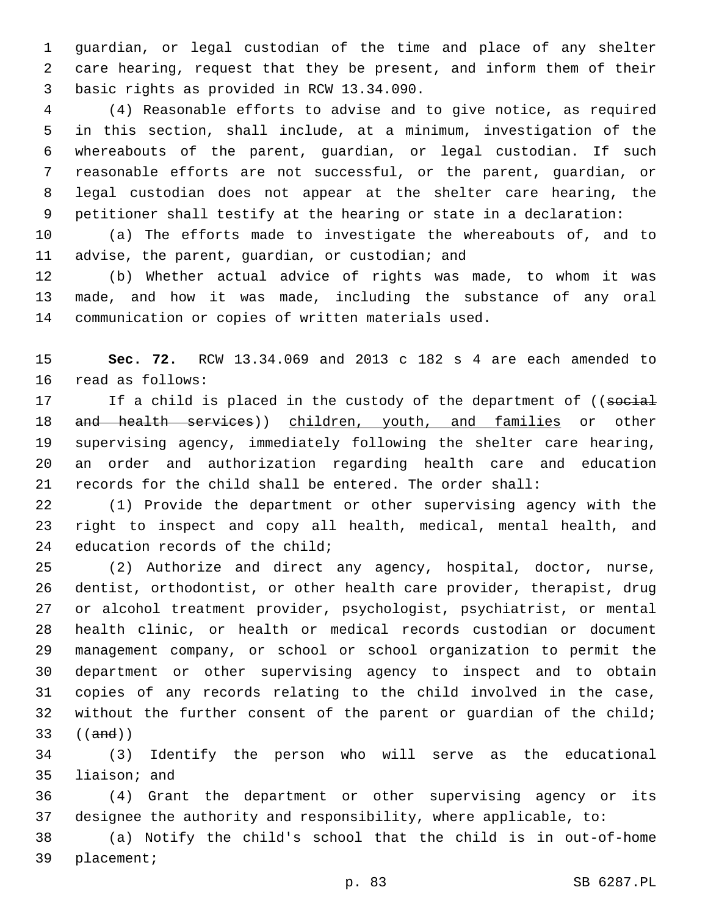guardian, or legal custodian of the time and place of any shelter care hearing, request that they be present, and inform them of their basic rights as provided in RCW 13.34.090.3

 (4) Reasonable efforts to advise and to give notice, as required in this section, shall include, at a minimum, investigation of the whereabouts of the parent, guardian, or legal custodian. If such reasonable efforts are not successful, or the parent, guardian, or legal custodian does not appear at the shelter care hearing, the petitioner shall testify at the hearing or state in a declaration:

 (a) The efforts made to investigate the whereabouts of, and to 11 advise, the parent, guardian, or custodian; and

 (b) Whether actual advice of rights was made, to whom it was made, and how it was made, including the substance of any oral communication or copies of written materials used.

 **Sec. 72.** RCW 13.34.069 and 2013 c 182 s 4 are each amended to 16 read as follows:

17 If a child is placed in the custody of the department of ((social 18 and health services)) children, youth, and families or other supervising agency, immediately following the shelter care hearing, an order and authorization regarding health care and education records for the child shall be entered. The order shall:

 (1) Provide the department or other supervising agency with the right to inspect and copy all health, medical, mental health, and 24 education records of the child;

 (2) Authorize and direct any agency, hospital, doctor, nurse, dentist, orthodontist, or other health care provider, therapist, drug or alcohol treatment provider, psychologist, psychiatrist, or mental health clinic, or health or medical records custodian or document management company, or school or school organization to permit the department or other supervising agency to inspect and to obtain copies of any records relating to the child involved in the case, 32 without the further consent of the parent or guardian of the child; ((and))

 (3) Identify the person who will serve as the educational 35 liaison; and

 (4) Grant the department or other supervising agency or its designee the authority and responsibility, where applicable, to:

 (a) Notify the child's school that the child is in out-of-home 39 placement;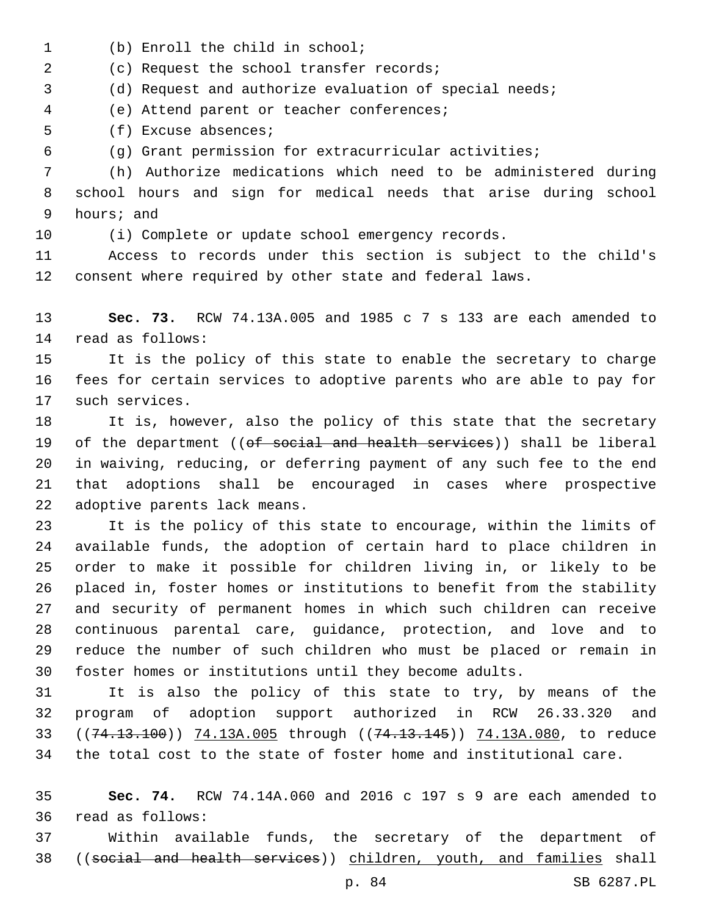- 1 (b) Enroll the child in school;
- (c) Request the school transfer records;2

(d) Request and authorize evaluation of special needs;

(e) Attend parent or teacher conferences;4

5 (f) Excuse absences;

(g) Grant permission for extracurricular activities;

 (h) Authorize medications which need to be administered during school hours and sign for medical needs that arise during school 9 hours; and

(i) Complete or update school emergency records.

 Access to records under this section is subject to the child's consent where required by other state and federal laws.

 **Sec. 73.** RCW 74.13A.005 and 1985 c 7 s 133 are each amended to 14 read as follows:

 It is the policy of this state to enable the secretary to charge fees for certain services to adoptive parents who are able to pay for 17 such services.

 It is, however, also the policy of this state that the secretary 19 of the department ((of social and health services)) shall be liberal in waiving, reducing, or deferring payment of any such fee to the end that adoptions shall be encouraged in cases where prospective 22 adoptive parents lack means.

 It is the policy of this state to encourage, within the limits of available funds, the adoption of certain hard to place children in order to make it possible for children living in, or likely to be placed in, foster homes or institutions to benefit from the stability and security of permanent homes in which such children can receive continuous parental care, guidance, protection, and love and to reduce the number of such children who must be placed or remain in foster homes or institutions until they become adults.

 It is also the policy of this state to try, by means of the program of adoption support authorized in RCW 26.33.320 and 33 ((74.13.100)) 74.13A.005 through ((74.13.145)) 74.13A.080, to reduce the total cost to the state of foster home and institutional care.

 **Sec. 74.** RCW 74.14A.060 and 2016 c 197 s 9 are each amended to read as follows:36

 Within available funds, the secretary of the department of ((social and health services)) children, youth, and families shall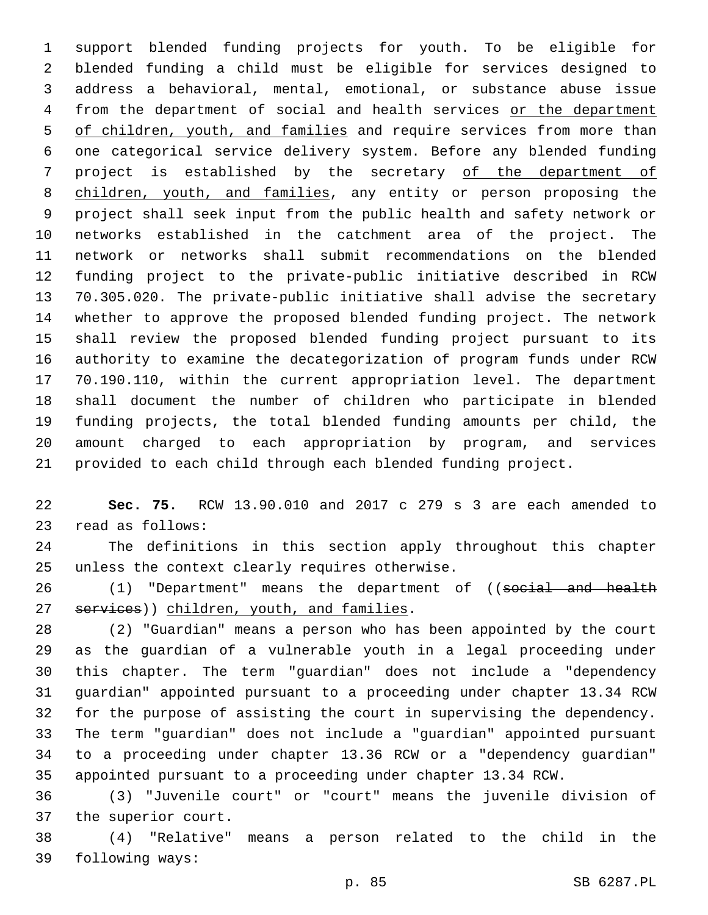support blended funding projects for youth. To be eligible for blended funding a child must be eligible for services designed to address a behavioral, mental, emotional, or substance abuse issue 4 from the department of social and health services or the department 5 of children, youth, and families and require services from more than one categorical service delivery system. Before any blended funding project is established by the secretary of the department of children, youth, and families, any entity or person proposing the project shall seek input from the public health and safety network or networks established in the catchment area of the project. The network or networks shall submit recommendations on the blended funding project to the private-public initiative described in RCW 70.305.020. The private-public initiative shall advise the secretary whether to approve the proposed blended funding project. The network shall review the proposed blended funding project pursuant to its authority to examine the decategorization of program funds under RCW 70.190.110, within the current appropriation level. The department shall document the number of children who participate in blended funding projects, the total blended funding amounts per child, the amount charged to each appropriation by program, and services provided to each child through each blended funding project.

 **Sec. 75.** RCW 13.90.010 and 2017 c 279 s 3 are each amended to 23 read as follows:

 The definitions in this section apply throughout this chapter 25 unless the context clearly requires otherwise.

26 (1) "Department" means the department of ((social and health 27 services)) children, youth, and families.

 (2) "Guardian" means a person who has been appointed by the court as the guardian of a vulnerable youth in a legal proceeding under this chapter. The term "guardian" does not include a "dependency guardian" appointed pursuant to a proceeding under chapter 13.34 RCW for the purpose of assisting the court in supervising the dependency. The term "guardian" does not include a "guardian" appointed pursuant to a proceeding under chapter 13.36 RCW or a "dependency guardian" appointed pursuant to a proceeding under chapter 13.34 RCW.

 (3) "Juvenile court" or "court" means the juvenile division of 37 the superior court.

 (4) "Relative" means a person related to the child in the 39 following ways: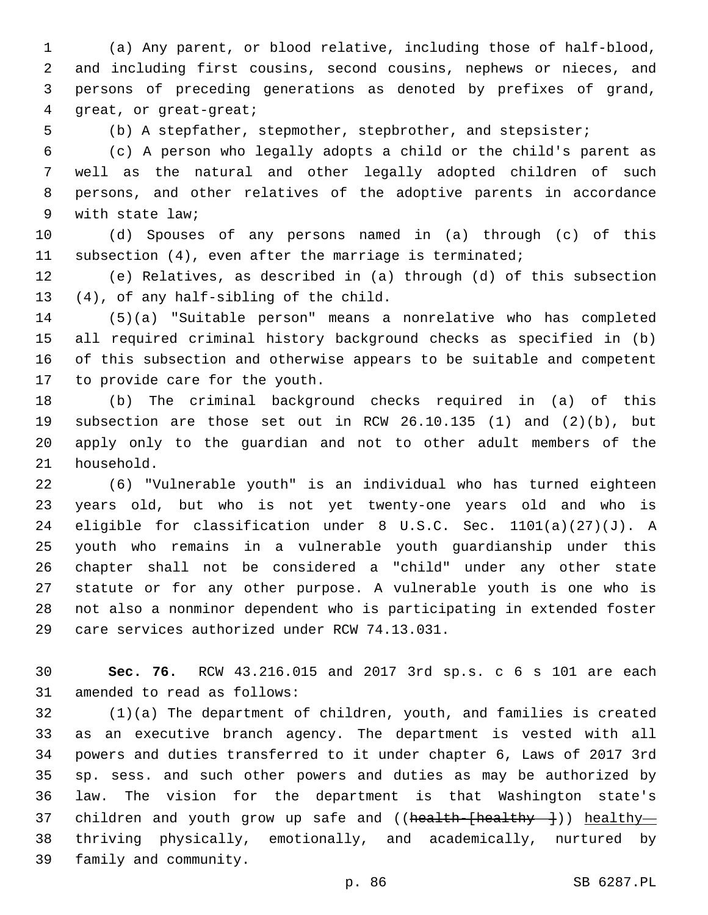(a) Any parent, or blood relative, including those of half-blood, and including first cousins, second cousins, nephews or nieces, and persons of preceding generations as denoted by prefixes of grand, 4 qreat, or great-great;

(b) A stepfather, stepmother, stepbrother, and stepsister;

 (c) A person who legally adopts a child or the child's parent as well as the natural and other legally adopted children of such persons, and other relatives of the adoptive parents in accordance 9 with state law;

 (d) Spouses of any persons named in (a) through (c) of this subsection (4), even after the marriage is terminated;

 (e) Relatives, as described in (a) through (d) of this subsection 13 (4), of any half-sibling of the child.

 (5)(a) "Suitable person" means a nonrelative who has completed all required criminal history background checks as specified in (b) of this subsection and otherwise appears to be suitable and competent 17 to provide care for the youth.

 (b) The criminal background checks required in (a) of this subsection are those set out in RCW 26.10.135 (1) and (2)(b), but apply only to the guardian and not to other adult members of the 21 household.

 (6) "Vulnerable youth" is an individual who has turned eighteen years old, but who is not yet twenty-one years old and who is eligible for classification under 8 U.S.C. Sec. 1101(a)(27)(J). A youth who remains in a vulnerable youth guardianship under this chapter shall not be considered a "child" under any other state statute or for any other purpose. A vulnerable youth is one who is not also a nonminor dependent who is participating in extended foster 29 care services authorized under RCW 74.13.031.

 **Sec. 76.** RCW 43.216.015 and 2017 3rd sp.s. c 6 s 101 are each 31 amended to read as follows:

 (1)(a) The department of children, youth, and families is created as an executive branch agency. The department is vested with all powers and duties transferred to it under chapter 6, Laws of 2017 3rd sp. sess. and such other powers and duties as may be authorized by law. The vision for the department is that Washington state's 37 children and youth grow up safe and ((health-[healthy---])) healthy- thriving physically, emotionally, and academically, nurtured by 39 family and community.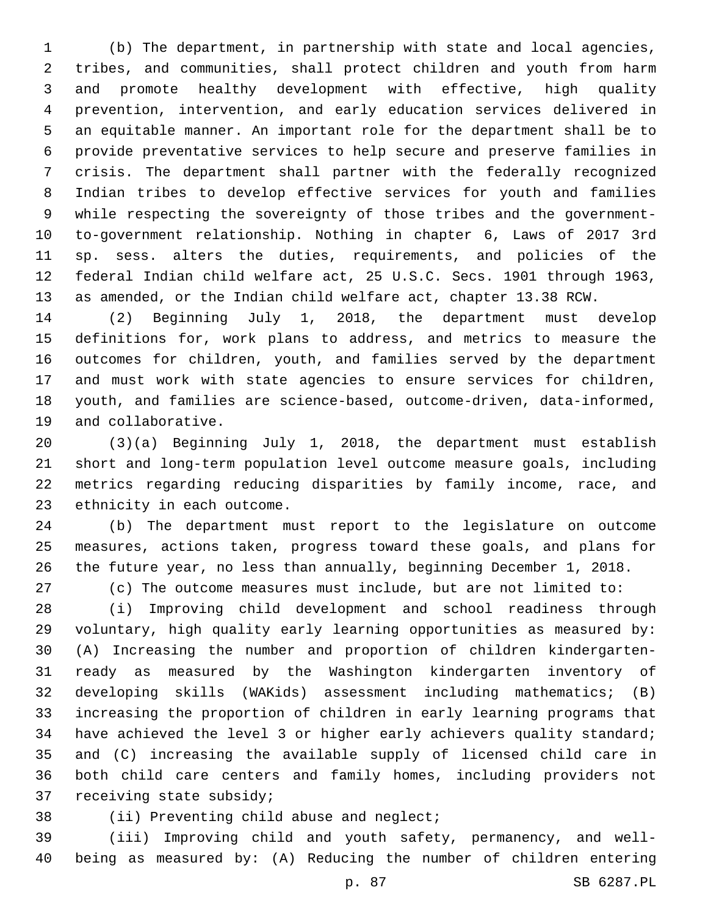(b) The department, in partnership with state and local agencies, tribes, and communities, shall protect children and youth from harm and promote healthy development with effective, high quality prevention, intervention, and early education services delivered in an equitable manner. An important role for the department shall be to provide preventative services to help secure and preserve families in crisis. The department shall partner with the federally recognized Indian tribes to develop effective services for youth and families while respecting the sovereignty of those tribes and the government- to-government relationship. Nothing in chapter 6, Laws of 2017 3rd sp. sess. alters the duties, requirements, and policies of the federal Indian child welfare act, 25 U.S.C. Secs. 1901 through 1963, as amended, or the Indian child welfare act, chapter 13.38 RCW.

 (2) Beginning July 1, 2018, the department must develop definitions for, work plans to address, and metrics to measure the outcomes for children, youth, and families served by the department and must work with state agencies to ensure services for children, youth, and families are science-based, outcome-driven, data-informed, 19 and collaborative.

 (3)(a) Beginning July 1, 2018, the department must establish short and long-term population level outcome measure goals, including metrics regarding reducing disparities by family income, race, and 23 ethnicity in each outcome.

 (b) The department must report to the legislature on outcome measures, actions taken, progress toward these goals, and plans for the future year, no less than annually, beginning December 1, 2018.

(c) The outcome measures must include, but are not limited to:

 (i) Improving child development and school readiness through voluntary, high quality early learning opportunities as measured by: (A) Increasing the number and proportion of children kindergarten- ready as measured by the Washington kindergarten inventory of developing skills (WAKids) assessment including mathematics; (B) increasing the proportion of children in early learning programs that have achieved the level 3 or higher early achievers quality standard; and (C) increasing the available supply of licensed child care in both child care centers and family homes, including providers not 37 receiving state subsidy;

38 (ii) Preventing child abuse and neglect;

 (iii) Improving child and youth safety, permanency, and well-being as measured by: (A) Reducing the number of children entering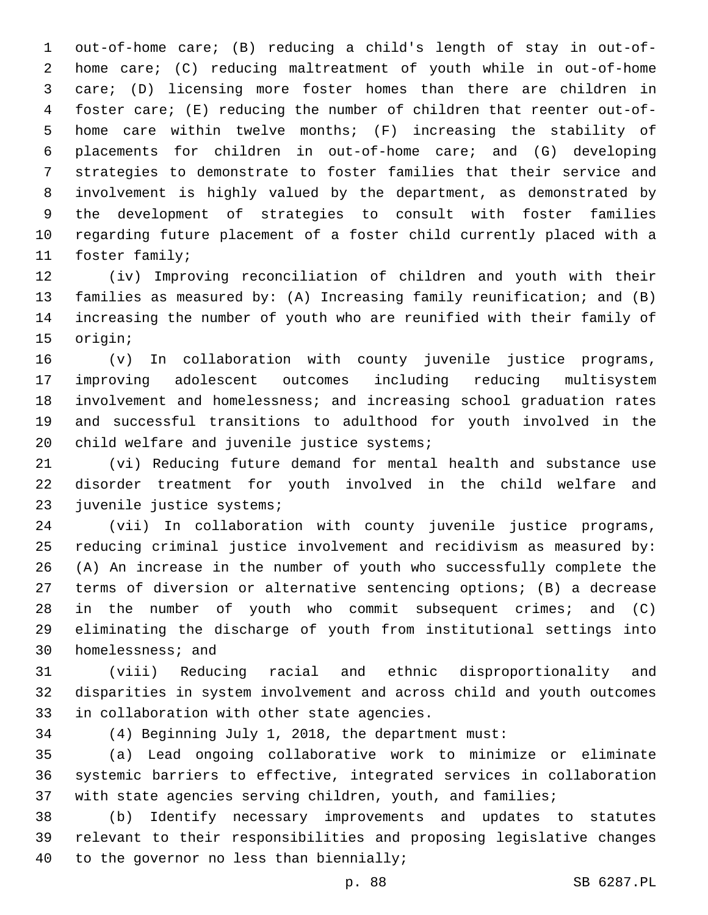out-of-home care; (B) reducing a child's length of stay in out-of- home care; (C) reducing maltreatment of youth while in out-of-home care; (D) licensing more foster homes than there are children in foster care; (E) reducing the number of children that reenter out-of- home care within twelve months; (F) increasing the stability of placements for children in out-of-home care; and (G) developing strategies to demonstrate to foster families that their service and involvement is highly valued by the department, as demonstrated by the development of strategies to consult with foster families regarding future placement of a foster child currently placed with a 11 foster family;

 (iv) Improving reconciliation of children and youth with their families as measured by: (A) Increasing family reunification; and (B) increasing the number of youth who are reunified with their family of 15 origin;

 (v) In collaboration with county juvenile justice programs, improving adolescent outcomes including reducing multisystem involvement and homelessness; and increasing school graduation rates and successful transitions to adulthood for youth involved in the 20 child welfare and juvenile justice systems;

 (vi) Reducing future demand for mental health and substance use disorder treatment for youth involved in the child welfare and 23 juvenile justice systems;

 (vii) In collaboration with county juvenile justice programs, reducing criminal justice involvement and recidivism as measured by: (A) An increase in the number of youth who successfully complete the terms of diversion or alternative sentencing options; (B) a decrease in the number of youth who commit subsequent crimes; and (C) eliminating the discharge of youth from institutional settings into 30 homelessness; and

 (viii) Reducing racial and ethnic disproportionality and disparities in system involvement and across child and youth outcomes 33 in collaboration with other state agencies.

(4) Beginning July 1, 2018, the department must:

 (a) Lead ongoing collaborative work to minimize or eliminate systemic barriers to effective, integrated services in collaboration 37 with state agencies serving children, youth, and families;

 (b) Identify necessary improvements and updates to statutes relevant to their responsibilities and proposing legislative changes 40 to the governor no less than biennially;

p. 88 SB 6287.PL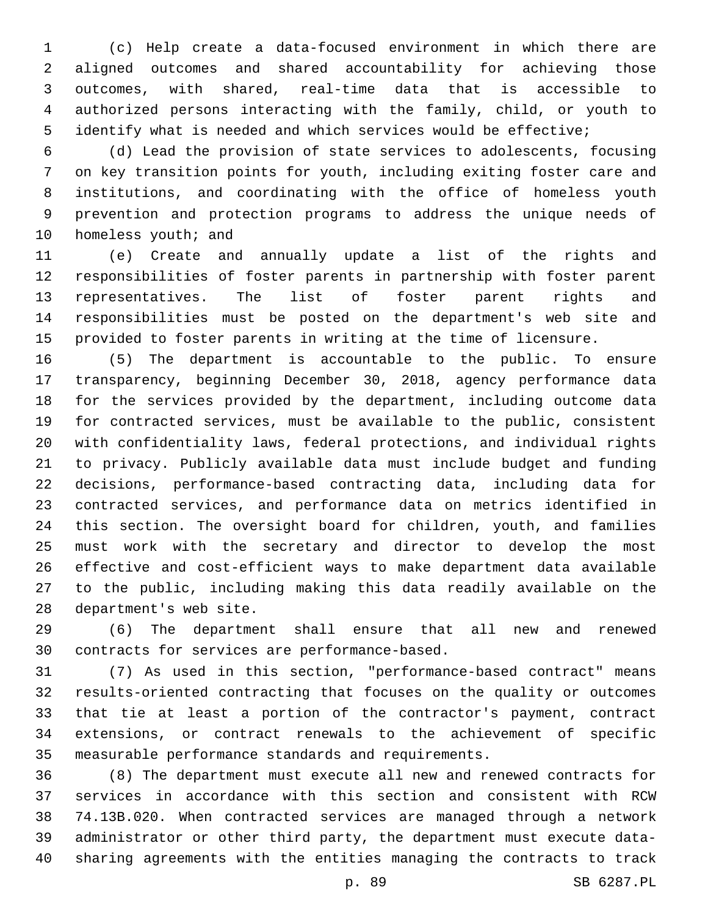(c) Help create a data-focused environment in which there are aligned outcomes and shared accountability for achieving those outcomes, with shared, real-time data that is accessible to authorized persons interacting with the family, child, or youth to identify what is needed and which services would be effective;

 (d) Lead the provision of state services to adolescents, focusing on key transition points for youth, including exiting foster care and institutions, and coordinating with the office of homeless youth prevention and protection programs to address the unique needs of 10 homeless youth; and

 (e) Create and annually update a list of the rights and responsibilities of foster parents in partnership with foster parent representatives. The list of foster parent rights and responsibilities must be posted on the department's web site and provided to foster parents in writing at the time of licensure.

 (5) The department is accountable to the public. To ensure transparency, beginning December 30, 2018, agency performance data for the services provided by the department, including outcome data for contracted services, must be available to the public, consistent with confidentiality laws, federal protections, and individual rights to privacy. Publicly available data must include budget and funding decisions, performance-based contracting data, including data for contracted services, and performance data on metrics identified in this section. The oversight board for children, youth, and families must work with the secretary and director to develop the most effective and cost-efficient ways to make department data available to the public, including making this data readily available on the 28 department's web site.

 (6) The department shall ensure that all new and renewed 30 contracts for services are performance-based.

 (7) As used in this section, "performance-based contract" means results-oriented contracting that focuses on the quality or outcomes that tie at least a portion of the contractor's payment, contract extensions, or contract renewals to the achievement of specific measurable performance standards and requirements.

 (8) The department must execute all new and renewed contracts for services in accordance with this section and consistent with RCW 74.13B.020. When contracted services are managed through a network administrator or other third party, the department must execute data-sharing agreements with the entities managing the contracts to track

p. 89 SB 6287.PL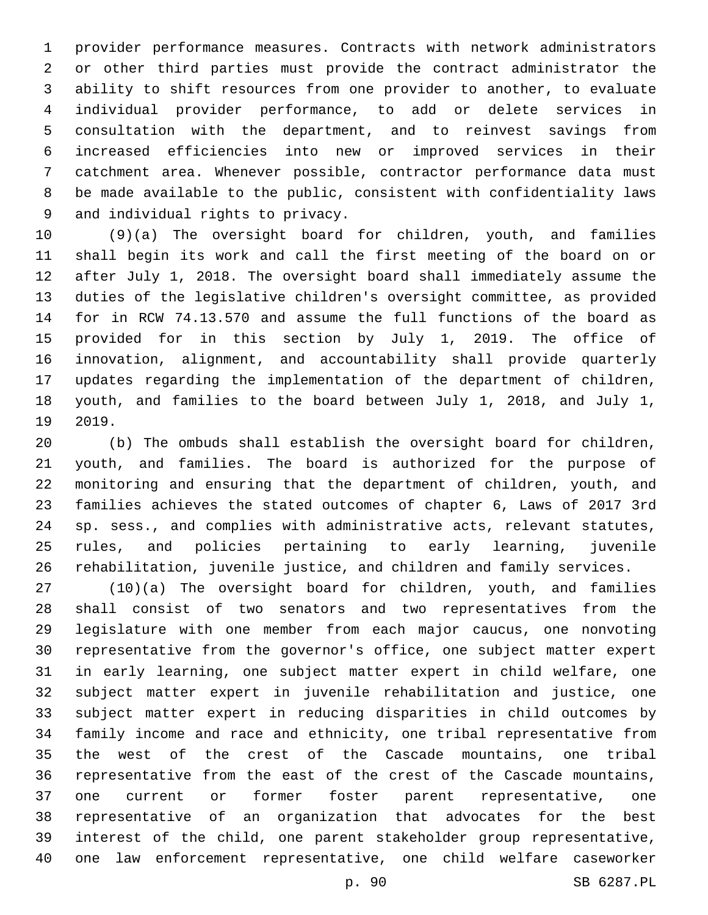provider performance measures. Contracts with network administrators or other third parties must provide the contract administrator the ability to shift resources from one provider to another, to evaluate individual provider performance, to add or delete services in consultation with the department, and to reinvest savings from increased efficiencies into new or improved services in their catchment area. Whenever possible, contractor performance data must be made available to the public, consistent with confidentiality laws 9 and individual rights to privacy.

 (9)(a) The oversight board for children, youth, and families shall begin its work and call the first meeting of the board on or after July 1, 2018. The oversight board shall immediately assume the duties of the legislative children's oversight committee, as provided for in RCW 74.13.570 and assume the full functions of the board as provided for in this section by July 1, 2019. The office of innovation, alignment, and accountability shall provide quarterly updates regarding the implementation of the department of children, youth, and families to the board between July 1, 2018, and July 1, 19 2019.

 (b) The ombuds shall establish the oversight board for children, youth, and families. The board is authorized for the purpose of monitoring and ensuring that the department of children, youth, and families achieves the stated outcomes of chapter 6, Laws of 2017 3rd sp. sess., and complies with administrative acts, relevant statutes, rules, and policies pertaining to early learning, juvenile rehabilitation, juvenile justice, and children and family services.

 (10)(a) The oversight board for children, youth, and families shall consist of two senators and two representatives from the legislature with one member from each major caucus, one nonvoting representative from the governor's office, one subject matter expert in early learning, one subject matter expert in child welfare, one subject matter expert in juvenile rehabilitation and justice, one subject matter expert in reducing disparities in child outcomes by family income and race and ethnicity, one tribal representative from the west of the crest of the Cascade mountains, one tribal representative from the east of the crest of the Cascade mountains, one current or former foster parent representative, one representative of an organization that advocates for the best interest of the child, one parent stakeholder group representative, one law enforcement representative, one child welfare caseworker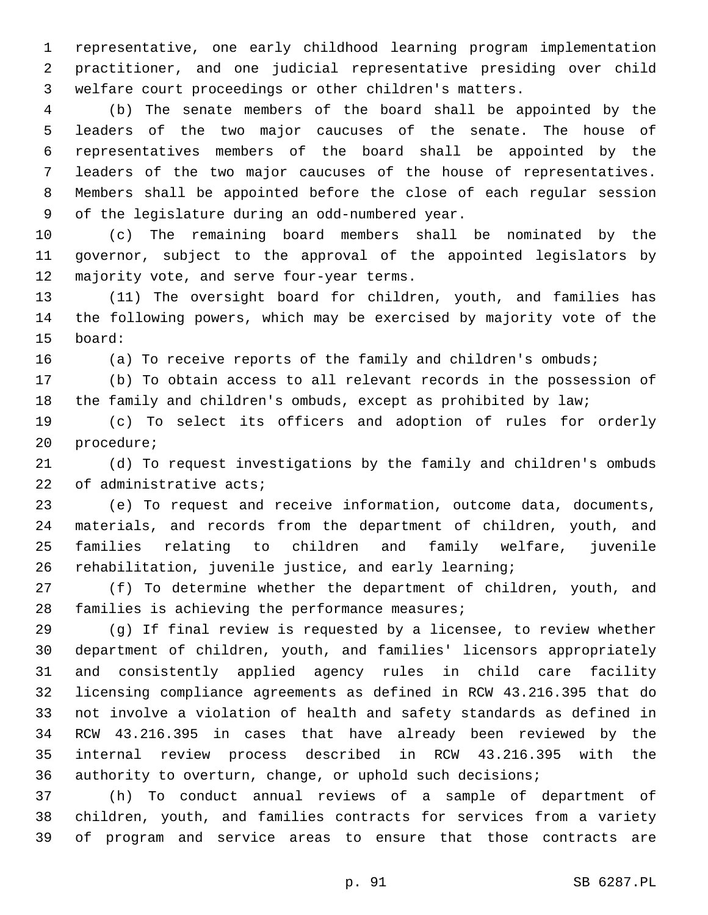representative, one early childhood learning program implementation practitioner, and one judicial representative presiding over child welfare court proceedings or other children's matters.

 (b) The senate members of the board shall be appointed by the leaders of the two major caucuses of the senate. The house of representatives members of the board shall be appointed by the leaders of the two major caucuses of the house of representatives. Members shall be appointed before the close of each regular session 9 of the legislature during an odd-numbered year.

 (c) The remaining board members shall be nominated by the governor, subject to the approval of the appointed legislators by 12 majority vote, and serve four-year terms.

 (11) The oversight board for children, youth, and families has the following powers, which may be exercised by majority vote of the 15 board:

16 (a) To receive reports of the family and children's ombuds;

 (b) To obtain access to all relevant records in the possession of the family and children's ombuds, except as prohibited by law;

 (c) To select its officers and adoption of rules for orderly 20 procedure;

 (d) To request investigations by the family and children's ombuds 22 of administrative acts;

 (e) To request and receive information, outcome data, documents, materials, and records from the department of children, youth, and families relating to children and family welfare, juvenile rehabilitation, juvenile justice, and early learning;

 (f) To determine whether the department of children, youth, and 28 families is achieving the performance measures;

 (g) If final review is requested by a licensee, to review whether department of children, youth, and families' licensors appropriately and consistently applied agency rules in child care facility licensing compliance agreements as defined in RCW 43.216.395 that do not involve a violation of health and safety standards as defined in RCW 43.216.395 in cases that have already been reviewed by the internal review process described in RCW 43.216.395 with the authority to overturn, change, or uphold such decisions;

 (h) To conduct annual reviews of a sample of department of children, youth, and families contracts for services from a variety of program and service areas to ensure that those contracts are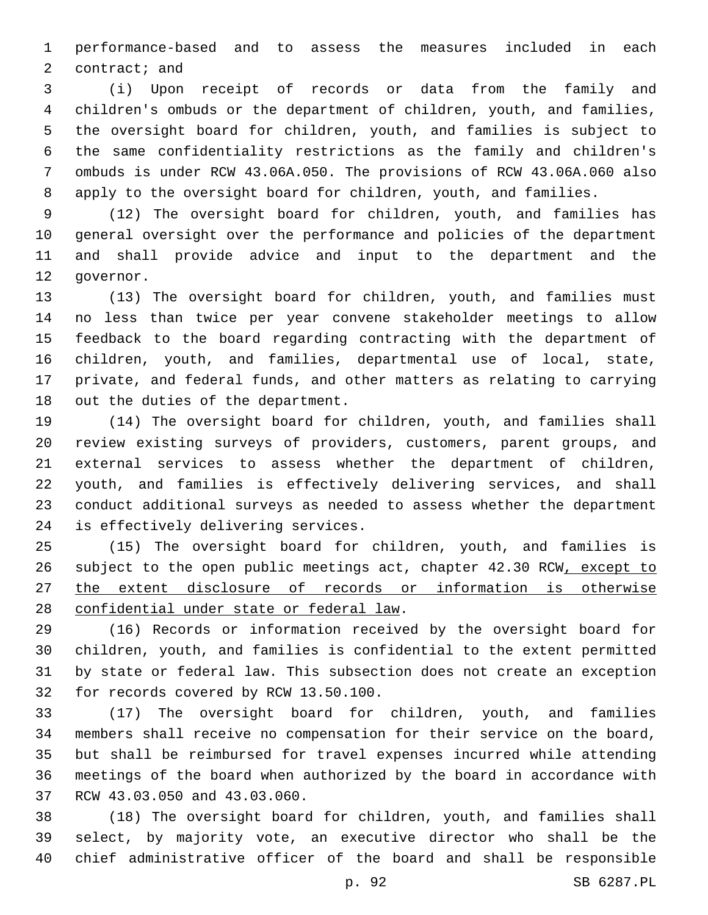performance-based and to assess the measures included in each 2 contract; and

 (i) Upon receipt of records or data from the family and children's ombuds or the department of children, youth, and families, the oversight board for children, youth, and families is subject to the same confidentiality restrictions as the family and children's ombuds is under RCW 43.06A.050. The provisions of RCW 43.06A.060 also apply to the oversight board for children, youth, and families.

 (12) The oversight board for children, youth, and families has general oversight over the performance and policies of the department and shall provide advice and input to the department and the 12 qovernor.

 (13) The oversight board for children, youth, and families must no less than twice per year convene stakeholder meetings to allow feedback to the board regarding contracting with the department of children, youth, and families, departmental use of local, state, private, and federal funds, and other matters as relating to carrying 18 out the duties of the department.

 (14) The oversight board for children, youth, and families shall review existing surveys of providers, customers, parent groups, and external services to assess whether the department of children, youth, and families is effectively delivering services, and shall conduct additional surveys as needed to assess whether the department 24 is effectively delivering services.

 (15) The oversight board for children, youth, and families is subject to the open public meetings act, chapter 42.30 RCW, except to the extent disclosure of records or information is otherwise 28 confidential under state or federal law.

 (16) Records or information received by the oversight board for children, youth, and families is confidential to the extent permitted by state or federal law. This subsection does not create an exception 32 for records covered by RCW 13.50.100.

 (17) The oversight board for children, youth, and families members shall receive no compensation for their service on the board, but shall be reimbursed for travel expenses incurred while attending meetings of the board when authorized by the board in accordance with 37 RCW 43.03.050 and 43.03.060.

 (18) The oversight board for children, youth, and families shall select, by majority vote, an executive director who shall be the chief administrative officer of the board and shall be responsible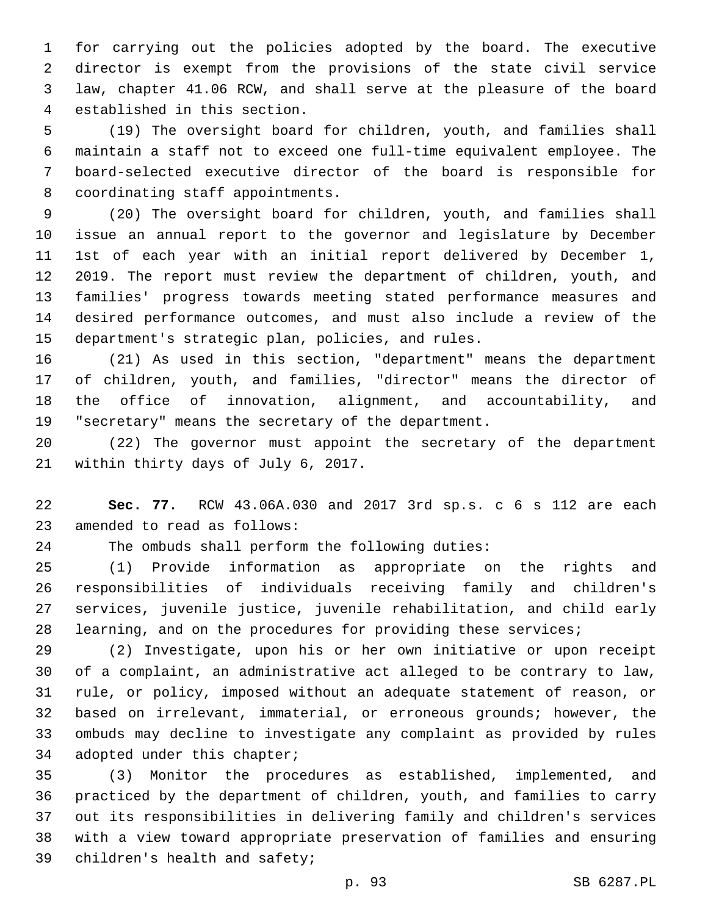for carrying out the policies adopted by the board. The executive director is exempt from the provisions of the state civil service law, chapter 41.06 RCW, and shall serve at the pleasure of the board 4 established in this section.

 (19) The oversight board for children, youth, and families shall maintain a staff not to exceed one full-time equivalent employee. The board-selected executive director of the board is responsible for 8 coordinating staff appointments.

 (20) The oversight board for children, youth, and families shall issue an annual report to the governor and legislature by December 1st of each year with an initial report delivered by December 1, 2019. The report must review the department of children, youth, and families' progress towards meeting stated performance measures and desired performance outcomes, and must also include a review of the 15 department's strategic plan, policies, and rules.

 (21) As used in this section, "department" means the department of children, youth, and families, "director" means the director of the office of innovation, alignment, and accountability, and "secretary" means the secretary of the department.

 (22) The governor must appoint the secretary of the department 21 within thirty days of July 6, 2017.

 **Sec. 77.** RCW 43.06A.030 and 2017 3rd sp.s. c 6 s 112 are each 23 amended to read as follows:

The ombuds shall perform the following duties:

 (1) Provide information as appropriate on the rights and responsibilities of individuals receiving family and children's services, juvenile justice, juvenile rehabilitation, and child early learning, and on the procedures for providing these services;

 (2) Investigate, upon his or her own initiative or upon receipt of a complaint, an administrative act alleged to be contrary to law, rule, or policy, imposed without an adequate statement of reason, or based on irrelevant, immaterial, or erroneous grounds; however, the ombuds may decline to investigate any complaint as provided by rules 34 adopted under this chapter;

 (3) Monitor the procedures as established, implemented, and practiced by the department of children, youth, and families to carry out its responsibilities in delivering family and children's services with a view toward appropriate preservation of families and ensuring 39 children's health and safety;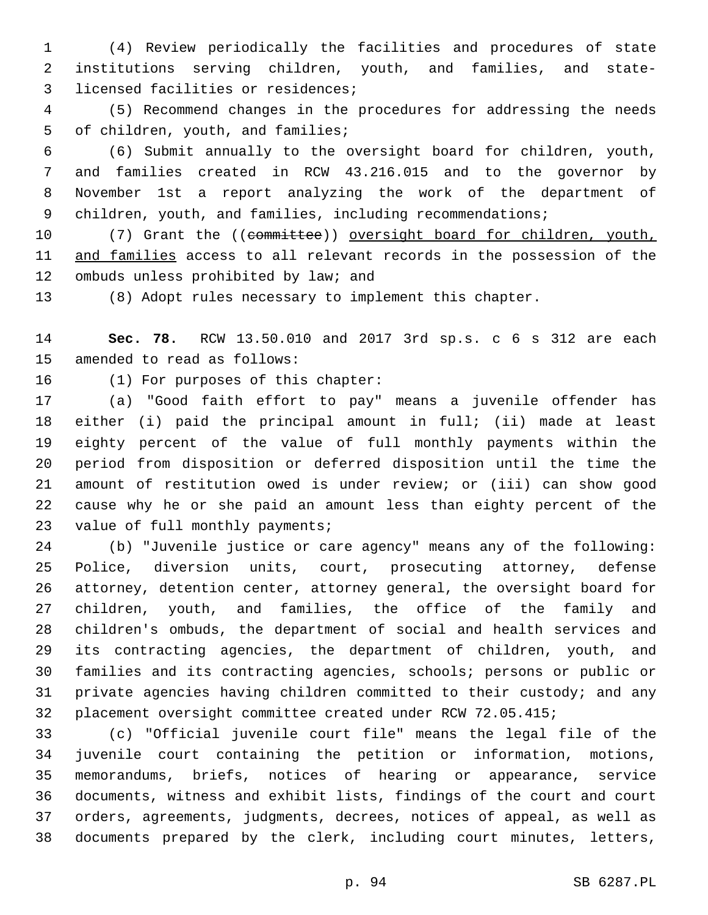(4) Review periodically the facilities and procedures of state institutions serving children, youth, and families, and state-3 licensed facilities or residences;

 (5) Recommend changes in the procedures for addressing the needs 5 of children, youth, and families;

 (6) Submit annually to the oversight board for children, youth, and families created in RCW 43.216.015 and to the governor by November 1st a report analyzing the work of the department of 9 children, youth, and families, including recommendations;

10 (7) Grant the ((committee)) oversight board for children, youth, and families access to all relevant records in the possession of the 12 ombuds unless prohibited by law; and

(8) Adopt rules necessary to implement this chapter.

 **Sec. 78.** RCW 13.50.010 and 2017 3rd sp.s. c 6 s 312 are each 15 amended to read as follows:

16 (1) For purposes of this chapter:

 (a) "Good faith effort to pay" means a juvenile offender has either (i) paid the principal amount in full; (ii) made at least eighty percent of the value of full monthly payments within the period from disposition or deferred disposition until the time the amount of restitution owed is under review; or (iii) can show good cause why he or she paid an amount less than eighty percent of the 23 value of full monthly payments;

 (b) "Juvenile justice or care agency" means any of the following: Police, diversion units, court, prosecuting attorney, defense attorney, detention center, attorney general, the oversight board for children, youth, and families, the office of the family and children's ombuds, the department of social and health services and its contracting agencies, the department of children, youth, and families and its contracting agencies, schools; persons or public or private agencies having children committed to their custody; and any placement oversight committee created under RCW 72.05.415;

 (c) "Official juvenile court file" means the legal file of the juvenile court containing the petition or information, motions, memorandums, briefs, notices of hearing or appearance, service documents, witness and exhibit lists, findings of the court and court orders, agreements, judgments, decrees, notices of appeal, as well as documents prepared by the clerk, including court minutes, letters,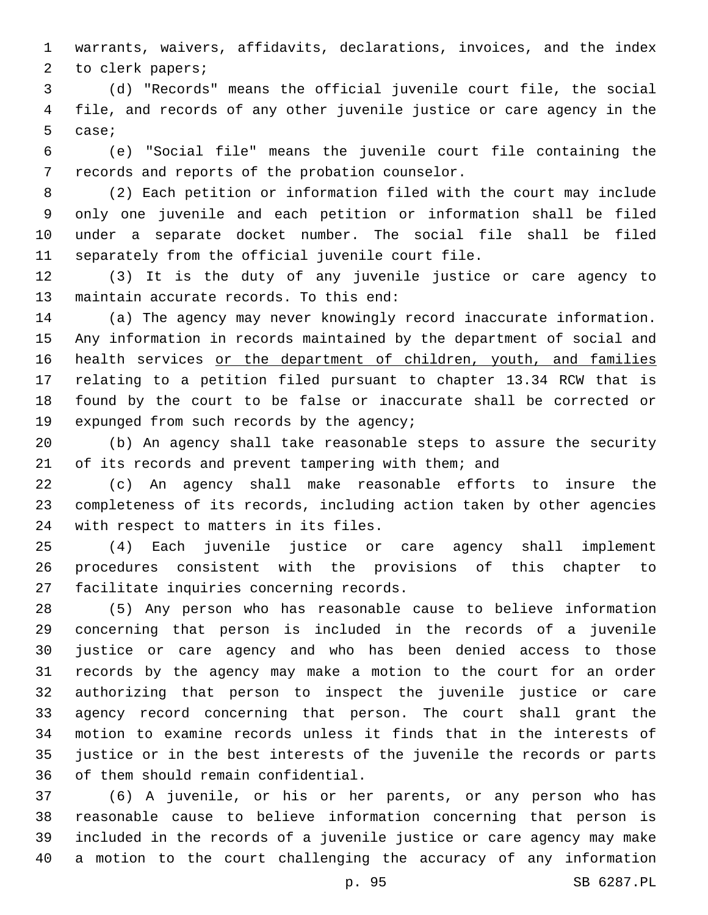warrants, waivers, affidavits, declarations, invoices, and the index 2 to clerk papers;

 (d) "Records" means the official juvenile court file, the social file, and records of any other juvenile justice or care agency in the 5 case;

 (e) "Social file" means the juvenile court file containing the 7 records and reports of the probation counselor.

 (2) Each petition or information filed with the court may include only one juvenile and each petition or information shall be filed under a separate docket number. The social file shall be filed 11 separately from the official juvenile court file.

 (3) It is the duty of any juvenile justice or care agency to 13 maintain accurate records. To this end:

 (a) The agency may never knowingly record inaccurate information. Any information in records maintained by the department of social and 16 health services or the department of children, youth, and families relating to a petition filed pursuant to chapter 13.34 RCW that is found by the court to be false or inaccurate shall be corrected or 19 expunged from such records by the agency;

 (b) An agency shall take reasonable steps to assure the security of its records and prevent tampering with them; and

 (c) An agency shall make reasonable efforts to insure the completeness of its records, including action taken by other agencies 24 with respect to matters in its files.

 (4) Each juvenile justice or care agency shall implement procedures consistent with the provisions of this chapter to 27 facilitate inquiries concerning records.

 (5) Any person who has reasonable cause to believe information concerning that person is included in the records of a juvenile justice or care agency and who has been denied access to those records by the agency may make a motion to the court for an order authorizing that person to inspect the juvenile justice or care agency record concerning that person. The court shall grant the motion to examine records unless it finds that in the interests of justice or in the best interests of the juvenile the records or parts 36 of them should remain confidential.

 (6) A juvenile, or his or her parents, or any person who has reasonable cause to believe information concerning that person is included in the records of a juvenile justice or care agency may make a motion to the court challenging the accuracy of any information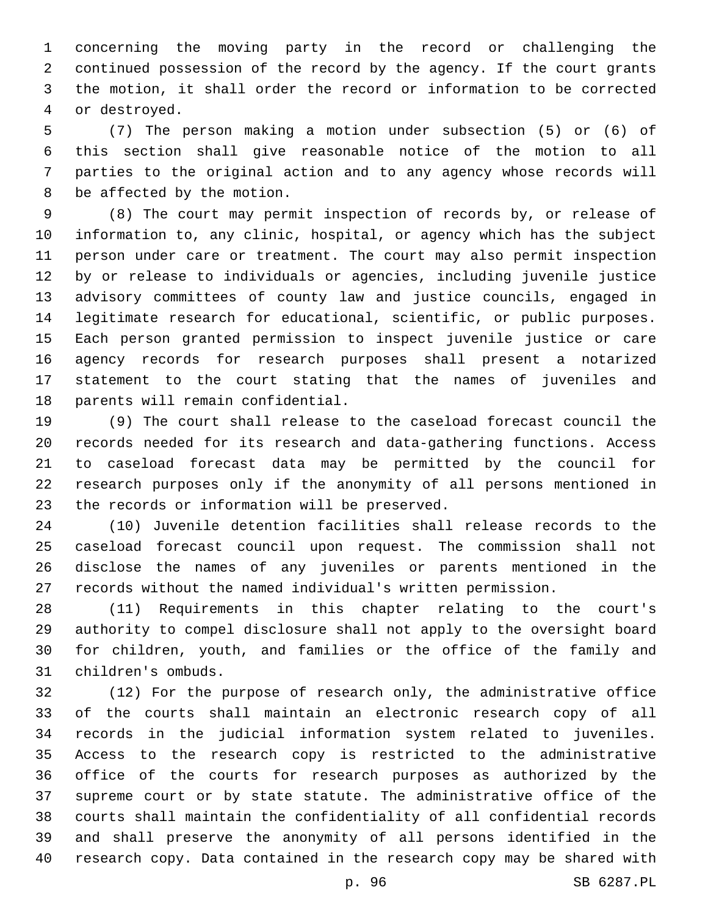concerning the moving party in the record or challenging the continued possession of the record by the agency. If the court grants the motion, it shall order the record or information to be corrected 4 or destroyed.

 (7) The person making a motion under subsection (5) or (6) of this section shall give reasonable notice of the motion to all parties to the original action and to any agency whose records will 8 be affected by the motion.

 (8) The court may permit inspection of records by, or release of information to, any clinic, hospital, or agency which has the subject person under care or treatment. The court may also permit inspection by or release to individuals or agencies, including juvenile justice advisory committees of county law and justice councils, engaged in legitimate research for educational, scientific, or public purposes. Each person granted permission to inspect juvenile justice or care agency records for research purposes shall present a notarized statement to the court stating that the names of juveniles and 18 parents will remain confidential.

 (9) The court shall release to the caseload forecast council the records needed for its research and data-gathering functions. Access to caseload forecast data may be permitted by the council for research purposes only if the anonymity of all persons mentioned in 23 the records or information will be preserved.

 (10) Juvenile detention facilities shall release records to the caseload forecast council upon request. The commission shall not disclose the names of any juveniles or parents mentioned in the records without the named individual's written permission.

 (11) Requirements in this chapter relating to the court's authority to compel disclosure shall not apply to the oversight board for children, youth, and families or the office of the family and 31 children's ombuds.

 (12) For the purpose of research only, the administrative office of the courts shall maintain an electronic research copy of all records in the judicial information system related to juveniles. Access to the research copy is restricted to the administrative office of the courts for research purposes as authorized by the supreme court or by state statute. The administrative office of the courts shall maintain the confidentiality of all confidential records and shall preserve the anonymity of all persons identified in the research copy. Data contained in the research copy may be shared with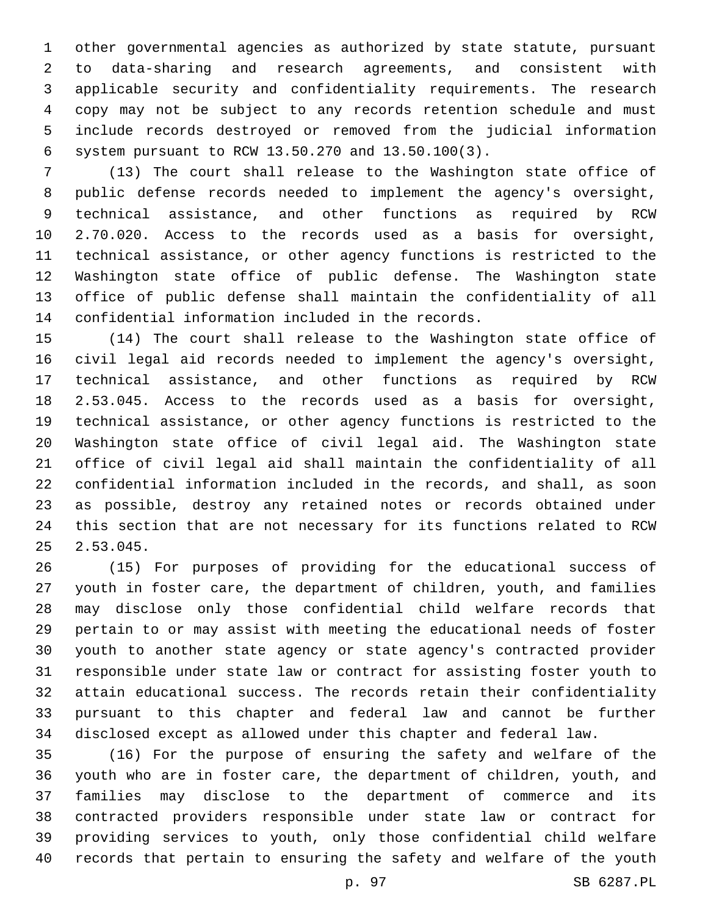other governmental agencies as authorized by state statute, pursuant to data-sharing and research agreements, and consistent with applicable security and confidentiality requirements. The research copy may not be subject to any records retention schedule and must include records destroyed or removed from the judicial information system pursuant to RCW 13.50.270 and 13.50.100(3).6

 (13) The court shall release to the Washington state office of public defense records needed to implement the agency's oversight, technical assistance, and other functions as required by RCW 2.70.020. Access to the records used as a basis for oversight, technical assistance, or other agency functions is restricted to the Washington state office of public defense. The Washington state office of public defense shall maintain the confidentiality of all 14 confidential information included in the records.

 (14) The court shall release to the Washington state office of civil legal aid records needed to implement the agency's oversight, technical assistance, and other functions as required by RCW 2.53.045. Access to the records used as a basis for oversight, technical assistance, or other agency functions is restricted to the Washington state office of civil legal aid. The Washington state office of civil legal aid shall maintain the confidentiality of all confidential information included in the records, and shall, as soon as possible, destroy any retained notes or records obtained under this section that are not necessary for its functions related to RCW 2.53.045.

 (15) For purposes of providing for the educational success of youth in foster care, the department of children, youth, and families may disclose only those confidential child welfare records that pertain to or may assist with meeting the educational needs of foster youth to another state agency or state agency's contracted provider responsible under state law or contract for assisting foster youth to attain educational success. The records retain their confidentiality pursuant to this chapter and federal law and cannot be further disclosed except as allowed under this chapter and federal law.

 (16) For the purpose of ensuring the safety and welfare of the youth who are in foster care, the department of children, youth, and families may disclose to the department of commerce and its contracted providers responsible under state law or contract for providing services to youth, only those confidential child welfare records that pertain to ensuring the safety and welfare of the youth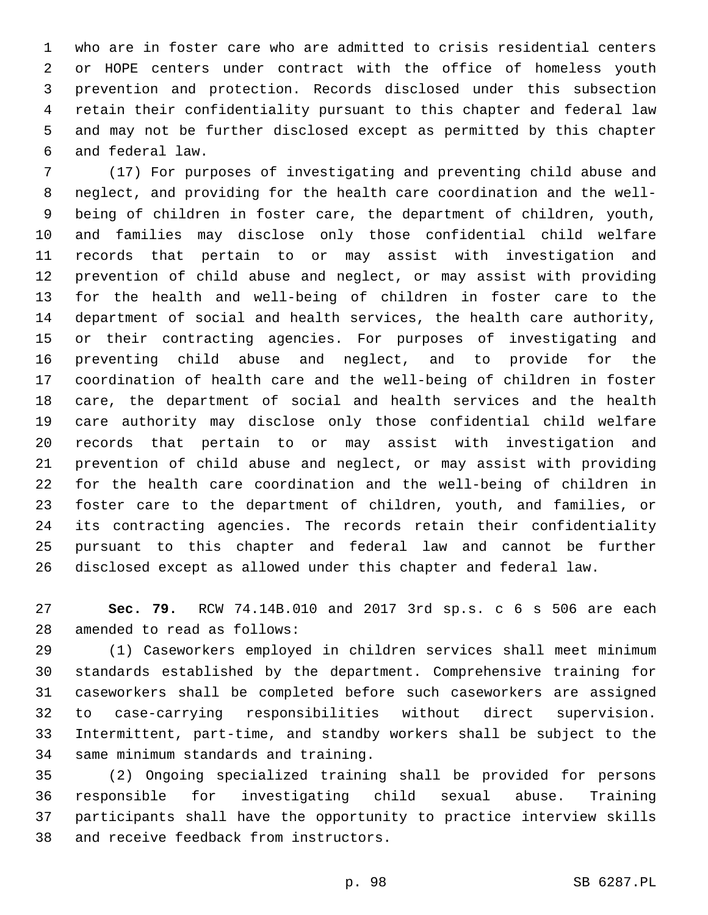who are in foster care who are admitted to crisis residential centers or HOPE centers under contract with the office of homeless youth prevention and protection. Records disclosed under this subsection retain their confidentiality pursuant to this chapter and federal law and may not be further disclosed except as permitted by this chapter and federal law.6

 (17) For purposes of investigating and preventing child abuse and neglect, and providing for the health care coordination and the well- being of children in foster care, the department of children, youth, and families may disclose only those confidential child welfare records that pertain to or may assist with investigation and prevention of child abuse and neglect, or may assist with providing for the health and well-being of children in foster care to the department of social and health services, the health care authority, or their contracting agencies. For purposes of investigating and preventing child abuse and neglect, and to provide for the coordination of health care and the well-being of children in foster care, the department of social and health services and the health care authority may disclose only those confidential child welfare records that pertain to or may assist with investigation and prevention of child abuse and neglect, or may assist with providing for the health care coordination and the well-being of children in foster care to the department of children, youth, and families, or its contracting agencies. The records retain their confidentiality pursuant to this chapter and federal law and cannot be further disclosed except as allowed under this chapter and federal law.

 **Sec. 79.** RCW 74.14B.010 and 2017 3rd sp.s. c 6 s 506 are each 28 amended to read as follows:

 (1) Caseworkers employed in children services shall meet minimum standards established by the department. Comprehensive training for caseworkers shall be completed before such caseworkers are assigned to case-carrying responsibilities without direct supervision. Intermittent, part-time, and standby workers shall be subject to the 34 same minimum standards and training.

 (2) Ongoing specialized training shall be provided for persons responsible for investigating child sexual abuse. Training participants shall have the opportunity to practice interview skills 38 and receive feedback from instructors.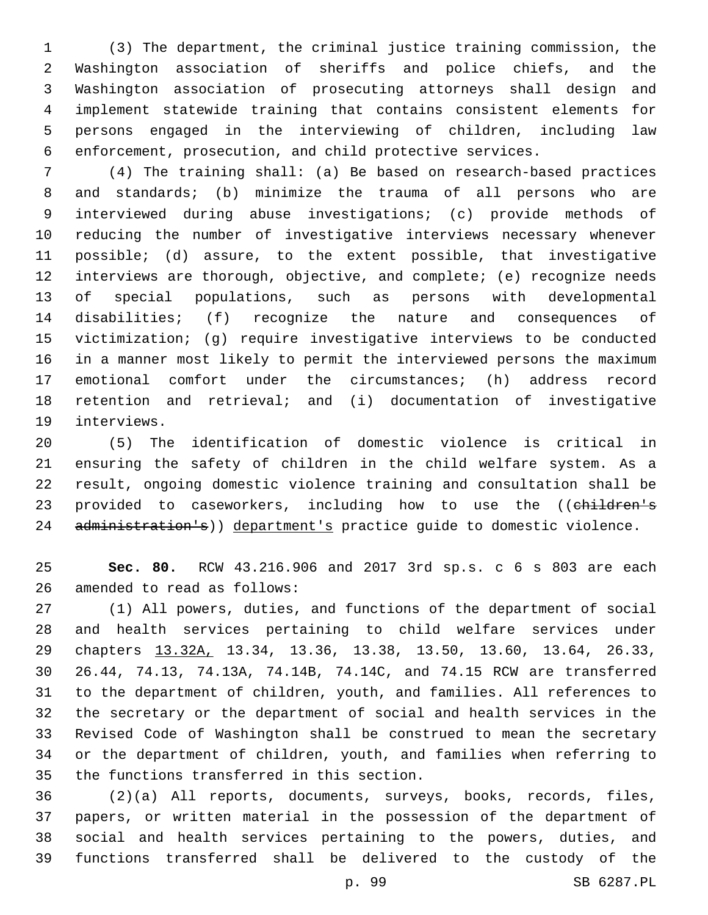(3) The department, the criminal justice training commission, the Washington association of sheriffs and police chiefs, and the Washington association of prosecuting attorneys shall design and implement statewide training that contains consistent elements for persons engaged in the interviewing of children, including law enforcement, prosecution, and child protective services.

 (4) The training shall: (a) Be based on research-based practices and standards; (b) minimize the trauma of all persons who are interviewed during abuse investigations; (c) provide methods of reducing the number of investigative interviews necessary whenever possible; (d) assure, to the extent possible, that investigative interviews are thorough, objective, and complete; (e) recognize needs of special populations, such as persons with developmental disabilities; (f) recognize the nature and consequences of victimization; (g) require investigative interviews to be conducted in a manner most likely to permit the interviewed persons the maximum emotional comfort under the circumstances; (h) address record retention and retrieval; and (i) documentation of investigative 19 interviews.

 (5) The identification of domestic violence is critical in ensuring the safety of children in the child welfare system. As a result, ongoing domestic violence training and consultation shall be 23 provided to caseworkers, including how to use the ((children's 24 administration's)) department's practice guide to domestic violence.

 **Sec. 80.** RCW 43.216.906 and 2017 3rd sp.s. c 6 s 803 are each 26 amended to read as follows:

 (1) All powers, duties, and functions of the department of social and health services pertaining to child welfare services under chapters 13.32A, 13.34, 13.36, 13.38, 13.50, 13.60, 13.64, 26.33, 26.44, 74.13, 74.13A, 74.14B, 74.14C, and 74.15 RCW are transferred to the department of children, youth, and families. All references to the secretary or the department of social and health services in the Revised Code of Washington shall be construed to mean the secretary or the department of children, youth, and families when referring to 35 the functions transferred in this section.

 (2)(a) All reports, documents, surveys, books, records, files, papers, or written material in the possession of the department of social and health services pertaining to the powers, duties, and functions transferred shall be delivered to the custody of the

p. 99 SB 6287.PL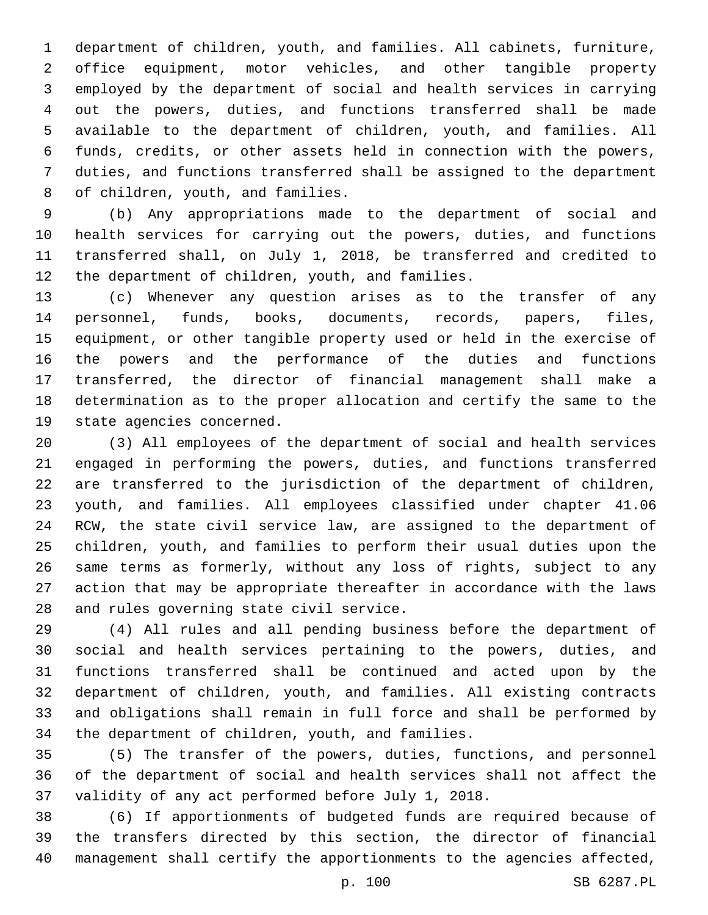department of children, youth, and families. All cabinets, furniture, office equipment, motor vehicles, and other tangible property employed by the department of social and health services in carrying out the powers, duties, and functions transferred shall be made available to the department of children, youth, and families. All funds, credits, or other assets held in connection with the powers, duties, and functions transferred shall be assigned to the department 8 of children, youth, and families.

 (b) Any appropriations made to the department of social and health services for carrying out the powers, duties, and functions transferred shall, on July 1, 2018, be transferred and credited to 12 the department of children, youth, and families.

 (c) Whenever any question arises as to the transfer of any personnel, funds, books, documents, records, papers, files, equipment, or other tangible property used or held in the exercise of the powers and the performance of the duties and functions transferred, the director of financial management shall make a determination as to the proper allocation and certify the same to the 19 state agencies concerned.

 (3) All employees of the department of social and health services engaged in performing the powers, duties, and functions transferred are transferred to the jurisdiction of the department of children, youth, and families. All employees classified under chapter 41.06 RCW, the state civil service law, are assigned to the department of children, youth, and families to perform their usual duties upon the same terms as formerly, without any loss of rights, subject to any action that may be appropriate thereafter in accordance with the laws 28 and rules governing state civil service.

 (4) All rules and all pending business before the department of social and health services pertaining to the powers, duties, and functions transferred shall be continued and acted upon by the department of children, youth, and families. All existing contracts and obligations shall remain in full force and shall be performed by 34 the department of children, youth, and families.

 (5) The transfer of the powers, duties, functions, and personnel of the department of social and health services shall not affect the validity of any act performed before July 1, 2018.

 (6) If apportionments of budgeted funds are required because of the transfers directed by this section, the director of financial management shall certify the apportionments to the agencies affected,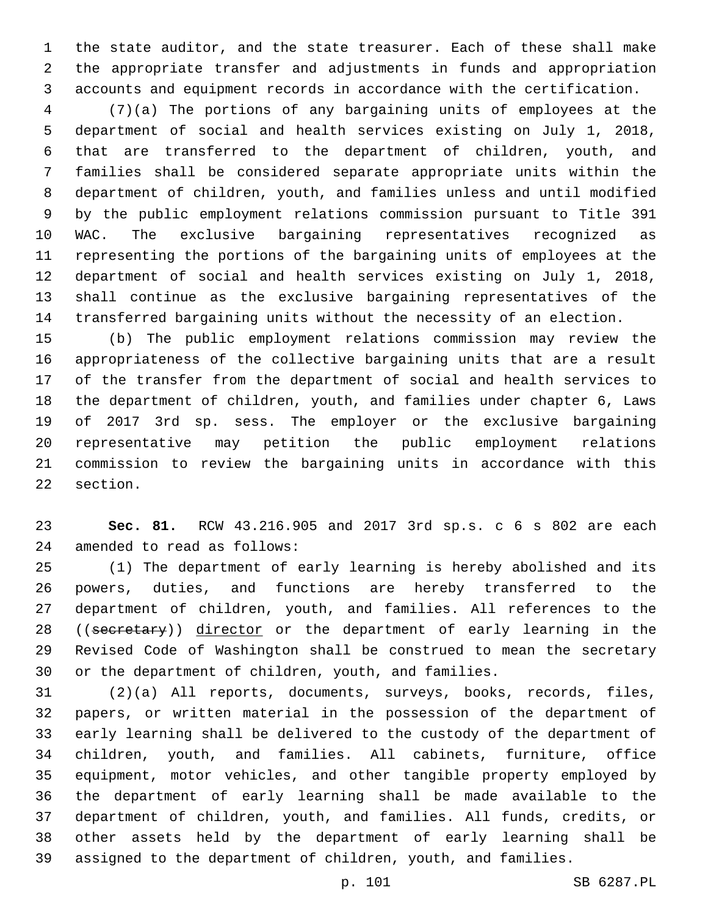the state auditor, and the state treasurer. Each of these shall make the appropriate transfer and adjustments in funds and appropriation accounts and equipment records in accordance with the certification.

 (7)(a) The portions of any bargaining units of employees at the department of social and health services existing on July 1, 2018, that are transferred to the department of children, youth, and families shall be considered separate appropriate units within the department of children, youth, and families unless and until modified by the public employment relations commission pursuant to Title 391 WAC. The exclusive bargaining representatives recognized as representing the portions of the bargaining units of employees at the department of social and health services existing on July 1, 2018, shall continue as the exclusive bargaining representatives of the transferred bargaining units without the necessity of an election.

 (b) The public employment relations commission may review the appropriateness of the collective bargaining units that are a result of the transfer from the department of social and health services to the department of children, youth, and families under chapter 6, Laws of 2017 3rd sp. sess. The employer or the exclusive bargaining representative may petition the public employment relations commission to review the bargaining units in accordance with this 22 section.

 **Sec. 81.** RCW 43.216.905 and 2017 3rd sp.s. c 6 s 802 are each 24 amended to read as follows:

 (1) The department of early learning is hereby abolished and its powers, duties, and functions are hereby transferred to the department of children, youth, and families. All references to the 28 ((secretary)) director or the department of early learning in the Revised Code of Washington shall be construed to mean the secretary or the department of children, youth, and families.

 (2)(a) All reports, documents, surveys, books, records, files, papers, or written material in the possession of the department of early learning shall be delivered to the custody of the department of children, youth, and families. All cabinets, furniture, office equipment, motor vehicles, and other tangible property employed by the department of early learning shall be made available to the department of children, youth, and families. All funds, credits, or other assets held by the department of early learning shall be assigned to the department of children, youth, and families.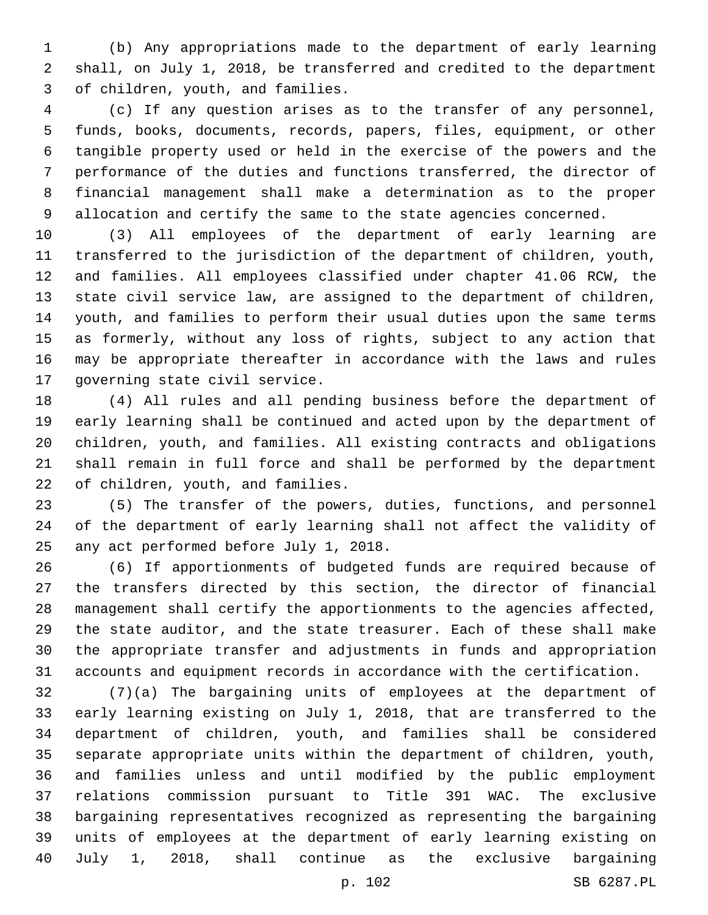(b) Any appropriations made to the department of early learning shall, on July 1, 2018, be transferred and credited to the department 3 of children, youth, and families.

 (c) If any question arises as to the transfer of any personnel, funds, books, documents, records, papers, files, equipment, or other tangible property used or held in the exercise of the powers and the performance of the duties and functions transferred, the director of financial management shall make a determination as to the proper allocation and certify the same to the state agencies concerned.

 (3) All employees of the department of early learning are transferred to the jurisdiction of the department of children, youth, and families. All employees classified under chapter 41.06 RCW, the state civil service law, are assigned to the department of children, youth, and families to perform their usual duties upon the same terms as formerly, without any loss of rights, subject to any action that may be appropriate thereafter in accordance with the laws and rules 17 governing state civil service.

 (4) All rules and all pending business before the department of early learning shall be continued and acted upon by the department of children, youth, and families. All existing contracts and obligations shall remain in full force and shall be performed by the department 22 of children, youth, and families.

 (5) The transfer of the powers, duties, functions, and personnel of the department of early learning shall not affect the validity of 25 any act performed before July 1, 2018.

 (6) If apportionments of budgeted funds are required because of the transfers directed by this section, the director of financial management shall certify the apportionments to the agencies affected, the state auditor, and the state treasurer. Each of these shall make the appropriate transfer and adjustments in funds and appropriation accounts and equipment records in accordance with the certification.

 (7)(a) The bargaining units of employees at the department of early learning existing on July 1, 2018, that are transferred to the department of children, youth, and families shall be considered separate appropriate units within the department of children, youth, and families unless and until modified by the public employment relations commission pursuant to Title 391 WAC. The exclusive bargaining representatives recognized as representing the bargaining units of employees at the department of early learning existing on July 1, 2018, shall continue as the exclusive bargaining

p. 102 SB 6287.PL